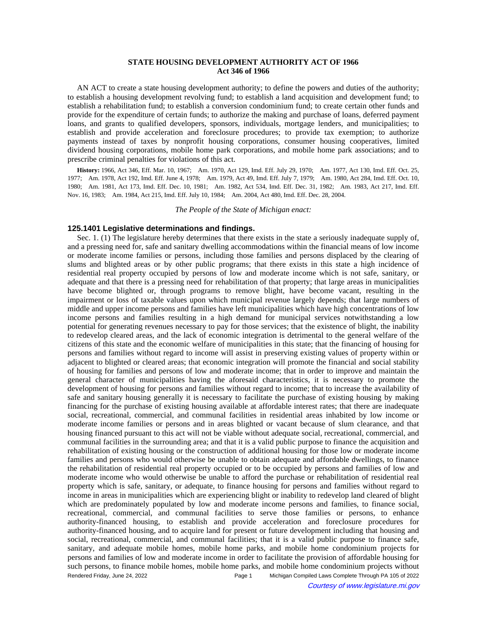# **STATE HOUSING DEVELOPMENT AUTHORITY ACT OF 1966 Act 346 of 1966**

AN ACT to create a state housing development authority; to define the powers and duties of the authority; to establish a housing development revolving fund; to establish a land acquisition and development fund; to establish a rehabilitation fund; to establish a conversion condominium fund; to create certain other funds and provide for the expenditure of certain funds; to authorize the making and purchase of loans, deferred payment loans, and grants to qualified developers, sponsors, individuals, mortgage lenders, and municipalities; to establish and provide acceleration and foreclosure procedures; to provide tax exemption; to authorize payments instead of taxes by nonprofit housing corporations, consumer housing cooperatives, limited dividend housing corporations, mobile home park corporations, and mobile home park associations; and to prescribe criminal penalties for violations of this act.

History: 1966, Act 346, Eff. Mar. 10, 1967;—Am. 1970, Act 129, Imd. Eff. July 29, 1970;—Am. 1977, Act 130, Imd. Eff. Oct. 25, 1977;--Am. 1978, Act 192, Imd. Eff. June 4, 1978;--Am. 1979, Act 49, Imd. Eff. July 7, 1979;--Am. 1980, Act 284, Imd. Eff. Oct. 10, 1980;—Am. 1981, Act 173, Imd. Eff. Dec. 10, 1981;—Am. 1982, Act 534, Imd. Eff. Dec. 31, 1982;—Am. 1983, Act 217, Imd. Eff. Nov. 16, 1983;—Am. 1984, Act 215, Imd. Eff. July 10, 1984;—Am. 2004, Act 480, Imd. Eff. Dec. 28, 2004.

*The People of the State of Michigan enact:*

## **125.1401 Legislative determinations and findings.**

Sec. 1. (1) The legislature hereby determines that there exists in the state a seriously inadequate supply of, and a pressing need for, safe and sanitary dwelling accommodations within the financial means of low income or moderate income families or persons, including those families and persons displaced by the clearing of slums and blighted areas or by other public programs; that there exists in this state a high incidence of residential real property occupied by persons of low and moderate income which is not safe, sanitary, or adequate and that there is a pressing need for rehabilitation of that property; that large areas in municipalities have become blighted or, through programs to remove blight, have become vacant, resulting in the impairment or loss of taxable values upon which municipal revenue largely depends; that large numbers of middle and upper income persons and families have left municipalities which have high concentrations of low income persons and families resulting in a high demand for municipal services notwithstanding a low potential for generating revenues necessary to pay for those services; that the existence of blight, the inability to redevelop cleared areas, and the lack of economic integration is detrimental to the general welfare of the citizens of this state and the economic welfare of municipalities in this state; that the financing of housing for persons and families without regard to income will assist in preserving existing values of property within or adjacent to blighted or cleared areas; that economic integration will promote the financial and social stability of housing for families and persons of low and moderate income; that in order to improve and maintain the general character of municipalities having the aforesaid characteristics, it is necessary to promote the development of housing for persons and families without regard to income; that to increase the availability of safe and sanitary housing generally it is necessary to facilitate the purchase of existing housing by making financing for the purchase of existing housing available at affordable interest rates; that there are inadequate social, recreational, commercial, and communal facilities in residential areas inhabited by low income or moderate income families or persons and in areas blighted or vacant because of slum clearance, and that housing financed pursuant to this act will not be viable without adequate social, recreational, commercial, and communal facilities in the surrounding area; and that it is a valid public purpose to finance the acquisition and rehabilitation of existing housing or the construction of additional housing for those low or moderate income families and persons who would otherwise be unable to obtain adequate and affordable dwellings, to finance the rehabilitation of residential real property occupied or to be occupied by persons and families of low and moderate income who would otherwise be unable to afford the purchase or rehabilitation of residential real property which is safe, sanitary, or adequate, to finance housing for persons and families without regard to income in areas in municipalities which are experiencing blight or inability to redevelop land cleared of blight which are predominately populated by low and moderate income persons and families, to finance social, recreational, commercial, and communal facilities to serve those families or persons, to enhance authority-financed housing, to establish and provide acceleration and foreclosure procedures for authority-financed housing, and to acquire land for present or future development including that housing and social, recreational, commercial, and communal facilities; that it is a valid public purpose to finance safe, sanitary, and adequate mobile homes, mobile home parks, and mobile home condominium projects for persons and families of low and moderate income in order to facilitate the provision of affordable housing for such persons, to finance mobile homes, mobile home parks, and mobile home condominium projects without Rendered Friday, June 24, 2022 Page 1 Michigan Compiled Laws Complete Through PA 105 of 2022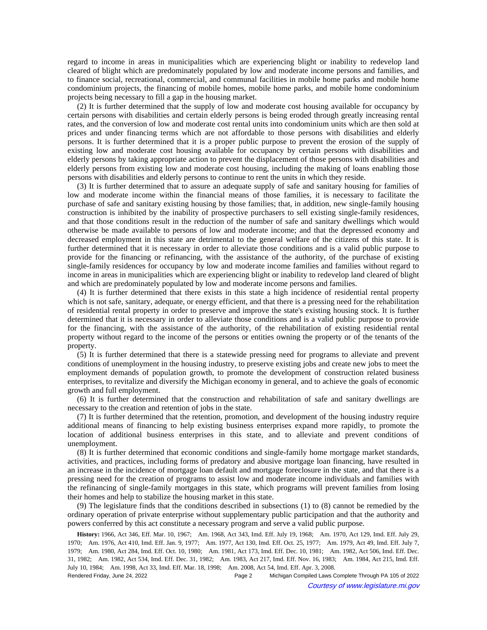regard to income in areas in municipalities which are experiencing blight or inability to redevelop land cleared of blight which are predominately populated by low and moderate income persons and families, and to finance social, recreational, commercial, and communal facilities in mobile home parks and mobile home condominium projects, the financing of mobile homes, mobile home parks, and mobile home condominium projects being necessary to fill a gap in the housing market.

(2) It is further determined that the supply of low and moderate cost housing available for occupancy by certain persons with disabilities and certain elderly persons is being eroded through greatly increasing rental rates, and the conversion of low and moderate cost rental units into condominium units which are then sold at prices and under financing terms which are not affordable to those persons with disabilities and elderly persons. It is further determined that it is a proper public purpose to prevent the erosion of the supply of existing low and moderate cost housing available for occupancy by certain persons with disabilities and elderly persons by taking appropriate action to prevent the displacement of those persons with disabilities and elderly persons from existing low and moderate cost housing, including the making of loans enabling those persons with disabilities and elderly persons to continue to rent the units in which they reside.

(3) It is further determined that to assure an adequate supply of safe and sanitary housing for families of low and moderate income within the financial means of those families, it is necessary to facilitate the purchase of safe and sanitary existing housing by those families; that, in addition, new single-family housing construction is inhibited by the inability of prospective purchasers to sell existing single-family residences, and that those conditions result in the reduction of the number of safe and sanitary dwellings which would otherwise be made available to persons of low and moderate income; and that the depressed economy and decreased employment in this state are detrimental to the general welfare of the citizens of this state. It is further determined that it is necessary in order to alleviate those conditions and is a valid public purpose to provide for the financing or refinancing, with the assistance of the authority, of the purchase of existing single-family residences for occupancy by low and moderate income families and families without regard to income in areas in municipalities which are experiencing blight or inability to redevelop land cleared of blight and which are predominately populated by low and moderate income persons and families.

(4) It is further determined that there exists in this state a high incidence of residential rental property which is not safe, sanitary, adequate, or energy efficient, and that there is a pressing need for the rehabilitation of residential rental property in order to preserve and improve the state's existing housing stock. It is further determined that it is necessary in order to alleviate those conditions and is a valid public purpose to provide for the financing, with the assistance of the authority, of the rehabilitation of existing residential rental property without regard to the income of the persons or entities owning the property or of the tenants of the property.

(5) It is further determined that there is a statewide pressing need for programs to alleviate and prevent conditions of unemployment in the housing industry, to preserve existing jobs and create new jobs to meet the employment demands of population growth, to promote the development of construction related business enterprises, to revitalize and diversify the Michigan economy in general, and to achieve the goals of economic growth and full employment.

(6) It is further determined that the construction and rehabilitation of safe and sanitary dwellings are necessary to the creation and retention of jobs in the state.

(7) It is further determined that the retention, promotion, and development of the housing industry require additional means of financing to help existing business enterprises expand more rapidly, to promote the location of additional business enterprises in this state, and to alleviate and prevent conditions of unemployment.

(8) It is further determined that economic conditions and single-family home mortgage market standards, activities, and practices, including forms of predatory and abusive mortgage loan financing, have resulted in an increase in the incidence of mortgage loan default and mortgage foreclosure in the state, and that there is a pressing need for the creation of programs to assist low and moderate income individuals and families with the refinancing of single-family mortgages in this state, which programs will prevent families from losing their homes and help to stabilize the housing market in this state.

(9) The legislature finds that the conditions described in subsections (1) to (8) cannot be remedied by the ordinary operation of private enterprise without supplementary public participation and that the authority and powers conferred by this act constitute a necessary program and serve a valid public purpose.

History: 1966, Act 346, Eff. Mar. 10, 1967;**--**Am. 1968, Act 343, Imd. Eff. July 19, 1968;**--**Am. 1970, Act 129, Imd. Eff. July 29, 1970;—Am. 1976, Act 410, Imd. Eff. Jan. 9, 1977;—Am. 1977, Act 130, Imd. Eff. Oct. 25, 1977;—Am. 1979, Act 49, Imd. Eff. July 7, 1979;—Am. 1980, Act 284, Imd. Eff. Oct. 10, 1980;—Am. 1981, Act 173, Imd. Eff. Dec. 10, 1981;—Am. 1982, Act 506, Imd. Eff. Dec. 31, 1982;-Am. 1982, Act 534, Imd. Eff. Dec. 31, 1982;-Am. 1983, Act 217, Imd. Eff. Nov. 16, 1983;-Am. 1984, Act 215, Imd. Eff. July 10, 1984;—Am. 1998, Act 33, Imd. Eff. Mar. 18, 1998;—Am. 2008, Act 54, Imd. Eff. Apr. 3, 2008.

Rendered Friday, June 24, 2022 Page 2 Michigan Compiled Laws Complete Through PA 105 of 2022 Courtesy of www.legislature.mi.gov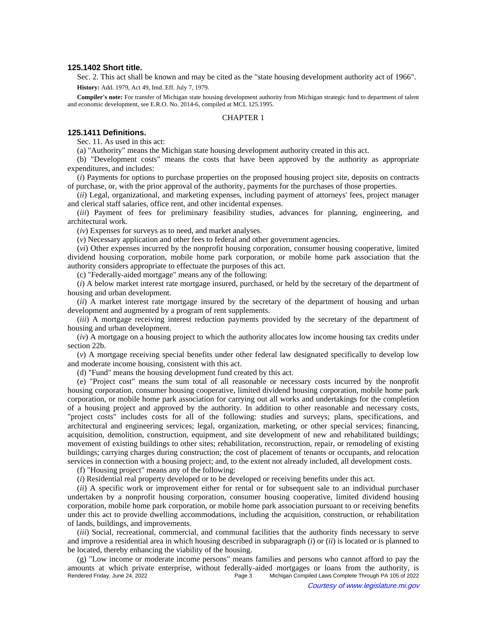### **125.1402 Short title.**

Sec. 2. This act shall be known and may be cited as the "state housing development authority act of 1966". **History:** Add. 1979, Act 49, Imd. Eff. July 7, 1979.

**Compiler's note:** For transfer of Michigan state housing development authority from Michigan strategic fund to department of talent and economic development, see E.R.O. No. 2014-6, compiled at MCL 125.1995.

# CHAPTER 1

# **125.1411 Definitions.**

Sec. 11. As used in this act:

(a) "Authority" means the Michigan state housing development authority created in this act.

(b) "Development costs" means the costs that have been approved by the authority as appropriate expenditures, and includes:

(*i*) Payments for options to purchase properties on the proposed housing project site, deposits on contracts of purchase, or, with the prior approval of the authority, payments for the purchases of those properties.

(*ii*) Legal, organizational, and marketing expenses, including payment of attorneys' fees, project manager and clerical staff salaries, office rent, and other incidental expenses.

(*iii*) Payment of fees for preliminary feasibility studies, advances for planning, engineering, and architectural work.

(*iv*) Expenses for surveys as to need, and market analyses.

(*v*) Necessary application and other fees to federal and other government agencies.

(*vi*) Other expenses incurred by the nonprofit housing corporation, consumer housing cooperative, limited dividend housing corporation, mobile home park corporation, or mobile home park association that the authority considers appropriate to effectuate the purposes of this act.

(c) "Federally-aided mortgage" means any of the following:

(*i*) A below market interest rate mortgage insured, purchased, or held by the secretary of the department of housing and urban development.

(*ii*) A market interest rate mortgage insured by the secretary of the department of housing and urban development and augmented by a program of rent supplements.

(*iii*) A mortgage receiving interest reduction payments provided by the secretary of the department of housing and urban development.

(*iv*) A mortgage on a housing project to which the authority allocates low income housing tax credits under section 22b.

(*v*) A mortgage receiving special benefits under other federal law designated specifically to develop low and moderate income housing, consistent with this act.

(d) "Fund" means the housing development fund created by this act.

(e) "Project cost" means the sum total of all reasonable or necessary costs incurred by the nonprofit housing corporation, consumer housing cooperative, limited dividend housing corporation, mobile home park corporation, or mobile home park association for carrying out all works and undertakings for the completion of a housing project and approved by the authority. In addition to other reasonable and necessary costs, "project costs" includes costs for all of the following: studies and surveys; plans, specifications, and architectural and engineering services; legal, organization, marketing, or other special services; financing, acquisition, demolition, construction, equipment, and site development of new and rehabilitated buildings; movement of existing buildings to other sites; rehabilitation, reconstruction, repair, or remodeling of existing buildings; carrying charges during construction; the cost of placement of tenants or occupants, and relocation services in connection with a housing project; and, to the extent not already included, all development costs.

(f) "Housing project" means any of the following:

(*i*) Residential real property developed or to be developed or receiving benefits under this act.

(*ii*) A specific work or improvement either for rental or for subsequent sale to an individual purchaser undertaken by a nonprofit housing corporation, consumer housing cooperative, limited dividend housing corporation, mobile home park corporation, or mobile home park association pursuant to or receiving benefits under this act to provide dwelling accommodations, including the acquisition, construction, or rehabilitation of lands, buildings, and improvements.

(*iii*) Social, recreational, commercial, and communal facilities that the authority finds necessary to serve and improve a residential area in which housing described in subparagraph (*i*) or (*ii*) is located or is planned to be located, thereby enhancing the viability of the housing.

(g) "Low income or moderate income persons" means families and persons who cannot afford to pay the amounts at which private enterprise, without federally-aided mortgages or loans from the authority, is<br>Page 3 Michigan Compiled Laws Complete Through PA 105 of 2022 Michigan Compiled Laws Complete Through PA 105 of 2022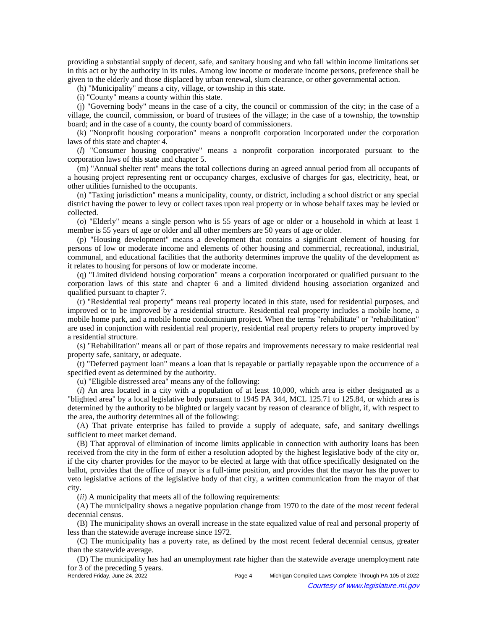providing a substantial supply of decent, safe, and sanitary housing and who fall within income limitations set in this act or by the authority in its rules. Among low income or moderate income persons, preference shall be given to the elderly and those displaced by urban renewal, slum clearance, or other governmental action.

(h) "Municipality" means a city, village, or township in this state.

(i) "County" means a county within this state.

(j) "Governing body" means in the case of a city, the council or commission of the city; in the case of a village, the council, commission, or board of trustees of the village; in the case of a township, the township board; and in the case of a county, the county board of commissioners.

(k) "Nonprofit housing corporation" means a nonprofit corporation incorporated under the corporation laws of this state and chapter 4.

(*l*) "Consumer housing cooperative" means a nonprofit corporation incorporated pursuant to the corporation laws of this state and chapter 5.

(m) "Annual shelter rent" means the total collections during an agreed annual period from all occupants of a housing project representing rent or occupancy charges, exclusive of charges for gas, electricity, heat, or other utilities furnished to the occupants.

(n) "Taxing jurisdiction" means a municipality, county, or district, including a school district or any special district having the power to levy or collect taxes upon real property or in whose behalf taxes may be levied or collected.

(o) "Elderly" means a single person who is 55 years of age or older or a household in which at least 1 member is 55 years of age or older and all other members are 50 years of age or older.

(p) "Housing development" means a development that contains a significant element of housing for persons of low or moderate income and elements of other housing and commercial, recreational, industrial, communal, and educational facilities that the authority determines improve the quality of the development as it relates to housing for persons of low or moderate income.

(q) "Limited dividend housing corporation" means a corporation incorporated or qualified pursuant to the corporation laws of this state and chapter 6 and a limited dividend housing association organized and qualified pursuant to chapter 7.

(r) "Residential real property" means real property located in this state, used for residential purposes, and improved or to be improved by a residential structure. Residential real property includes a mobile home, a mobile home park, and a mobile home condominium project. When the terms "rehabilitate" or "rehabilitation" are used in conjunction with residential real property, residential real property refers to property improved by a residential structure.

(s) "Rehabilitation" means all or part of those repairs and improvements necessary to make residential real property safe, sanitary, or adequate.

(t) "Deferred payment loan" means a loan that is repayable or partially repayable upon the occurrence of a specified event as determined by the authority.

(u) "Eligible distressed area" means any of the following:

(*i*) An area located in a city with a population of at least 10,000, which area is either designated as a "blighted area" by a local legislative body pursuant to 1945 PA 344, MCL 125.71 to 125.84, or which area is determined by the authority to be blighted or largely vacant by reason of clearance of blight, if, with respect to the area, the authority determines all of the following:

(A) That private enterprise has failed to provide a supply of adequate, safe, and sanitary dwellings sufficient to meet market demand.

(B) That approval of elimination of income limits applicable in connection with authority loans has been received from the city in the form of either a resolution adopted by the highest legislative body of the city or, if the city charter provides for the mayor to be elected at large with that office specifically designated on the ballot, provides that the office of mayor is a full-time position, and provides that the mayor has the power to veto legislative actions of the legislative body of that city, a written communication from the mayor of that city.

(*ii*) A municipality that meets all of the following requirements:

(A) The municipality shows a negative population change from 1970 to the date of the most recent federal decennial census.

(B) The municipality shows an overall increase in the state equalized value of real and personal property of less than the statewide average increase since 1972.

(C) The municipality has a poverty rate, as defined by the most recent federal decennial census, greater than the statewide average.

(D) The municipality has had an unemployment rate higher than the statewide average unemployment rate for 3 of the preceding 5 years.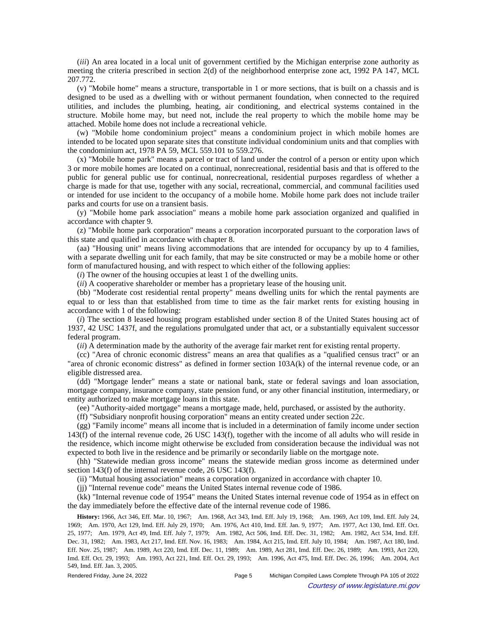(*iii*) An area located in a local unit of government certified by the Michigan enterprise zone authority as meeting the criteria prescribed in section 2(d) of the neighborhood enterprise zone act, 1992 PA 147, MCL 207.772.

(v) "Mobile home" means a structure, transportable in 1 or more sections, that is built on a chassis and is designed to be used as a dwelling with or without permanent foundation, when connected to the required utilities, and includes the plumbing, heating, air conditioning, and electrical systems contained in the structure. Mobile home may, but need not, include the real property to which the mobile home may be attached. Mobile home does not include a recreational vehicle.

(w) "Mobile home condominium project" means a condominium project in which mobile homes are intended to be located upon separate sites that constitute individual condominium units and that complies with the condominium act, 1978 PA 59, MCL 559.101 to 559.276.

(x) "Mobile home park" means a parcel or tract of land under the control of a person or entity upon which 3 or more mobile homes are located on a continual, nonrecreational, residential basis and that is offered to the public for general public use for continual, nonrecreational, residential purposes regardless of whether a charge is made for that use, together with any social, recreational, commercial, and communal facilities used or intended for use incident to the occupancy of a mobile home. Mobile home park does not include trailer parks and courts for use on a transient basis.

(y) "Mobile home park association" means a mobile home park association organized and qualified in accordance with chapter 9.

(z) "Mobile home park corporation" means a corporation incorporated pursuant to the corporation laws of this state and qualified in accordance with chapter 8.

(aa) "Housing unit" means living accommodations that are intended for occupancy by up to 4 families, with a separate dwelling unit for each family, that may be site constructed or may be a mobile home or other form of manufactured housing, and with respect to which either of the following applies:

(*i*) The owner of the housing occupies at least 1 of the dwelling units.

(*ii*) A cooperative shareholder or member has a proprietary lease of the housing unit.

(bb) "Moderate cost residential rental property" means dwelling units for which the rental payments are equal to or less than that established from time to time as the fair market rents for existing housing in accordance with 1 of the following:

(*i*) The section 8 leased housing program established under section 8 of the United States housing act of 1937, 42 USC 1437f, and the regulations promulgated under that act, or a substantially equivalent successor federal program.

(*ii*) A determination made by the authority of the average fair market rent for existing rental property.

(cc) "Area of chronic economic distress" means an area that qualifies as a "qualified census tract" or an "area of chronic economic distress" as defined in former section 103A(k) of the internal revenue code, or an eligible distressed area.

(dd) "Mortgage lender" means a state or national bank, state or federal savings and loan association, mortgage company, insurance company, state pension fund, or any other financial institution, intermediary, or entity authorized to make mortgage loans in this state.

(ee) "Authority-aided mortgage" means a mortgage made, held, purchased, or assisted by the authority.

(ff) "Subsidiary nonprofit housing corporation" means an entity created under section 22c.

(gg) "Family income" means all income that is included in a determination of family income under section 143(f) of the internal revenue code, 26 USC 143(f), together with the income of all adults who will reside in the residence, which income might otherwise be excluded from consideration because the individual was not expected to both live in the residence and be primarily or secondarily liable on the mortgage note.

(hh) "Statewide median gross income" means the statewide median gross income as determined under section 143(f) of the internal revenue code, 26 USC 143(f).

(ii) "Mutual housing association" means a corporation organized in accordance with chapter 10.

(jj) "Internal revenue code" means the United States internal revenue code of 1986.

(kk) "Internal revenue code of 1954" means the United States internal revenue code of 1954 as in effect on the day immediately before the effective date of the internal revenue code of 1986.

History: 1966, Act 346, Eff. Mar. 10, 1967;—Am. 1968, Act 343, Imd. Eff. July 19, 1968;—Am. 1969, Act 109, Imd. Eff. July 24, 1969;—Am. 1970, Act 129, Imd. Eff. July 29, 1970;—Am. 1976, Act 410, Imd. Eff. Jan. 9, 1977;—Am. 1977, Act 130, Imd. Eff. Oct. 25, 1977;—Am. 1979, Act 49, Imd. Eff. July 7, 1979;—Am. 1982, Act 506, Imd. Eff. Dec. 31, 1982;—Am. 1982, Act 534, Imd. Eff. Dec. 31, 1982;—Am. 1983, Act 217, Imd. Eff. Nov. 16, 1983;—Am. 1984, Act 215, Imd. Eff. July 10, 1984;—Am. 1987, Act 180, Imd. Eff. Nov. 25, 1987;—Am. 1989, Act 220, Imd. Eff. Dec. 11, 1989;—Am. 1989, Act 281, Imd. Eff. Dec. 26, 1989;—Am. 1993, Act 220, Imd. Eff. Oct. 29, 1993;—Am. 1993, Act 221, Imd. Eff. Oct. 29, 1993;—Am. 1996, Act 475, Imd. Eff. Dec. 26, 1996;—Am. 2004, Act 549, Imd. Eff. Jan. 3, 2005.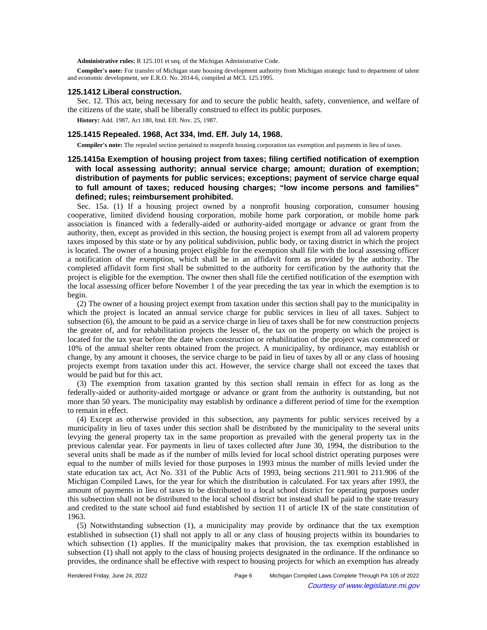**Administrative rules:** R 125.101 et seq. of the Michigan Administrative Code.

**Compiler's note:** For transfer of Michigan state housing development authority from Michigan strategic fund to department of talent and economic development, see E.R.O. No. 2014-6, compiled at MCL 125.1995.

#### **125.1412 Liberal construction.**

Sec. 12. This act, being necessary for and to secure the public health, safety, convenience, and welfare of the citizens of the state, shall be liberally construed to effect its public purposes.

**History:** Add. 1987, Act 180, Imd. Eff. Nov. 25, 1987.

#### **125.1415 Repealed. 1968, Act 334, Imd. Eff. July 14, 1968.**

**Compiler's note:** The repealed section pertained to nonprofit housing corporation tax exemption and payments in lieu of taxes.

# **125.1415a Exemption of housing project from taxes; filing certified notification of exemption with local assessing authority; annual service charge; amount; duration of exemption; distribution of payments for public services; exceptions; payment of service charge equal to full amount of taxes; reduced housing charges; "low income persons and families" defined; rules; reimbursement prohibited.**

Sec. 15a. (1) If a housing project owned by a nonprofit housing corporation, consumer housing cooperative, limited dividend housing corporation, mobile home park corporation, or mobile home park association is financed with a federally-aided or authority-aided mortgage or advance or grant from the authority, then, except as provided in this section, the housing project is exempt from all ad valorem property taxes imposed by this state or by any political subdivision, public body, or taxing district in which the project is located. The owner of a housing project eligible for the exemption shall file with the local assessing officer a notification of the exemption, which shall be in an affidavit form as provided by the authority. The completed affidavit form first shall be submitted to the authority for certification by the authority that the project is eligible for the exemption. The owner then shall file the certified notification of the exemption with the local assessing officer before November 1 of the year preceding the tax year in which the exemption is to begin.

(2) The owner of a housing project exempt from taxation under this section shall pay to the municipality in which the project is located an annual service charge for public services in lieu of all taxes. Subject to subsection (6), the amount to be paid as a service charge in lieu of taxes shall be for new construction projects the greater of, and for rehabilitation projects the lesser of, the tax on the property on which the project is located for the tax year before the date when construction or rehabilitation of the project was commenced or 10% of the annual shelter rents obtained from the project. A municipality, by ordinance, may establish or change, by any amount it chooses, the service charge to be paid in lieu of taxes by all or any class of housing projects exempt from taxation under this act. However, the service charge shall not exceed the taxes that would be paid but for this act.

(3) The exemption from taxation granted by this section shall remain in effect for as long as the federally-aided or authority-aided mortgage or advance or grant from the authority is outstanding, but not more than 50 years. The municipality may establish by ordinance a different period of time for the exemption to remain in effect.

(4) Except as otherwise provided in this subsection, any payments for public services received by a municipality in lieu of taxes under this section shall be distributed by the municipality to the several units levying the general property tax in the same proportion as prevailed with the general property tax in the previous calendar year. For payments in lieu of taxes collected after June 30, 1994, the distribution to the several units shall be made as if the number of mills levied for local school district operating purposes were equal to the number of mills levied for those purposes in 1993 minus the number of mills levied under the state education tax act, Act No. 331 of the Public Acts of 1993, being sections 211.901 to 211.906 of the Michigan Compiled Laws, for the year for which the distribution is calculated. For tax years after 1993, the amount of payments in lieu of taxes to be distributed to a local school district for operating purposes under this subsection shall not be distributed to the local school district but instead shall be paid to the state treasury and credited to the state school aid fund established by section 11 of article IX of the state constitution of 1963.

(5) Notwithstanding subsection (1), a municipality may provide by ordinance that the tax exemption established in subsection (1) shall not apply to all or any class of housing projects within its boundaries to which subsection (1) applies. If the municipality makes that provision, the tax exemption established in subsection (1) shall not apply to the class of housing projects designated in the ordinance. If the ordinance so provides, the ordinance shall be effective with respect to housing projects for which an exemption has already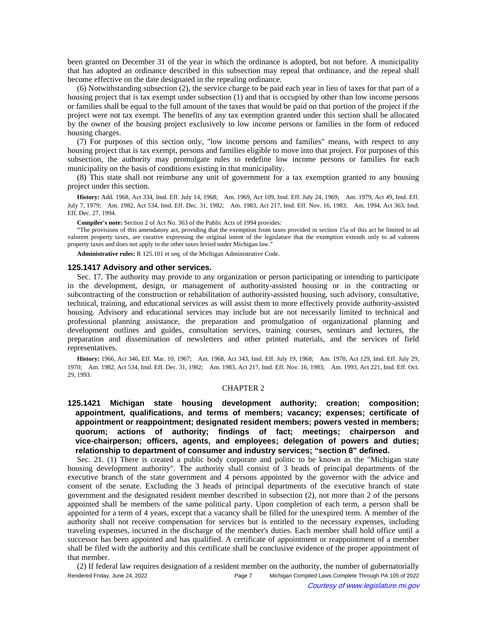been granted on December 31 of the year in which the ordinance is adopted, but not before. A municipality that has adopted an ordinance described in this subsection may repeal that ordinance, and the repeal shall become effective on the date designated in the repealing ordinance.

(6) Notwithstanding subsection (2), the service charge to be paid each year in lieu of taxes for that part of a housing project that is tax exempt under subsection (1) and that is occupied by other than low income persons or families shall be equal to the full amount of the taxes that would be paid on that portion of the project if the project were not tax exempt. The benefits of any tax exemption granted under this section shall be allocated by the owner of the housing project exclusively to low income persons or families in the form of reduced housing charges.

(7) For purposes of this section only, "low income persons and families" means, with respect to any housing project that is tax exempt, persons and families eligible to move into that project. For purposes of this subsection, the authority may promulgate rules to redefine low income persons or families for each municipality on the basis of conditions existing in that municipality.

(8) This state shall not reimburse any unit of government for a tax exemption granted to any housing project under this section.

History: Add. 1968, Act 334, Imd. Eff. July 14, 1968;-Am. 1969, Act 109, Imd. Eff. July 24, 1969;-Am. 1979, Act 49, Imd. Eff. July 7, 1979;—Am. 1982, Act 534, Imd. Eff. Dec. 31, 1982;—Am. 1983, Act 217, Imd. Eff. Nov. 16, 1983;—Am. 1994, Act 363, Imd. Eff. Dec. 27, 1994.

**Compiler's note:** Section 2 of Act No. 363 of the Public Acts of 1994 provides:

"The provisions of this amendatory act, providing that the exemption from taxes provided in section 15a of this act be limited to ad valorem property taxes, are curative expressing the original intent of the legislature that the exemption extends only to ad valorem property taxes and does not apply to the other taxes levied under Michigan law."

**Administrative rules:** R 125.101 et seq. of the Michigan Administrative Code.

## **125.1417 Advisory and other services.**

Sec. 17. The authority may provide to any organization or person participating or intending to participate in the development, design, or management of authority-assisted housing or in the contracting or subcontracting of the construction or rehabilitation of authority-assisted housing, such advisory, consultative, technical, training, and educational services as will assist them to more effectively provide authority-assisted housing. Advisory and educational services may include but are not necessarily limited to technical and professional planning assistance, the preparation and promulgation of organizational planning and development outlines and guides, consultation services, training courses, seminars and lectures, the preparation and dissemination of newsletters and other printed materials, and the services of field representatives.

History: 1966, Act 346, Eff. Mar. 10, 1967;**--**Am. 1968, Act 343, Imd. Eff. July 19, 1968;**--**Am. 1970, Act 129, Imd. Eff. July 29, 1970;—Am. 1982, Act 534, Imd. Eff. Dec. 31, 1982;—Am. 1983, Act 217, Imd. Eff. Nov. 16, 1983;—Am. 1993, Act 221, Imd. Eff. Oct. 29, 1993.

### CHAPTER 2

**125.1421 Michigan state housing development authority; creation; composition; appointment, qualifications, and terms of members; vacancy; expenses; certificate of appointment or reappointment; designated resident members; powers vested in members; quorum; actions of authority; findings of fact; meetings; chairperson and vice-chairperson; officers, agents, and employees; delegation of powers and duties; relationship to department of consumer and industry services; "section 8" defined.**

Sec. 21. (1) There is created a public body corporate and politic to be known as the "Michigan state housing development authority". The authority shall consist of 3 heads of principal departments of the executive branch of the state government and 4 persons appointed by the governor with the advice and consent of the senate. Excluding the 3 heads of principal departments of the executive branch of state government and the designated resident member described in subsection (2), not more than 2 of the persons appointed shall be members of the same political party. Upon completion of each term, a person shall be appointed for a term of 4 years, except that a vacancy shall be filled for the unexpired term. A member of the authority shall not receive compensation for services but is entitled to the necessary expenses, including traveling expenses, incurred in the discharge of the member's duties. Each member shall hold office until a successor has been appointed and has qualified. A certificate of appointment or reappointment of a member shall be filed with the authority and this certificate shall be conclusive evidence of the proper appointment of that member.

(2) If federal law requires designation of a resident member on the authority, the number of gubernatorially Rendered Friday, June 24, 2022 Page 7 Michigan Compiled Laws Complete Through PA 105 of 2022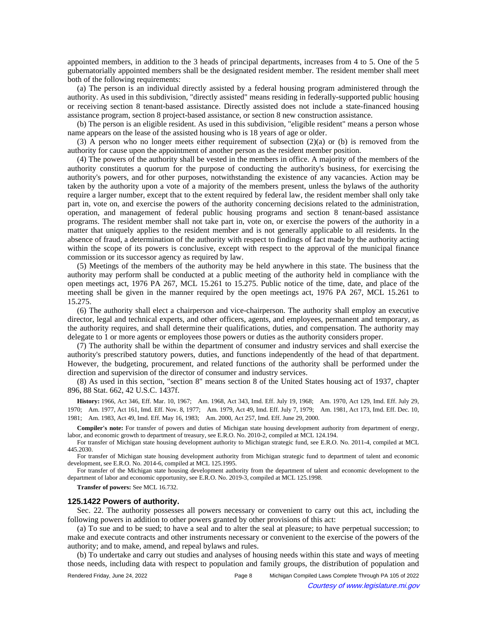appointed members, in addition to the 3 heads of principal departments, increases from 4 to 5. One of the 5 gubernatorially appointed members shall be the designated resident member. The resident member shall meet both of the following requirements:

(a) The person is an individual directly assisted by a federal housing program administered through the authority. As used in this subdivision, "directly assisted" means residing in federally-supported public housing or receiving section 8 tenant-based assistance. Directly assisted does not include a state-financed housing assistance program, section 8 project-based assistance, or section 8 new construction assistance.

(b) The person is an eligible resident. As used in this subdivision, "eligible resident" means a person whose name appears on the lease of the assisted housing who is 18 years of age or older.

(3) A person who no longer meets either requirement of subsection (2)(a) or (b) is removed from the authority for cause upon the appointment of another person as the resident member position.

(4) The powers of the authority shall be vested in the members in office. A majority of the members of the authority constitutes a quorum for the purpose of conducting the authority's business, for exercising the authority's powers, and for other purposes, notwithstanding the existence of any vacancies. Action may be taken by the authority upon a vote of a majority of the members present, unless the bylaws of the authority require a larger number, except that to the extent required by federal law, the resident member shall only take part in, vote on, and exercise the powers of the authority concerning decisions related to the administration, operation, and management of federal public housing programs and section 8 tenant-based assistance programs. The resident member shall not take part in, vote on, or exercise the powers of the authority in a matter that uniquely applies to the resident member and is not generally applicable to all residents. In the absence of fraud, a determination of the authority with respect to findings of fact made by the authority acting within the scope of its powers is conclusive, except with respect to the approval of the municipal finance commission or its successor agency as required by law.

(5) Meetings of the members of the authority may be held anywhere in this state. The business that the authority may perform shall be conducted at a public meeting of the authority held in compliance with the open meetings act, 1976 PA 267, MCL 15.261 to 15.275. Public notice of the time, date, and place of the meeting shall be given in the manner required by the open meetings act, 1976 PA 267, MCL 15.261 to 15.275.

(6) The authority shall elect a chairperson and vice-chairperson. The authority shall employ an executive director, legal and technical experts, and other officers, agents, and employees, permanent and temporary, as the authority requires, and shall determine their qualifications, duties, and compensation. The authority may delegate to 1 or more agents or employees those powers or duties as the authority considers proper.

(7) The authority shall be within the department of consumer and industry services and shall exercise the authority's prescribed statutory powers, duties, and functions independently of the head of that department. However, the budgeting, procurement, and related functions of the authority shall be performed under the direction and supervision of the director of consumer and industry services.

(8) As used in this section, "section 8" means section 8 of the United States housing act of 1937, chapter 896, 88 Stat. 662, 42 U.S.C. 1437f.

History: 1966, Act 346, Eff. Mar. 10, 1967;—Am. 1968, Act 343, Imd. Eff. July 19, 1968;—Am. 1970, Act 129, Imd. Eff. July 29, 1970;—Am. 1977, Act 161, Imd. Eff. Nov. 8, 1977;—Am. 1979, Act 49, Imd. Eff. July 7, 1979;—Am. 1981, Act 173, Imd. Eff. Dec. 10, 1981; Am. 1983, Act 49, Imd. Eff. May 16, 1983; Am. 2000, Act 257, Imd. Eff. June 29, 2000.

**Compiler's note:** For transfer of powers and duties of Michigan state housing development authority from department of energy, labor, and economic growth to department of treasury, see E.R.O. No. 2010-2, compiled at MCL 124.194.

For transfer of Michigan state housing development authority to Michigan strategic fund, see E.R.O. No. 2011-4, compiled at MCL 445.2030.

For transfer of Michigan state housing development authority from Michigan strategic fund to department of talent and economic development, see E.R.O. No. 2014-6, compiled at MCL 125.1995.

For transfer of the Michigan state housing development authority from the department of talent and economic development to the department of labor and economic opportunity, see E.R.O. No. 2019-3, compiled at MCL 125.1998.

**Transfer of powers:** See MCL 16.732.

#### **125.1422 Powers of authority.**

Sec. 22. The authority possesses all powers necessary or convenient to carry out this act, including the following powers in addition to other powers granted by other provisions of this act:

(a) To sue and to be sued; to have a seal and to alter the seal at pleasure; to have perpetual succession; to make and execute contracts and other instruments necessary or convenient to the exercise of the powers of the authority; and to make, amend, and repeal bylaws and rules.

(b) To undertake and carry out studies and analyses of housing needs within this state and ways of meeting those needs, including data with respect to population and family groups, the distribution of population and

Rendered Friday, June 24, 2022 Page 8 Michigan Compiled Laws Complete Through PA 105 of 2022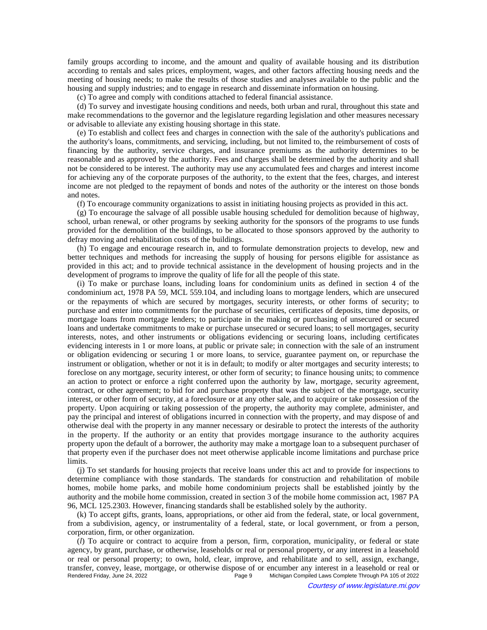family groups according to income, and the amount and quality of available housing and its distribution according to rentals and sales prices, employment, wages, and other factors affecting housing needs and the meeting of housing needs; to make the results of those studies and analyses available to the public and the housing and supply industries; and to engage in research and disseminate information on housing.

(c) To agree and comply with conditions attached to federal financial assistance.

(d) To survey and investigate housing conditions and needs, both urban and rural, throughout this state and make recommendations to the governor and the legislature regarding legislation and other measures necessary or advisable to alleviate any existing housing shortage in this state.

(e) To establish and collect fees and charges in connection with the sale of the authority's publications and the authority's loans, commitments, and servicing, including, but not limited to, the reimbursement of costs of financing by the authority, service charges, and insurance premiums as the authority determines to be reasonable and as approved by the authority. Fees and charges shall be determined by the authority and shall not be considered to be interest. The authority may use any accumulated fees and charges and interest income for achieving any of the corporate purposes of the authority, to the extent that the fees, charges, and interest income are not pledged to the repayment of bonds and notes of the authority or the interest on those bonds and notes.

(f) To encourage community organizations to assist in initiating housing projects as provided in this act.

(g) To encourage the salvage of all possible usable housing scheduled for demolition because of highway, school, urban renewal, or other programs by seeking authority for the sponsors of the programs to use funds provided for the demolition of the buildings, to be allocated to those sponsors approved by the authority to defray moving and rehabilitation costs of the buildings.

(h) To engage and encourage research in, and to formulate demonstration projects to develop, new and better techniques and methods for increasing the supply of housing for persons eligible for assistance as provided in this act; and to provide technical assistance in the development of housing projects and in the development of programs to improve the quality of life for all the people of this state.

(i) To make or purchase loans, including loans for condominium units as defined in section 4 of the condominium act, 1978 PA 59, MCL 559.104, and including loans to mortgage lenders, which are unsecured or the repayments of which are secured by mortgages, security interests, or other forms of security; to purchase and enter into commitments for the purchase of securities, certificates of deposits, time deposits, or mortgage loans from mortgage lenders; to participate in the making or purchasing of unsecured or secured loans and undertake commitments to make or purchase unsecured or secured loans; to sell mortgages, security interests, notes, and other instruments or obligations evidencing or securing loans, including certificates evidencing interests in 1 or more loans, at public or private sale; in connection with the sale of an instrument or obligation evidencing or securing 1 or more loans, to service, guarantee payment on, or repurchase the instrument or obligation, whether or not it is in default; to modify or alter mortgages and security interests; to foreclose on any mortgage, security interest, or other form of security; to finance housing units; to commence an action to protect or enforce a right conferred upon the authority by law, mortgage, security agreement, contract, or other agreement; to bid for and purchase property that was the subject of the mortgage, security interest, or other form of security, at a foreclosure or at any other sale, and to acquire or take possession of the property. Upon acquiring or taking possession of the property, the authority may complete, administer, and pay the principal and interest of obligations incurred in connection with the property, and may dispose of and otherwise deal with the property in any manner necessary or desirable to protect the interests of the authority in the property. If the authority or an entity that provides mortgage insurance to the authority acquires property upon the default of a borrower, the authority may make a mortgage loan to a subsequent purchaser of that property even if the purchaser does not meet otherwise applicable income limitations and purchase price limits.

(j) To set standards for housing projects that receive loans under this act and to provide for inspections to determine compliance with those standards. The standards for construction and rehabilitation of mobile homes, mobile home parks, and mobile home condominium projects shall be established jointly by the authority and the mobile home commission, created in section 3 of the mobile home commission act, 1987 PA 96, MCL 125.2303. However, financing standards shall be established solely by the authority.

(k) To accept gifts, grants, loans, appropriations, or other aid from the federal, state, or local government, from a subdivision, agency, or instrumentality of a federal, state, or local government, or from a person, corporation, firm, or other organization.

(*l*) To acquire or contract to acquire from a person, firm, corporation, municipality, or federal or state agency, by grant, purchase, or otherwise, leaseholds or real or personal property, or any interest in a leasehold or real or personal property; to own, hold, clear, improve, and rehabilitate and to sell, assign, exchange, transfer, convey, lease, mortgage, or otherwise dispose of or encumber any interest in a leasehold or real or Michigan Compiled Laws Complete Through PA 105 of 2022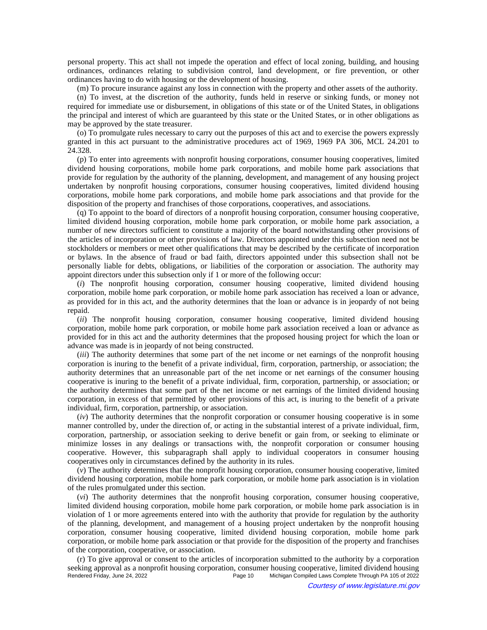personal property. This act shall not impede the operation and effect of local zoning, building, and housing ordinances, ordinances relating to subdivision control, land development, or fire prevention, or other ordinances having to do with housing or the development of housing.

(m) To procure insurance against any loss in connection with the property and other assets of the authority.

(n) To invest, at the discretion of the authority, funds held in reserve or sinking funds, or money not required for immediate use or disbursement, in obligations of this state or of the United States, in obligations the principal and interest of which are guaranteed by this state or the United States, or in other obligations as may be approved by the state treasurer.

(o) To promulgate rules necessary to carry out the purposes of this act and to exercise the powers expressly granted in this act pursuant to the administrative procedures act of 1969, 1969 PA 306, MCL 24.201 to 24.328.

(p) To enter into agreements with nonprofit housing corporations, consumer housing cooperatives, limited dividend housing corporations, mobile home park corporations, and mobile home park associations that provide for regulation by the authority of the planning, development, and management of any housing project undertaken by nonprofit housing corporations, consumer housing cooperatives, limited dividend housing corporations, mobile home park corporations, and mobile home park associations and that provide for the disposition of the property and franchises of those corporations, cooperatives, and associations.

(q) To appoint to the board of directors of a nonprofit housing corporation, consumer housing cooperative, limited dividend housing corporation, mobile home park corporation, or mobile home park association, a number of new directors sufficient to constitute a majority of the board notwithstanding other provisions of the articles of incorporation or other provisions of law. Directors appointed under this subsection need not be stockholders or members or meet other qualifications that may be described by the certificate of incorporation or bylaws. In the absence of fraud or bad faith, directors appointed under this subsection shall not be personally liable for debts, obligations, or liabilities of the corporation or association. The authority may appoint directors under this subsection only if 1 or more of the following occur:

(*i*) The nonprofit housing corporation, consumer housing cooperative, limited dividend housing corporation, mobile home park corporation, or mobile home park association has received a loan or advance, as provided for in this act, and the authority determines that the loan or advance is in jeopardy of not being repaid.

(*ii*) The nonprofit housing corporation, consumer housing cooperative, limited dividend housing corporation, mobile home park corporation, or mobile home park association received a loan or advance as provided for in this act and the authority determines that the proposed housing project for which the loan or advance was made is in jeopardy of not being constructed.

(*iii*) The authority determines that some part of the net income or net earnings of the nonprofit housing corporation is inuring to the benefit of a private individual, firm, corporation, partnership, or association; the authority determines that an unreasonable part of the net income or net earnings of the consumer housing cooperative is inuring to the benefit of a private individual, firm, corporation, partnership, or association; or the authority determines that some part of the net income or net earnings of the limited dividend housing corporation, in excess of that permitted by other provisions of this act, is inuring to the benefit of a private individual, firm, corporation, partnership, or association.

(*iv*) The authority determines that the nonprofit corporation or consumer housing cooperative is in some manner controlled by, under the direction of, or acting in the substantial interest of a private individual, firm, corporation, partnership, or association seeking to derive benefit or gain from, or seeking to eliminate or minimize losses in any dealings or transactions with, the nonprofit corporation or consumer housing cooperative. However, this subparagraph shall apply to individual cooperators in consumer housing cooperatives only in circumstances defined by the authority in its rules.

(*v*) The authority determines that the nonprofit housing corporation, consumer housing cooperative, limited dividend housing corporation, mobile home park corporation, or mobile home park association is in violation of the rules promulgated under this section.

(*vi*) The authority determines that the nonprofit housing corporation, consumer housing cooperative, limited dividend housing corporation, mobile home park corporation, or mobile home park association is in violation of 1 or more agreements entered into with the authority that provide for regulation by the authority of the planning, development, and management of a housing project undertaken by the nonprofit housing corporation, consumer housing cooperative, limited dividend housing corporation, mobile home park corporation, or mobile home park association or that provide for the disposition of the property and franchises of the corporation, cooperative, or association.

(r) To give approval or consent to the articles of incorporation submitted to the authority by a corporation seeking approval as a nonprofit housing corporation, consumer housing cooperative, limited dividend housing<br>Page 10 Michigan Compiled Laws Complete Through PA 105 of 2022 Michigan Compiled Laws Complete Through PA 105 of 2022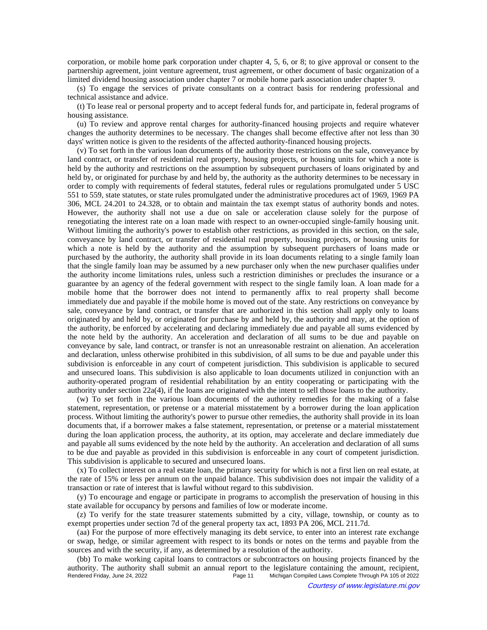corporation, or mobile home park corporation under chapter 4, 5, 6, or 8; to give approval or consent to the partnership agreement, joint venture agreement, trust agreement, or other document of basic organization of a limited dividend housing association under chapter 7 or mobile home park association under chapter 9.

(s) To engage the services of private consultants on a contract basis for rendering professional and technical assistance and advice.

(t) To lease real or personal property and to accept federal funds for, and participate in, federal programs of housing assistance.

(u) To review and approve rental charges for authority-financed housing projects and require whatever changes the authority determines to be necessary. The changes shall become effective after not less than 30 days' written notice is given to the residents of the affected authority-financed housing projects.

(v) To set forth in the various loan documents of the authority those restrictions on the sale, conveyance by land contract, or transfer of residential real property, housing projects, or housing units for which a note is held by the authority and restrictions on the assumption by subsequent purchasers of loans originated by and held by, or originated for purchase by and held by, the authority as the authority determines to be necessary in order to comply with requirements of federal statutes, federal rules or regulations promulgated under 5 USC 551 to 559, state statutes, or state rules promulgated under the administrative procedures act of 1969, 1969 PA 306, MCL 24.201 to 24.328, or to obtain and maintain the tax exempt status of authority bonds and notes. However, the authority shall not use a due on sale or acceleration clause solely for the purpose of renegotiating the interest rate on a loan made with respect to an owner-occupied single-family housing unit. Without limiting the authority's power to establish other restrictions, as provided in this section, on the sale, conveyance by land contract, or transfer of residential real property, housing projects, or housing units for which a note is held by the authority and the assumption by subsequent purchasers of loans made or purchased by the authority, the authority shall provide in its loan documents relating to a single family loan that the single family loan may be assumed by a new purchaser only when the new purchaser qualifies under the authority income limitations rules, unless such a restriction diminishes or precludes the insurance or a guarantee by an agency of the federal government with respect to the single family loan. A loan made for a mobile home that the borrower does not intend to permanently affix to real property shall become immediately due and payable if the mobile home is moved out of the state. Any restrictions on conveyance by sale, conveyance by land contract, or transfer that are authorized in this section shall apply only to loans originated by and held by, or originated for purchase by and held by, the authority and may, at the option of the authority, be enforced by accelerating and declaring immediately due and payable all sums evidenced by the note held by the authority. An acceleration and declaration of all sums to be due and payable on conveyance by sale, land contract, or transfer is not an unreasonable restraint on alienation. An acceleration and declaration, unless otherwise prohibited in this subdivision, of all sums to be due and payable under this subdivision is enforceable in any court of competent jurisdiction. This subdivision is applicable to secured and unsecured loans. This subdivision is also applicable to loan documents utilized in conjunction with an authority-operated program of residential rehabilitation by an entity cooperating or participating with the authority under section 22a(4), if the loans are originated with the intent to sell those loans to the authority.

(w) To set forth in the various loan documents of the authority remedies for the making of a false statement, representation, or pretense or a material misstatement by a borrower during the loan application process. Without limiting the authority's power to pursue other remedies, the authority shall provide in its loan documents that, if a borrower makes a false statement, representation, or pretense or a material misstatement during the loan application process, the authority, at its option, may accelerate and declare immediately due and payable all sums evidenced by the note held by the authority. An acceleration and declaration of all sums to be due and payable as provided in this subdivision is enforceable in any court of competent jurisdiction. This subdivision is applicable to secured and unsecured loans.

(x) To collect interest on a real estate loan, the primary security for which is not a first lien on real estate, at the rate of 15% or less per annum on the unpaid balance. This subdivision does not impair the validity of a transaction or rate of interest that is lawful without regard to this subdivision.

(y) To encourage and engage or participate in programs to accomplish the preservation of housing in this state available for occupancy by persons and families of low or moderate income.

(z) To verify for the state treasurer statements submitted by a city, village, township, or county as to exempt properties under section 7d of the general property tax act, 1893 PA 206, MCL 211.7d.

(aa) For the purpose of more effectively managing its debt service, to enter into an interest rate exchange or swap, hedge, or similar agreement with respect to its bonds or notes on the terms and payable from the sources and with the security, if any, as determined by a resolution of the authority.

(bb) To make working capital loans to contractors or subcontractors on housing projects financed by the authority. The authority shall submit an annual report to the legislature containing the amount, recipient,<br>Rendered Friday, June 24, 2022<br>Rege 11 Michigan Compiled Laws Complete Through PA 105 of 2022 Michigan Compiled Laws Complete Through PA 105 of 2022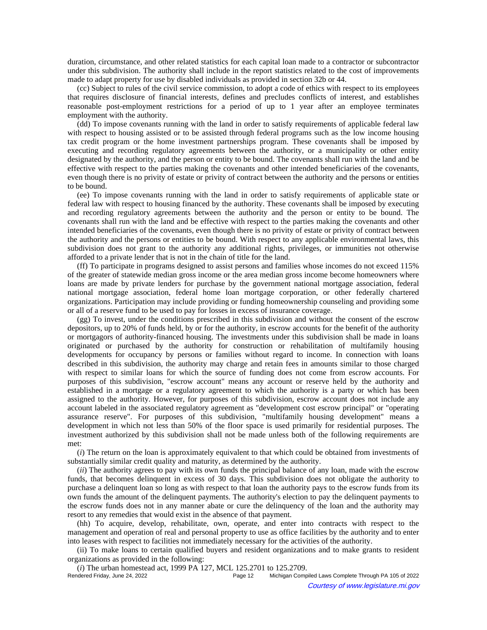duration, circumstance, and other related statistics for each capital loan made to a contractor or subcontractor under this subdivision. The authority shall include in the report statistics related to the cost of improvements made to adapt property for use by disabled individuals as provided in section 32b or 44.

(cc) Subject to rules of the civil service commission, to adopt a code of ethics with respect to its employees that requires disclosure of financial interests, defines and precludes conflicts of interest, and establishes reasonable post-employment restrictions for a period of up to 1 year after an employee terminates employment with the authority.

(dd) To impose covenants running with the land in order to satisfy requirements of applicable federal law with respect to housing assisted or to be assisted through federal programs such as the low income housing tax credit program or the home investment partnerships program. These covenants shall be imposed by executing and recording regulatory agreements between the authority, or a municipality or other entity designated by the authority, and the person or entity to be bound. The covenants shall run with the land and be effective with respect to the parties making the covenants and other intended beneficiaries of the covenants, even though there is no privity of estate or privity of contract between the authority and the persons or entities to be bound.

(ee) To impose covenants running with the land in order to satisfy requirements of applicable state or federal law with respect to housing financed by the authority. These covenants shall be imposed by executing and recording regulatory agreements between the authority and the person or entity to be bound. The covenants shall run with the land and be effective with respect to the parties making the covenants and other intended beneficiaries of the covenants, even though there is no privity of estate or privity of contract between the authority and the persons or entities to be bound. With respect to any applicable environmental laws, this subdivision does not grant to the authority any additional rights, privileges, or immunities not otherwise afforded to a private lender that is not in the chain of title for the land.

(ff) To participate in programs designed to assist persons and families whose incomes do not exceed 115% of the greater of statewide median gross income or the area median gross income become homeowners where loans are made by private lenders for purchase by the government national mortgage association, federal national mortgage association, federal home loan mortgage corporation, or other federally chartered organizations. Participation may include providing or funding homeownership counseling and providing some or all of a reserve fund to be used to pay for losses in excess of insurance coverage.

(gg) To invest, under the conditions prescribed in this subdivision and without the consent of the escrow depositors, up to 20% of funds held, by or for the authority, in escrow accounts for the benefit of the authority or mortgagors of authority-financed housing. The investments under this subdivision shall be made in loans originated or purchased by the authority for construction or rehabilitation of multifamily housing developments for occupancy by persons or families without regard to income. In connection with loans described in this subdivision, the authority may charge and retain fees in amounts similar to those charged with respect to similar loans for which the source of funding does not come from escrow accounts. For purposes of this subdivision, "escrow account" means any account or reserve held by the authority and established in a mortgage or a regulatory agreement to which the authority is a party or which has been assigned to the authority. However, for purposes of this subdivision, escrow account does not include any account labeled in the associated regulatory agreement as "development cost escrow principal" or "operating assurance reserve". For purposes of this subdivision, "multifamily housing development" means a development in which not less than 50% of the floor space is used primarily for residential purposes. The investment authorized by this subdivision shall not be made unless both of the following requirements are met:

(*i*) The return on the loan is approximately equivalent to that which could be obtained from investments of substantially similar credit quality and maturity, as determined by the authority.

(*ii*) The authority agrees to pay with its own funds the principal balance of any loan, made with the escrow funds, that becomes delinquent in excess of 30 days. This subdivision does not obligate the authority to purchase a delinquent loan so long as with respect to that loan the authority pays to the escrow funds from its own funds the amount of the delinquent payments. The authority's election to pay the delinquent payments to the escrow funds does not in any manner abate or cure the delinquency of the loan and the authority may resort to any remedies that would exist in the absence of that payment.

(hh) To acquire, develop, rehabilitate, own, operate, and enter into contracts with respect to the management and operation of real and personal property to use as office facilities by the authority and to enter into leases with respect to facilities not immediately necessary for the activities of the authority.

(ii) To make loans to certain qualified buyers and resident organizations and to make grants to resident organizations as provided in the following:

(*i*) The urban homestead act, 1999 PA 127, MCL 125.2701 to 125.2709.<br>Rendered Friday, June 24, 2022<br>Page 12 Michigan Comp

Michigan Compiled Laws Complete Through PA 105 of 2022 Courtesy of www.legislature.mi.gov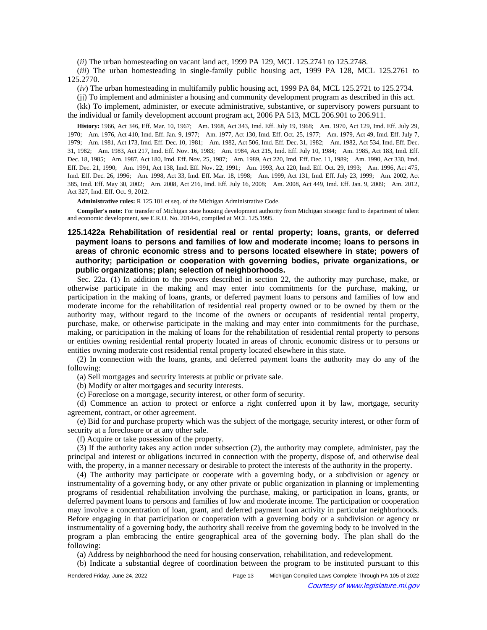(*ii*) The urban homesteading on vacant land act, 1999 PA 129, MCL 125.2741 to 125.2748.

(*iii*) The urban homesteading in single-family public housing act, 1999 PA 128, MCL 125.2761 to 125.2770.

(*iv*) The urban homesteading in multifamily public housing act, 1999 PA 84, MCL 125.2721 to 125.2734.

(jj) To implement and administer a housing and community development program as described in this act.

(kk) To implement, administer, or execute administrative, substantive, or supervisory powers pursuant to the individual or family development account program act, 2006 PA 513, MCL 206.901 to 206.911.

History: 1966, Act 346, Eff. Mar. 10, 1967;**--**Am. 1968, Act 343, Imd. Eff. July 19, 1968;**--**Am. 1970, Act 129, Imd. Eff. July 29, 1970;—Am. 1976, Act 410, Imd. Eff. Jan. 9, 1977;—Am. 1977, Act 130, Imd. Eff. Oct. 25, 1977;—Am. 1979, Act 49, Imd. Eff. July 7, 1979;—Am. 1981, Act 173, Imd. Eff. Dec. 10, 1981;—Am. 1982, Act 506, Imd. Eff. Dec. 31, 1982;—Am. 1982, Act 534, Imd. Eff. Dec. 31, 1982;—Am. 1983, Act 217, Imd. Eff. Nov. 16, 1983;—Am. 1984, Act 215, Imd. Eff. July 10, 1984;—Am. 1985, Act 183, Imd. Eff. Dec. 18, 1985;—Am. 1987, Act 180, Imd. Eff. Nov. 25, 1987;—Am. 1989, Act 220, Imd. Eff. Dec. 11, 1989;—Am. 1990, Act 330, Imd. Eff. Dec. 21, 1990;—Am. 1991, Act 138, Imd. Eff. Nov. 22, 1991;—Am. 1993, Act 220, Imd. Eff. Oct. 29, 1993;—Am. 1996, Act 475, Imd. Eff. Dec. 26, 1996;--Am. 1998, Act 33, Imd. Eff. Mar. 18, 1998;--Am. 1999, Act 131, Imd. Eff. July 23, 1999;--Am. 2002, Act 385, Imd. Eff. May 30, 2002;—Am. 2008, Act 216, Imd. Eff. July 16, 2008;—Am. 2008, Act 449, Imd. Eff. Jan. 9, 2009;—Am. 2012, Act 327, Imd. Eff. Oct. 9, 2012.

**Administrative rules:** R 125.101 et seq. of the Michigan Administrative Code.

**Compiler's note:** For transfer of Michigan state housing development authority from Michigan strategic fund to department of talent and economic development, see E.R.O. No. 2014-6, compiled at MCL 125.1995.

# **125.1422a Rehabilitation of residential real or rental property; loans, grants, or deferred payment loans to persons and families of low and moderate income; loans to persons in areas of chronic economic stress and to persons located elsewhere in state; powers of authority; participation or cooperation with governing bodies, private organizations, or public organizations; plan; selection of neighborhoods.**

Sec. 22a. (1) In addition to the powers described in section 22, the authority may purchase, make, or otherwise participate in the making and may enter into commitments for the purchase, making, or participation in the making of loans, grants, or deferred payment loans to persons and families of low and moderate income for the rehabilitation of residential real property owned or to be owned by them or the authority may, without regard to the income of the owners or occupants of residential rental property, purchase, make, or otherwise participate in the making and may enter into commitments for the purchase, making, or participation in the making of loans for the rehabilitation of residential rental property to persons or entities owning residential rental property located in areas of chronic economic distress or to persons or entities owning moderate cost residential rental property located elsewhere in this state.

(2) In connection with the loans, grants, and deferred payment loans the authority may do any of the following:

(a) Sell mortgages and security interests at public or private sale.

(b) Modify or alter mortgages and security interests.

(c) Foreclose on a mortgage, security interest, or other form of security.

(d) Commence an action to protect or enforce a right conferred upon it by law, mortgage, security agreement, contract, or other agreement.

(e) Bid for and purchase property which was the subject of the mortgage, security interest, or other form of security at a foreclosure or at any other sale.

(f) Acquire or take possession of the property.

(3) If the authority takes any action under subsection (2), the authority may complete, administer, pay the principal and interest or obligations incurred in connection with the property, dispose of, and otherwise deal with, the property, in a manner necessary or desirable to protect the interests of the authority in the property.

(4) The authority may participate or cooperate with a governing body, or a subdivision or agency or instrumentality of a governing body, or any other private or public organization in planning or implementing programs of residential rehabilitation involving the purchase, making, or participation in loans, grants, or deferred payment loans to persons and families of low and moderate income. The participation or cooperation may involve a concentration of loan, grant, and deferred payment loan activity in particular neighborhoods. Before engaging in that participation or cooperation with a governing body or a subdivision or agency or instrumentality of a governing body, the authority shall receive from the governing body to be involved in the program a plan embracing the entire geographical area of the governing body. The plan shall do the following:

(a) Address by neighborhood the need for housing conservation, rehabilitation, and redevelopment.

(b) Indicate a substantial degree of coordination between the program to be instituted pursuant to this

| Rendered Friday, June 24, 2022 | Page 13 | Michigan Compiled Laws Complete Through PA 105 of 2022 |
|--------------------------------|---------|--------------------------------------------------------|
|                                |         | Courtesy of www.legislature.mi.gov                     |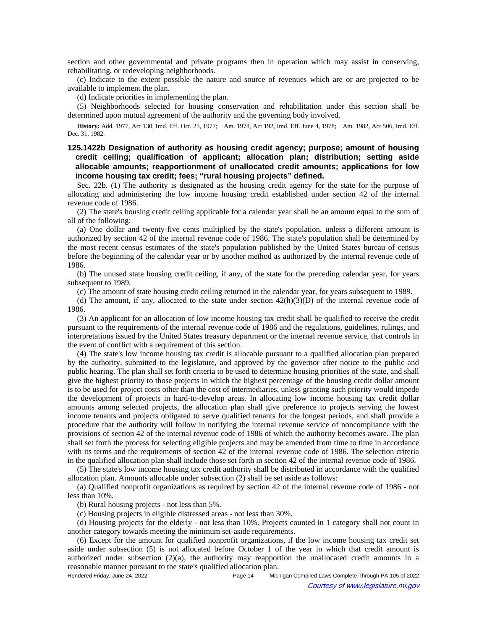section and other governmental and private programs then in operation which may assist in conserving, rehabilitating, or redeveloping neighborhoods.

(c) Indicate to the extent possible the nature and source of revenues which are or are projected to be available to implement the plan.

(d) Indicate priorities in implementing the plan.

(5) Neighborhoods selected for housing conservation and rehabilitation under this section shall be determined upon mutual agreement of the authority and the governing body involved.

History: Add. 1977, Act 130, Imd. Eff. Oct. 25, 1977;—Am. 1978, Act 192, Imd. Eff. June 4, 1978;—Am. 1982, Act 506, Imd. Eff. Dec. 31, 1982.

**125.1422b Designation of authority as housing credit agency; purpose; amount of housing credit ceiling; qualification of applicant; allocation plan; distribution; setting aside allocable amounts; reapportionment of unallocated credit amounts; applications for low income housing tax credit; fees; "rural housing projects" defined.**

Sec. 22b. (1) The authority is designated as the housing credit agency for the state for the purpose of allocating and administering the low income housing credit established under section 42 of the internal revenue code of 1986.

(2) The state's housing credit ceiling applicable for a calendar year shall be an amount equal to the sum of all of the following:

(a) One dollar and twenty-five cents multiplied by the state's population, unless a different amount is authorized by section 42 of the internal revenue code of 1986. The state's population shall be determined by the most recent census estimates of the state's population published by the United States bureau of census before the beginning of the calendar year or by another method as authorized by the internal revenue code of 1986.

(b) The unused state housing credit ceiling, if any, of the state for the preceding calendar year, for years subsequent to 1989.

(c) The amount of state housing credit ceiling returned in the calendar year, for years subsequent to 1989.

(d) The amount, if any, allocated to the state under section  $42(h)(3)(D)$  of the internal revenue code of 1986.

(3) An applicant for an allocation of low income housing tax credit shall be qualified to receive the credit pursuant to the requirements of the internal revenue code of 1986 and the regulations, guidelines, rulings, and interpretations issued by the United States treasury department or the internal revenue service, that controls in the event of conflict with a requirement of this section.

(4) The state's low income housing tax credit is allocable pursuant to a qualified allocation plan prepared by the authority, submitted to the legislature, and approved by the governor after notice to the public and public hearing. The plan shall set forth criteria to be used to determine housing priorities of the state, and shall give the highest priority to those projects in which the highest percentage of the housing credit dollar amount is to be used for project costs other than the cost of intermediaries, unless granting such priority would impede the development of projects in hard-to-develop areas. In allocating low income housing tax credit dollar amounts among selected projects, the allocation plan shall give preference to projects serving the lowest income tenants and projects obligated to serve qualified tenants for the longest periods, and shall provide a procedure that the authority will follow in notifying the internal revenue service of noncompliance with the provisions of section 42 of the internal revenue code of 1986 of which the authority becomes aware. The plan shall set forth the process for selecting eligible projects and may be amended from time to time in accordance with its terms and the requirements of section 42 of the internal revenue code of 1986. The selection criteria in the qualified allocation plan shall include those set forth in section 42 of the internal revenue code of 1986.

(5) The state's low income housing tax credit authority shall be distributed in accordance with the qualified allocation plan. Amounts allocable under subsection (2) shall be set aside as follows:

(a) Qualified nonprofit organizations as required by section 42 of the internal revenue code of 1986 - not less than 10%.

(b) Rural housing projects - not less than 5%.

(c) Housing projects in eligible distressed areas - not less than 30%.

(d) Housing projects for the elderly - not less than 10%. Projects counted in 1 category shall not count in another category towards meeting the minimum set-aside requirements.

(6) Except for the amount for qualified nonprofit organizations, if the low income housing tax credit set aside under subsection (5) is not allocated before October 1 of the year in which that credit amount is authorized under subsection  $(2)(a)$ , the authority may reapportion the unallocated credit amounts in a reasonable manner pursuant to the state's qualified allocation plan.

Rendered Friday, June 24, 2022 Page 14 Michigan Compiled Laws Complete Through PA 105 of 2022 Courtesy of www.legislature.mi.gov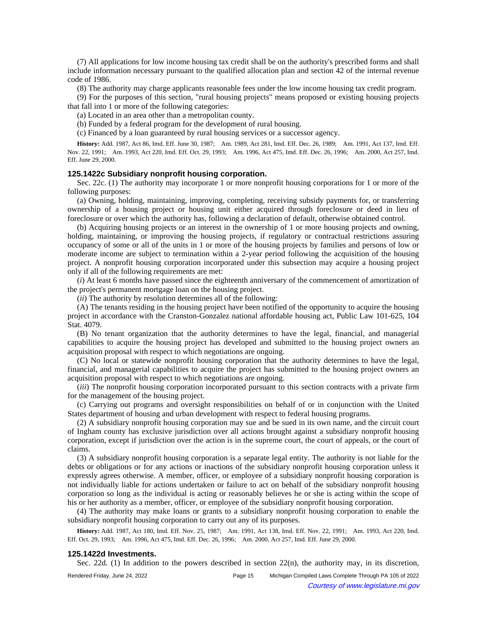(7) All applications for low income housing tax credit shall be on the authority's prescribed forms and shall include information necessary pursuant to the qualified allocation plan and section 42 of the internal revenue code of 1986.

(8) The authority may charge applicants reasonable fees under the low income housing tax credit program.

(9) For the purposes of this section, "rural housing projects" means proposed or existing housing projects that fall into 1 or more of the following categories:

(a) Located in an area other than a metropolitan county.

(b) Funded by a federal program for the development of rural housing.

(c) Financed by a loan guaranteed by rural housing services or a successor agency.

History: Add. 1987, Act 86, Imd. Eff. June 30, 1987;--Am. 1989, Act 281, Imd. Eff. Dec. 26, 1989;--Am. 1991, Act 137, Imd. Eff. Nov. 22, 1991;—Am. 1993, Act 220, Imd. Eff. Oct. 29, 1993;—Am. 1996, Act 475, Imd. Eff. Dec. 26, 1996;—Am. 2000, Act 257, Imd. Eff. June 29, 2000.

### **125.1422c Subsidiary nonprofit housing corporation.**

Sec. 22c. (1) The authority may incorporate 1 or more nonprofit housing corporations for 1 or more of the following purposes:

(a) Owning, holding, maintaining, improving, completing, receiving subsidy payments for, or transferring ownership of a housing project or housing unit either acquired through foreclosure or deed in lieu of foreclosure or over which the authority has, following a declaration of default, otherwise obtained control.

(b) Acquiring housing projects or an interest in the ownership of 1 or more housing projects and owning, holding, maintaining, or improving the housing projects, if regulatory or contractual restrictions assuring occupancy of some or all of the units in 1 or more of the housing projects by families and persons of low or moderate income are subject to termination within a 2-year period following the acquisition of the housing project. A nonprofit housing corporation incorporated under this subsection may acquire a housing project only if all of the following requirements are met:

(*i*) At least 6 months have passed since the eighteenth anniversary of the commencement of amortization of the project's permanent mortgage loan on the housing project.

(*ii*) The authority by resolution determines all of the following:

(A) The tenants residing in the housing project have been notified of the opportunity to acquire the housing project in accordance with the Cranston-Gonzalez national affordable housing act, Public Law 101-625, 104 Stat. 4079.

(B) No tenant organization that the authority determines to have the legal, financial, and managerial capabilities to acquire the housing project has developed and submitted to the housing project owners an acquisition proposal with respect to which negotiations are ongoing.

(C) No local or statewide nonprofit housing corporation that the authority determines to have the legal, financial, and managerial capabilities to acquire the project has submitted to the housing project owners an acquisition proposal with respect to which negotiations are ongoing.

(*iii*) The nonprofit housing corporation incorporated pursuant to this section contracts with a private firm for the management of the housing project.

(c) Carrying out programs and oversight responsibilities on behalf of or in conjunction with the United States department of housing and urban development with respect to federal housing programs.

(2) A subsidiary nonprofit housing corporation may sue and be sued in its own name, and the circuit court of Ingham county has exclusive jurisdiction over all actions brought against a subsidiary nonprofit housing corporation, except if jurisdiction over the action is in the supreme court, the court of appeals, or the court of claims.

(3) A subsidiary nonprofit housing corporation is a separate legal entity. The authority is not liable for the debts or obligations or for any actions or inactions of the subsidiary nonprofit housing corporation unless it expressly agrees otherwise. A member, officer, or employee of a subsidiary nonprofit housing corporation is not individually liable for actions undertaken or failure to act on behalf of the subsidiary nonprofit housing corporation so long as the individual is acting or reasonably believes he or she is acting within the scope of his or her authority as a member, officer, or employee of the subsidiary nonprofit housing corporation.

(4) The authority may make loans or grants to a subsidiary nonprofit housing corporation to enable the subsidiary nonprofit housing corporation to carry out any of its purposes.

History: Add. 1987, Act 180, Imd. Eff. Nov. 25, 1987;—Am. 1991, Act 138, Imd. Eff. Nov. 22, 1991;—Am. 1993, Act 220, Imd. Eff. Oct. 29, 1993;—Am. 1996, Act 475, Imd. Eff. Dec. 26, 1996;—Am. 2000, Act 257, Imd. Eff. June 29, 2000.

#### **125.1422d Investments.**

Sec. 22d. (1) In addition to the powers described in section  $22(n)$ , the authority may, in its discretion,

Rendered Friday, June 24, 2022 Page 15 Michigan Compiled Laws Complete Through PA 105 of 2022 Courtesy of www.legislature.mi.gov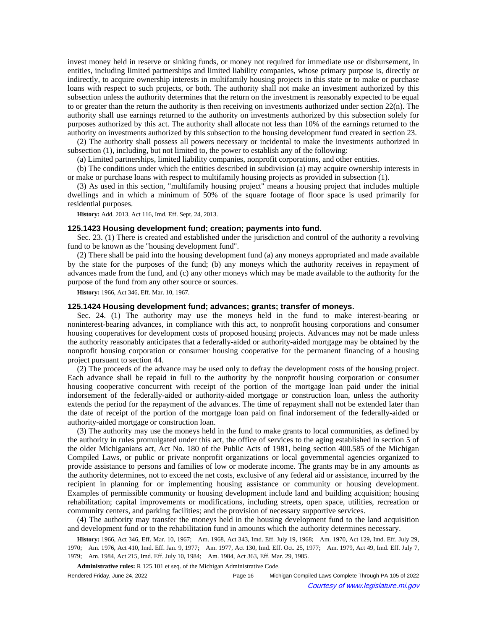invest money held in reserve or sinking funds, or money not required for immediate use or disbursement, in entities, including limited partnerships and limited liability companies, whose primary purpose is, directly or indirectly, to acquire ownership interests in multifamily housing projects in this state or to make or purchase loans with respect to such projects, or both. The authority shall not make an investment authorized by this subsection unless the authority determines that the return on the investment is reasonably expected to be equal to or greater than the return the authority is then receiving on investments authorized under section 22(n). The authority shall use earnings returned to the authority on investments authorized by this subsection solely for purposes authorized by this act. The authority shall allocate not less than 10% of the earnings returned to the authority on investments authorized by this subsection to the housing development fund created in section 23.

(2) The authority shall possess all powers necessary or incidental to make the investments authorized in subsection (1), including, but not limited to, the power to establish any of the following:

(a) Limited partnerships, limited liability companies, nonprofit corporations, and other entities.

(b) The conditions under which the entities described in subdivision (a) may acquire ownership interests in or make or purchase loans with respect to multifamily housing projects as provided in subsection (1).

(3) As used in this section, "multifamily housing project" means a housing project that includes multiple dwellings and in which a minimum of 50% of the square footage of floor space is used primarily for residential purposes.

**History:** Add. 2013, Act 116, Imd. Eff. Sept. 24, 2013.

#### **125.1423 Housing development fund; creation; payments into fund.**

Sec. 23. (1) There is created and established under the jurisdiction and control of the authority a revolving fund to be known as the "housing development fund".

(2) There shall be paid into the housing development fund (a) any moneys appropriated and made available by the state for the purposes of the fund; (b) any moneys which the authority receives in repayment of advances made from the fund, and (c) any other moneys which may be made available to the authority for the purpose of the fund from any other source or sources.

**History:** 1966, Act 346, Eff. Mar. 10, 1967.

#### **125.1424 Housing development fund; advances; grants; transfer of moneys.**

Sec. 24. (1) The authority may use the moneys held in the fund to make interest-bearing or noninterest-bearing advances, in compliance with this act, to nonprofit housing corporations and consumer housing cooperatives for development costs of proposed housing projects. Advances may not be made unless the authority reasonably anticipates that a federally-aided or authority-aided mortgage may be obtained by the nonprofit housing corporation or consumer housing cooperative for the permanent financing of a housing project pursuant to section 44.

(2) The proceeds of the advance may be used only to defray the development costs of the housing project. Each advance shall be repaid in full to the authority by the nonprofit housing corporation or consumer housing cooperative concurrent with receipt of the portion of the mortgage loan paid under the initial indorsement of the federally-aided or authority-aided mortgage or construction loan, unless the authority extends the period for the repayment of the advances. The time of repayment shall not be extended later than the date of receipt of the portion of the mortgage loan paid on final indorsement of the federally-aided or authority-aided mortgage or construction loan.

(3) The authority may use the moneys held in the fund to make grants to local communities, as defined by the authority in rules promulgated under this act, the office of services to the aging established in section 5 of the older Michiganians act, Act No. 180 of the Public Acts of 1981, being section 400.585 of the Michigan Compiled Laws, or public or private nonprofit organizations or local governmental agencies organized to provide assistance to persons and families of low or moderate income. The grants may be in any amounts as the authority determines, not to exceed the net costs, exclusive of any federal aid or assistance, incurred by the recipient in planning for or implementing housing assistance or community or housing development. Examples of permissible community or housing development include land and building acquisition; housing rehabilitation; capital improvements or modifications, including streets, open space, utilities, recreation or community centers, and parking facilities; and the provision of necessary supportive services.

(4) The authority may transfer the moneys held in the housing development fund to the land acquisition and development fund or to the rehabilitation fund in amounts which the authority determines necessary.

History: 1966, Act 346, Eff. Mar. 10, 1967;—Am. 1968, Act 343, Imd. Eff. July 19, 1968;—Am. 1970, Act 129, Imd. Eff. July 29, 1970;-Am. 1976, Act 410, Imd. Eff. Jan. 9, 1977;-Am. 1977, Act 130, Imd. Eff. Oct. 25, 1977;--Am. 1979, Act 49, Imd. Eff. July 7, 1979; Am. 1984, Act 215, Imd. Eff. July 10, 1984; Am. 1984, Act 363, Eff. Mar. 29, 1985.

**Administrative rules:** R 125.101 et seq. of the Michigan Administrative Code.

| Rendered Friday, June 24, 2022 | Page 16 | Michigan Compiled Laws Complete Through PA 105 of 2022 |
|--------------------------------|---------|--------------------------------------------------------|
|                                |         | Courtesy of www.legislature.mi.gov                     |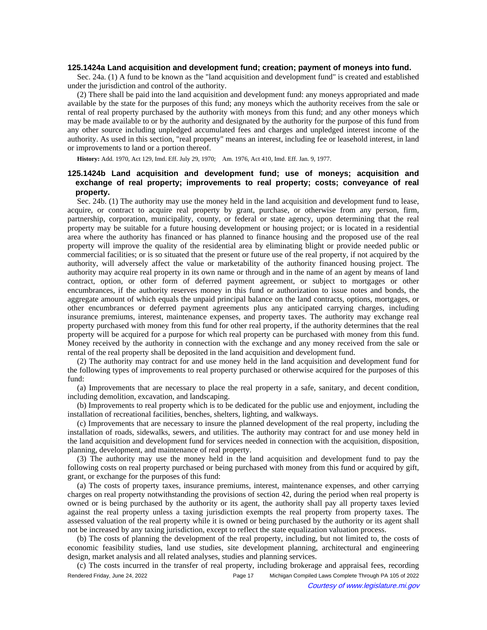#### **125.1424a Land acquisition and development fund; creation; payment of moneys into fund.**

Sec. 24a. (1) A fund to be known as the "land acquisition and development fund" is created and established under the jurisdiction and control of the authority.

(2) There shall be paid into the land acquisition and development fund: any moneys appropriated and made available by the state for the purposes of this fund; any moneys which the authority receives from the sale or rental of real property purchased by the authority with moneys from this fund; and any other moneys which may be made available to or by the authority and designated by the authority for the purpose of this fund from any other source including unpledged accumulated fees and charges and unpledged interest income of the authority. As used in this section, "real property" means an interest, including fee or leasehold interest, in land or improvements to land or a portion thereof.

History: Add. 1970, Act 129, Imd. Eff. July 29, 1970;-- Am. 1976, Act 410, Imd. Eff. Jan. 9, 1977.

# **125.1424b Land acquisition and development fund; use of moneys; acquisition and exchange of real property; improvements to real property; costs; conveyance of real property.**

Sec. 24b. (1) The authority may use the money held in the land acquisition and development fund to lease, acquire, or contract to acquire real property by grant, purchase, or otherwise from any person, firm, partnership, corporation, municipality, county, or federal or state agency, upon determining that the real property may be suitable for a future housing development or housing project; or is located in a residential area where the authority has financed or has planned to finance housing and the proposed use of the real property will improve the quality of the residential area by eliminating blight or provide needed public or commercial facilities; or is so situated that the present or future use of the real property, if not acquired by the authority, will adversely affect the value or marketability of the authority financed housing project. The authority may acquire real property in its own name or through and in the name of an agent by means of land contract, option, or other form of deferred payment agreement, or subject to mortgages or other encumbrances, if the authority reserves money in this fund or authorization to issue notes and bonds, the aggregate amount of which equals the unpaid principal balance on the land contracts, options, mortgages, or other encumbrances or deferred payment agreements plus any anticipated carrying charges, including insurance premiums, interest, maintenance expenses, and property taxes. The authority may exchange real property purchased with money from this fund for other real property, if the authority determines that the real property will be acquired for a purpose for which real property can be purchased with money from this fund. Money received by the authority in connection with the exchange and any money received from the sale or rental of the real property shall be deposited in the land acquisition and development fund.

(2) The authority may contract for and use money held in the land acquisition and development fund for the following types of improvements to real property purchased or otherwise acquired for the purposes of this fund:

(a) Improvements that are necessary to place the real property in a safe, sanitary, and decent condition, including demolition, excavation, and landscaping.

(b) Improvements to real property which is to be dedicated for the public use and enjoyment, including the installation of recreational facilities, benches, shelters, lighting, and walkways.

(c) Improvements that are necessary to insure the planned development of the real property, including the installation of roads, sidewalks, sewers, and utilities. The authority may contract for and use money held in the land acquisition and development fund for services needed in connection with the acquisition, disposition, planning, development, and maintenance of real property.

(3) The authority may use the money held in the land acquisition and development fund to pay the following costs on real property purchased or being purchased with money from this fund or acquired by gift, grant, or exchange for the purposes of this fund:

(a) The costs of property taxes, insurance premiums, interest, maintenance expenses, and other carrying charges on real property notwithstanding the provisions of section 42, during the period when real property is owned or is being purchased by the authority or its agent, the authority shall pay all property taxes levied against the real property unless a taxing jurisdiction exempts the real property from property taxes. The assessed valuation of the real property while it is owned or being purchased by the authority or its agent shall not be increased by any taxing jurisdiction, except to reflect the state equalization valuation process.

(b) The costs of planning the development of the real property, including, but not limited to, the costs of economic feasibility studies, land use studies, site development planning, architectural and engineering design, market analysis and all related analyses, studies and planning services.

(c) The costs incurred in the transfer of real property, including brokerage and appraisal fees, recording Rendered Friday, June 24, 2022 Page 17 Michigan Compiled Laws Complete Through PA 105 of 2022 Courtesy of www.legislature.mi.gov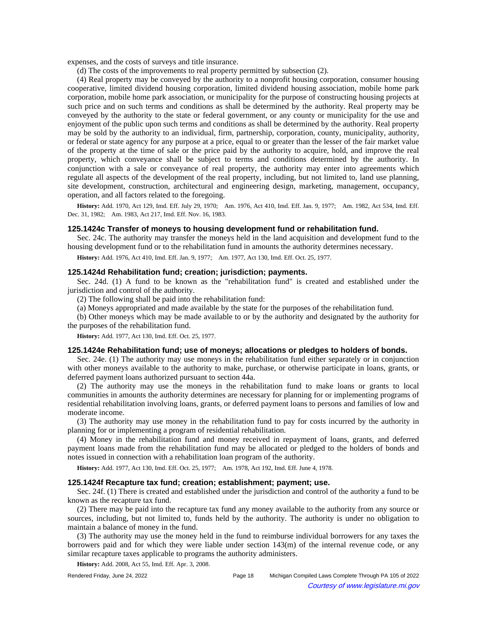expenses, and the costs of surveys and title insurance.

(d) The costs of the improvements to real property permitted by subsection (2).

(4) Real property may be conveyed by the authority to a nonprofit housing corporation, consumer housing cooperative, limited dividend housing corporation, limited dividend housing association, mobile home park corporation, mobile home park association, or municipality for the purpose of constructing housing projects at such price and on such terms and conditions as shall be determined by the authority. Real property may be conveyed by the authority to the state or federal government, or any county or municipality for the use and enjoyment of the public upon such terms and conditions as shall be determined by the authority. Real property may be sold by the authority to an individual, firm, partnership, corporation, county, municipality, authority, or federal or state agency for any purpose at a price, equal to or greater than the lesser of the fair market value of the property at the time of sale or the price paid by the authority to acquire, hold, and improve the real property, which conveyance shall be subject to terms and conditions determined by the authority. In conjunction with a sale or conveyance of real property, the authority may enter into agreements which regulate all aspects of the development of the real property, including, but not limited to, land use planning, site development, construction, architectural and engineering design, marketing, management, occupancy, operation, and all factors related to the foregoing.

History: Add. 1970, Act 129, Imd. Eff. July 29, 1970;—Am. 1976, Act 410, Imd. Eff. Jan. 9, 1977;—Am. 1982, Act 534, Imd. Eff. Dec. 31, 1982;—Am. 1983, Act 217, Imd. Eff. Nov. 16, 1983.

#### **125.1424c Transfer of moneys to housing development fund or rehabilitation fund.**

Sec. 24c. The authority may transfer the moneys held in the land acquisition and development fund to the housing development fund or to the rehabilitation fund in amounts the authority determines necessary.

History: Add. 1976, Act 410, Imd. Eff. Jan. 9, 1977;-- Am. 1977, Act 130, Imd. Eff. Oct. 25, 1977.

### **125.1424d Rehabilitation fund; creation; jurisdiction; payments.**

Sec. 24d. (1) A fund to be known as the "rehabilitation fund" is created and established under the jurisdiction and control of the authority.

(2) The following shall be paid into the rehabilitation fund:

(a) Moneys appropriated and made available by the state for the purposes of the rehabilitation fund.

(b) Other moneys which may be made available to or by the authority and designated by the authority for the purposes of the rehabilitation fund.

**History:** Add. 1977, Act 130, Imd. Eff. Oct. 25, 1977.

#### **125.1424e Rehabilitation fund; use of moneys; allocations or pledges to holders of bonds.**

Sec. 24e. (1) The authority may use moneys in the rehabilitation fund either separately or in conjunction with other moneys available to the authority to make, purchase, or otherwise participate in loans, grants, or deferred payment loans authorized pursuant to section 44a.

(2) The authority may use the moneys in the rehabilitation fund to make loans or grants to local communities in amounts the authority determines are necessary for planning for or implementing programs of residential rehabilitation involving loans, grants, or deferred payment loans to persons and families of low and moderate income.

(3) The authority may use money in the rehabilitation fund to pay for costs incurred by the authority in planning for or implementing a program of residential rehabilitation.

(4) Money in the rehabilitation fund and money received in repayment of loans, grants, and deferred payment loans made from the rehabilitation fund may be allocated or pledged to the holders of bonds and notes issued in connection with a rehabilitation loan program of the authority.

History: Add. 1977, Act 130, Imd. Eff. Oct. 25, 1977;--- Am. 1978, Act 192, Imd. Eff. June 4, 1978.

#### **125.1424f Recapture tax fund; creation; establishment; payment; use.**

Sec. 24f. (1) There is created and established under the jurisdiction and control of the authority a fund to be known as the recapture tax fund.

(2) There may be paid into the recapture tax fund any money available to the authority from any source or sources, including, but not limited to, funds held by the authority. The authority is under no obligation to maintain a balance of money in the fund.

(3) The authority may use the money held in the fund to reimburse individual borrowers for any taxes the borrowers paid and for which they were liable under section 143(m) of the internal revenue code, or any similar recapture taxes applicable to programs the authority administers.

**History:** Add. 2008, Act 55, Imd. Eff. Apr. 3, 2008.

Rendered Friday, June 24, 2022 Page 18 Michigan Compiled Laws Complete Through PA 105 of 2022 Courtesy of www.legislature.mi.gov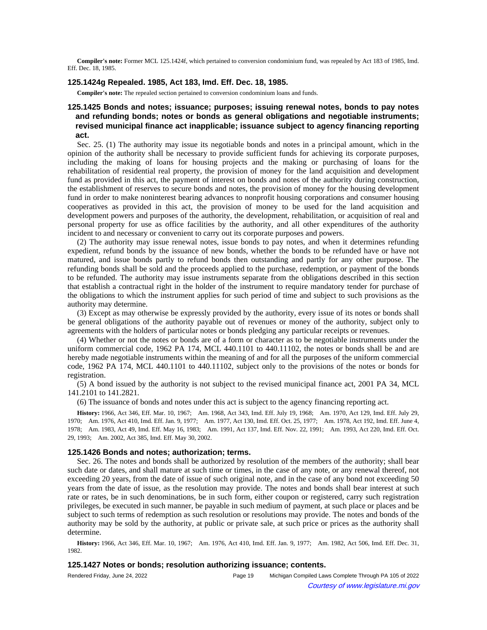**Compiler's note:** Former MCL 125.1424f, which pertained to conversion condominium fund, was repealed by Act 183 of 1985, Imd. Eff. Dec. 18, 1985.

### **125.1424g Repealed. 1985, Act 183, Imd. Eff. Dec. 18, 1985.**

**Compiler's note:** The repealed section pertained to conversion condominium loans and funds.

# **125.1425 Bonds and notes; issuance; purposes; issuing renewal notes, bonds to pay notes and refunding bonds; notes or bonds as general obligations and negotiable instruments; revised municipal finance act inapplicable; issuance subject to agency financing reporting act.**

Sec. 25. (1) The authority may issue its negotiable bonds and notes in a principal amount, which in the opinion of the authority shall be necessary to provide sufficient funds for achieving its corporate purposes, including the making of loans for housing projects and the making or purchasing of loans for the rehabilitation of residential real property, the provision of money for the land acquisition and development fund as provided in this act, the payment of interest on bonds and notes of the authority during construction, the establishment of reserves to secure bonds and notes, the provision of money for the housing development fund in order to make noninterest bearing advances to nonprofit housing corporations and consumer housing cooperatives as provided in this act, the provision of money to be used for the land acquisition and development powers and purposes of the authority, the development, rehabilitation, or acquisition of real and personal property for use as office facilities by the authority, and all other expenditures of the authority incident to and necessary or convenient to carry out its corporate purposes and powers.

(2) The authority may issue renewal notes, issue bonds to pay notes, and when it determines refunding expedient, refund bonds by the issuance of new bonds, whether the bonds to be refunded have or have not matured, and issue bonds partly to refund bonds then outstanding and partly for any other purpose. The refunding bonds shall be sold and the proceeds applied to the purchase, redemption, or payment of the bonds to be refunded. The authority may issue instruments separate from the obligations described in this section that establish a contractual right in the holder of the instrument to require mandatory tender for purchase of the obligations to which the instrument applies for such period of time and subject to such provisions as the authority may determine.

(3) Except as may otherwise be expressly provided by the authority, every issue of its notes or bonds shall be general obligations of the authority payable out of revenues or money of the authority, subject only to agreements with the holders of particular notes or bonds pledging any particular receipts or revenues.

(4) Whether or not the notes or bonds are of a form or character as to be negotiable instruments under the uniform commercial code, 1962 PA 174, MCL 440.1101 to 440.11102, the notes or bonds shall be and are hereby made negotiable instruments within the meaning of and for all the purposes of the uniform commercial code, 1962 PA 174, MCL 440.1101 to 440.11102, subject only to the provisions of the notes or bonds for registration.

(5) A bond issued by the authority is not subject to the revised municipal finance act, 2001 PA 34, MCL 141.2101 to 141.2821.

(6) The issuance of bonds and notes under this act is subject to the agency financing reporting act.

History: 1966, Act 346, Eff. Mar. 10, 1967;**--**Am. 1968, Act 343, Imd. Eff. July 19, 1968;**--**Am. 1970, Act 129, Imd. Eff. July 29, 1970;-Am. 1976, Act 410, Imd. Eff. Jan. 9, 1977;--Am. 1977, Act 130, Imd. Eff. Oct. 25, 1977;--Am. 1978, Act 192, Imd. Eff. June 4, 1978;-Am. 1983, Act 49, Imd. Eff. May 16, 1983;-Am. 1991, Act 137, Imd. Eff. Nov. 22, 1991;-Am. 1993, Act 220, Imd. Eff. Oct. 29, 1993; Am. 2002, Act 385, Imd. Eff. May 30, 2002.

#### **125.1426 Bonds and notes; authorization; terms.**

Sec. 26. The notes and bonds shall be authorized by resolution of the members of the authority; shall bear such date or dates, and shall mature at such time or times, in the case of any note, or any renewal thereof, not exceeding 20 years, from the date of issue of such original note, and in the case of any bond not exceeding 50 years from the date of issue, as the resolution may provide. The notes and bonds shall bear interest at such rate or rates, be in such denominations, be in such form, either coupon or registered, carry such registration privileges, be executed in such manner, be payable in such medium of payment, at such place or places and be subject to such terms of redemption as such resolution or resolutions may provide. The notes and bonds of the authority may be sold by the authority, at public or private sale, at such price or prices as the authority shall determine.

History: 1966, Act 346, Eff. Mar. 10, 1967;--Am. 1976, Act 410, Imd. Eff. Jan. 9, 1977;--Am. 1982, Act 506, Imd. Eff. Dec. 31, 1982.

## **125.1427 Notes or bonds; resolution authorizing issuance; contents.**

| Rendered Friday, June 24, 2022 | Page 19 | Michigan Compiled Laws Complete Through PA 105 of 2022 |
|--------------------------------|---------|--------------------------------------------------------|
| $\odot$                        |         | Courtesy of www.legislature.mi.gov                     |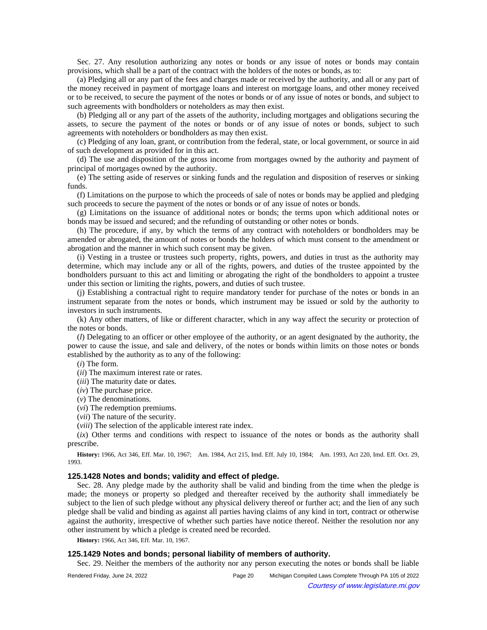Sec. 27. Any resolution authorizing any notes or bonds or any issue of notes or bonds may contain provisions, which shall be a part of the contract with the holders of the notes or bonds, as to:

(a) Pledging all or any part of the fees and charges made or received by the authority, and all or any part of the money received in payment of mortgage loans and interest on mortgage loans, and other money received or to be received, to secure the payment of the notes or bonds or of any issue of notes or bonds, and subject to such agreements with bondholders or noteholders as may then exist.

(b) Pledging all or any part of the assets of the authority, including mortgages and obligations securing the assets, to secure the payment of the notes or bonds or of any issue of notes or bonds, subject to such agreements with noteholders or bondholders as may then exist.

(c) Pledging of any loan, grant, or contribution from the federal, state, or local government, or source in aid of such development as provided for in this act.

(d) The use and disposition of the gross income from mortgages owned by the authority and payment of principal of mortgages owned by the authority.

(e) The setting aside of reserves or sinking funds and the regulation and disposition of reserves or sinking funds.

(f) Limitations on the purpose to which the proceeds of sale of notes or bonds may be applied and pledging such proceeds to secure the payment of the notes or bonds or of any issue of notes or bonds.

(g) Limitations on the issuance of additional notes or bonds; the terms upon which additional notes or bonds may be issued and secured; and the refunding of outstanding or other notes or bonds.

(h) The procedure, if any, by which the terms of any contract with noteholders or bondholders may be amended or abrogated, the amount of notes or bonds the holders of which must consent to the amendment or abrogation and the manner in which such consent may be given.

(i) Vesting in a trustee or trustees such property, rights, powers, and duties in trust as the authority may determine, which may include any or all of the rights, powers, and duties of the trustee appointed by the bondholders pursuant to this act and limiting or abrogating the right of the bondholders to appoint a trustee under this section or limiting the rights, powers, and duties of such trustee.

(j) Establishing a contractual right to require mandatory tender for purchase of the notes or bonds in an instrument separate from the notes or bonds, which instrument may be issued or sold by the authority to investors in such instruments.

(k) Any other matters, of like or different character, which in any way affect the security or protection of the notes or bonds.

(*l*) Delegating to an officer or other employee of the authority, or an agent designated by the authority, the power to cause the issue, and sale and delivery, of the notes or bonds within limits on those notes or bonds established by the authority as to any of the following:

(*i*) The form.

(*ii*) The maximum interest rate or rates.

(*iii*) The maturity date or dates.

(*iv*) The purchase price.

(*v*) The denominations.

(*vi*) The redemption premiums.

(*vii*) The nature of the security.

(*viii*) The selection of the applicable interest rate index.

(*ix*) Other terms and conditions with respect to issuance of the notes or bonds as the authority shall prescribe.

History: 1966, Act 346, Eff. Mar. 10, 1967;
-- Am. 1984, Act 215, Imd. Eff. July 10, 1984;
-- Am. 1993, Act 220, Imd. Eff. Oct. 29, 1993.

## **125.1428 Notes and bonds; validity and effect of pledge.**

Sec. 28. Any pledge made by the authority shall be valid and binding from the time when the pledge is made; the moneys or property so pledged and thereafter received by the authority shall immediately be subject to the lien of such pledge without any physical delivery thereof or further act; and the lien of any such pledge shall be valid and binding as against all parties having claims of any kind in tort, contract or otherwise against the authority, irrespective of whether such parties have notice thereof. Neither the resolution nor any other instrument by which a pledge is created need be recorded.

**History:** 1966, Act 346, Eff. Mar. 10, 1967.

## **125.1429 Notes and bonds; personal liability of members of authority.**

Sec. 29. Neither the members of the authority nor any person executing the notes or bonds shall be liable

| Rendered Friday, June 24, 2022 | Page 20 | Michigan Compiled Laws Complete Through PA 105 of 2022 |  |
|--------------------------------|---------|--------------------------------------------------------|--|
|--------------------------------|---------|--------------------------------------------------------|--|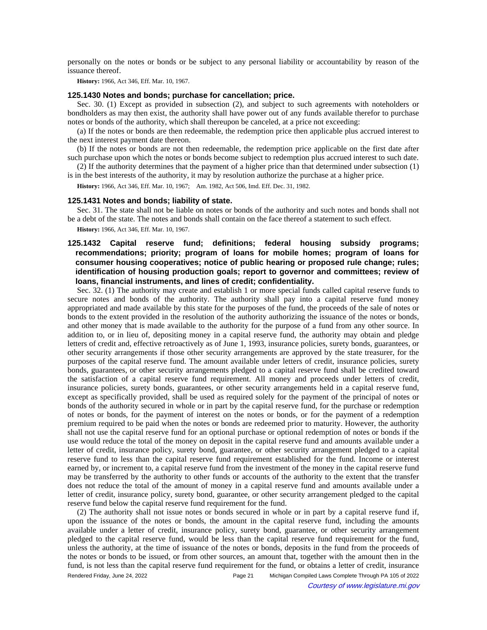personally on the notes or bonds or be subject to any personal liability or accountability by reason of the issuance thereof.

**History:** 1966, Act 346, Eff. Mar. 10, 1967.

#### **125.1430 Notes and bonds; purchase for cancellation; price.**

Sec. 30. (1) Except as provided in subsection (2), and subject to such agreements with noteholders or bondholders as may then exist, the authority shall have power out of any funds available therefor to purchase notes or bonds of the authority, which shall thereupon be canceled, at a price not exceeding:

(a) If the notes or bonds are then redeemable, the redemption price then applicable plus accrued interest to the next interest payment date thereon.

(b) If the notes or bonds are not then redeemable, the redemption price applicable on the first date after such purchase upon which the notes or bonds become subject to redemption plus accrued interest to such date.

(2) If the authority determines that the payment of a higher price than that determined under subsection (1) is in the best interests of the authority, it may by resolution authorize the purchase at a higher price.

History: 1966, Act 346, Eff. Mar. 10, 1967;-Am. 1982, Act 506, Imd. Eff. Dec. 31, 1982.

#### **125.1431 Notes and bonds; liability of state.**

Sec. 31. The state shall not be liable on notes or bonds of the authority and such notes and bonds shall not be a debt of the state. The notes and bonds shall contain on the face thereof a statement to such effect.

**History:** 1966, Act 346, Eff. Mar. 10, 1967.

# **125.1432 Capital reserve fund; definitions; federal housing subsidy programs; recommendations; priority; program of loans for mobile homes; program of loans for consumer housing cooperatives; notice of public hearing or proposed rule change; rules; identification of housing production goals; report to governor and committees; review of loans, financial instruments, and lines of credit; confidentiality.**

Sec. 32. (1) The authority may create and establish 1 or more special funds called capital reserve funds to secure notes and bonds of the authority. The authority shall pay into a capital reserve fund money appropriated and made available by this state for the purposes of the fund, the proceeds of the sale of notes or bonds to the extent provided in the resolution of the authority authorizing the issuance of the notes or bonds, and other money that is made available to the authority for the purpose of a fund from any other source. In addition to, or in lieu of, depositing money in a capital reserve fund, the authority may obtain and pledge letters of credit and, effective retroactively as of June 1, 1993, insurance policies, surety bonds, guarantees, or other security arrangements if those other security arrangements are approved by the state treasurer, for the purposes of the capital reserve fund. The amount available under letters of credit, insurance policies, surety bonds, guarantees, or other security arrangements pledged to a capital reserve fund shall be credited toward the satisfaction of a capital reserve fund requirement. All money and proceeds under letters of credit, insurance policies, surety bonds, guarantees, or other security arrangements held in a capital reserve fund, except as specifically provided, shall be used as required solely for the payment of the principal of notes or bonds of the authority secured in whole or in part by the capital reserve fund, for the purchase or redemption of notes or bonds, for the payment of interest on the notes or bonds, or for the payment of a redemption premium required to be paid when the notes or bonds are redeemed prior to maturity. However, the authority shall not use the capital reserve fund for an optional purchase or optional redemption of notes or bonds if the use would reduce the total of the money on deposit in the capital reserve fund and amounts available under a letter of credit, insurance policy, surety bond, guarantee, or other security arrangement pledged to a capital reserve fund to less than the capital reserve fund requirement established for the fund. Income or interest earned by, or increment to, a capital reserve fund from the investment of the money in the capital reserve fund may be transferred by the authority to other funds or accounts of the authority to the extent that the transfer does not reduce the total of the amount of money in a capital reserve fund and amounts available under a letter of credit, insurance policy, surety bond, guarantee, or other security arrangement pledged to the capital reserve fund below the capital reserve fund requirement for the fund.

(2) The authority shall not issue notes or bonds secured in whole or in part by a capital reserve fund if, upon the issuance of the notes or bonds, the amount in the capital reserve fund, including the amounts available under a letter of credit, insurance policy, surety bond, guarantee, or other security arrangement pledged to the capital reserve fund, would be less than the capital reserve fund requirement for the fund, unless the authority, at the time of issuance of the notes or bonds, deposits in the fund from the proceeds of the notes or bonds to be issued, or from other sources, an amount that, together with the amount then in the fund, is not less than the capital reserve fund requirement for the fund, or obtains a letter of credit, insurance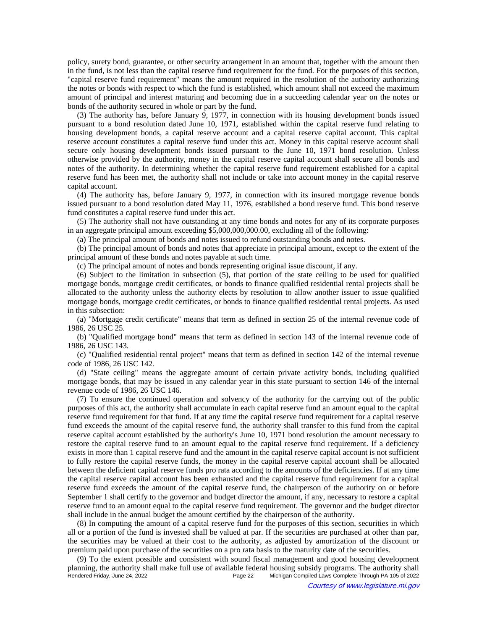policy, surety bond, guarantee, or other security arrangement in an amount that, together with the amount then in the fund, is not less than the capital reserve fund requirement for the fund. For the purposes of this section, "capital reserve fund requirement" means the amount required in the resolution of the authority authorizing the notes or bonds with respect to which the fund is established, which amount shall not exceed the maximum amount of principal and interest maturing and becoming due in a succeeding calendar year on the notes or bonds of the authority secured in whole or part by the fund.

(3) The authority has, before January 9, 1977, in connection with its housing development bonds issued pursuant to a bond resolution dated June 10, 1971, established within the capital reserve fund relating to housing development bonds, a capital reserve account and a capital reserve capital account. This capital reserve account constitutes a capital reserve fund under this act. Money in this capital reserve account shall secure only housing development bonds issued pursuant to the June 10, 1971 bond resolution. Unless otherwise provided by the authority, money in the capital reserve capital account shall secure all bonds and notes of the authority. In determining whether the capital reserve fund requirement established for a capital reserve fund has been met, the authority shall not include or take into account money in the capital reserve capital account.

(4) The authority has, before January 9, 1977, in connection with its insured mortgage revenue bonds issued pursuant to a bond resolution dated May 11, 1976, established a bond reserve fund. This bond reserve fund constitutes a capital reserve fund under this act.

(5) The authority shall not have outstanding at any time bonds and notes for any of its corporate purposes in an aggregate principal amount exceeding \$5,000,000,000.00, excluding all of the following:

(a) The principal amount of bonds and notes issued to refund outstanding bonds and notes.

(b) The principal amount of bonds and notes that appreciate in principal amount, except to the extent of the principal amount of these bonds and notes payable at such time.

(c) The principal amount of notes and bonds representing original issue discount, if any.

(6) Subject to the limitation in subsection (5), that portion of the state ceiling to be used for qualified mortgage bonds, mortgage credit certificates, or bonds to finance qualified residential rental projects shall be allocated to the authority unless the authority elects by resolution to allow another issuer to issue qualified mortgage bonds, mortgage credit certificates, or bonds to finance qualified residential rental projects. As used in this subsection:

(a) "Mortgage credit certificate" means that term as defined in section 25 of the internal revenue code of 1986, 26 USC 25.

(b) "Qualified mortgage bond" means that term as defined in section 143 of the internal revenue code of 1986, 26 USC 143.

(c) "Qualified residential rental project" means that term as defined in section 142 of the internal revenue code of 1986, 26 USC 142.

(d) "State ceiling" means the aggregate amount of certain private activity bonds, including qualified mortgage bonds, that may be issued in any calendar year in this state pursuant to section 146 of the internal revenue code of 1986, 26 USC 146.

(7) To ensure the continued operation and solvency of the authority for the carrying out of the public purposes of this act, the authority shall accumulate in each capital reserve fund an amount equal to the capital reserve fund requirement for that fund. If at any time the capital reserve fund requirement for a capital reserve fund exceeds the amount of the capital reserve fund, the authority shall transfer to this fund from the capital reserve capital account established by the authority's June 10, 1971 bond resolution the amount necessary to restore the capital reserve fund to an amount equal to the capital reserve fund requirement. If a deficiency exists in more than 1 capital reserve fund and the amount in the capital reserve capital account is not sufficient to fully restore the capital reserve funds, the money in the capital reserve capital account shall be allocated between the deficient capital reserve funds pro rata according to the amounts of the deficiencies. If at any time the capital reserve capital account has been exhausted and the capital reserve fund requirement for a capital reserve fund exceeds the amount of the capital reserve fund, the chairperson of the authority on or before September 1 shall certify to the governor and budget director the amount, if any, necessary to restore a capital reserve fund to an amount equal to the capital reserve fund requirement. The governor and the budget director shall include in the annual budget the amount certified by the chairperson of the authority.

(8) In computing the amount of a capital reserve fund for the purposes of this section, securities in which all or a portion of the fund is invested shall be valued at par. If the securities are purchased at other than par, the securities may be valued at their cost to the authority, as adjusted by amortization of the discount or premium paid upon purchase of the securities on a pro rata basis to the maturity date of the securities.

(9) To the extent possible and consistent with sound fiscal management and good housing development planning, the authority shall make full use of available federal housing subsidy programs. The authority shall<br>Page 22 Michigan Compiled Laws Complete Through PA 105 of 2022 Michigan Compiled Laws Complete Through PA 105 of 2022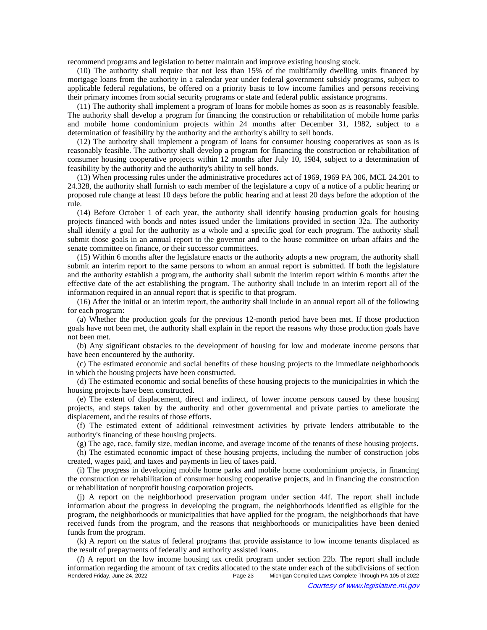recommend programs and legislation to better maintain and improve existing housing stock.

(10) The authority shall require that not less than 15% of the multifamily dwelling units financed by mortgage loans from the authority in a calendar year under federal government subsidy programs, subject to applicable federal regulations, be offered on a priority basis to low income families and persons receiving their primary incomes from social security programs or state and federal public assistance programs.

(11) The authority shall implement a program of loans for mobile homes as soon as is reasonably feasible. The authority shall develop a program for financing the construction or rehabilitation of mobile home parks and mobile home condominium projects within 24 months after December 31, 1982, subject to a determination of feasibility by the authority and the authority's ability to sell bonds.

(12) The authority shall implement a program of loans for consumer housing cooperatives as soon as is reasonably feasible. The authority shall develop a program for financing the construction or rehabilitation of consumer housing cooperative projects within 12 months after July 10, 1984, subject to a determination of feasibility by the authority and the authority's ability to sell bonds.

(13) When processing rules under the administrative procedures act of 1969, 1969 PA 306, MCL 24.201 to 24.328, the authority shall furnish to each member of the legislature a copy of a notice of a public hearing or proposed rule change at least 10 days before the public hearing and at least 20 days before the adoption of the rule.

(14) Before October 1 of each year, the authority shall identify housing production goals for housing projects financed with bonds and notes issued under the limitations provided in section 32a. The authority shall identify a goal for the authority as a whole and a specific goal for each program. The authority shall submit those goals in an annual report to the governor and to the house committee on urban affairs and the senate committee on finance, or their successor committees.

(15) Within 6 months after the legislature enacts or the authority adopts a new program, the authority shall submit an interim report to the same persons to whom an annual report is submitted. If both the legislature and the authority establish a program, the authority shall submit the interim report within 6 months after the effective date of the act establishing the program. The authority shall include in an interim report all of the information required in an annual report that is specific to that program.

(16) After the initial or an interim report, the authority shall include in an annual report all of the following for each program:

(a) Whether the production goals for the previous 12-month period have been met. If those production goals have not been met, the authority shall explain in the report the reasons why those production goals have not been met.

(b) Any significant obstacles to the development of housing for low and moderate income persons that have been encountered by the authority.

(c) The estimated economic and social benefits of these housing projects to the immediate neighborhoods in which the housing projects have been constructed.

(d) The estimated economic and social benefits of these housing projects to the municipalities in which the housing projects have been constructed.

(e) The extent of displacement, direct and indirect, of lower income persons caused by these housing projects, and steps taken by the authority and other governmental and private parties to ameliorate the displacement, and the results of those efforts.

(f) The estimated extent of additional reinvestment activities by private lenders attributable to the authority's financing of these housing projects.

(g) The age, race, family size, median income, and average income of the tenants of these housing projects.

(h) The estimated economic impact of these housing projects, including the number of construction jobs created, wages paid, and taxes and payments in lieu of taxes paid.

(i) The progress in developing mobile home parks and mobile home condominium projects, in financing the construction or rehabilitation of consumer housing cooperative projects, and in financing the construction or rehabilitation of nonprofit housing corporation projects.

(j) A report on the neighborhood preservation program under section 44f. The report shall include information about the progress in developing the program, the neighborhoods identified as eligible for the program, the neighborhoods or municipalities that have applied for the program, the neighborhoods that have received funds from the program, and the reasons that neighborhoods or municipalities have been denied funds from the program.

(k) A report on the status of federal programs that provide assistance to low income tenants displaced as the result of prepayments of federally and authority assisted loans.

(*l*) A report on the low income housing tax credit program under section 22b. The report shall include information regarding the amount of tax credits allocated to the state under each of the subdivisions of section<br>Page 23 Michigan Compiled Laws Complete Through PA 105 of 2022 Michigan Compiled Laws Complete Through PA 105 of 2022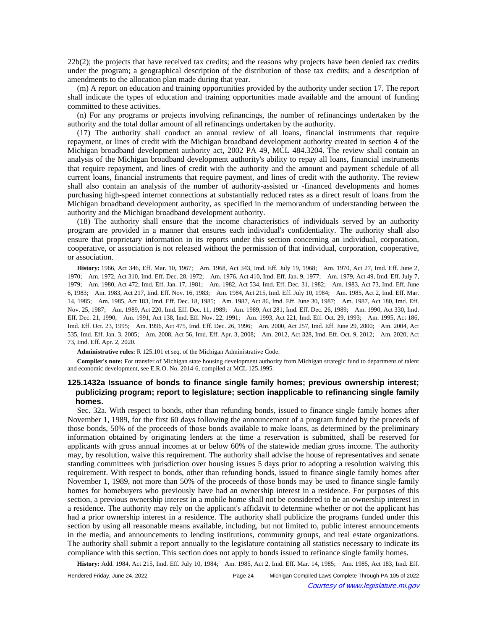22b(2); the projects that have received tax credits; and the reasons why projects have been denied tax credits under the program; a geographical description of the distribution of those tax credits; and a description of amendments to the allocation plan made during that year.

(m) A report on education and training opportunities provided by the authority under section 17. The report shall indicate the types of education and training opportunities made available and the amount of funding committed to these activities.

(n) For any programs or projects involving refinancings, the number of refinancings undertaken by the authority and the total dollar amount of all refinancings undertaken by the authority.

(17) The authority shall conduct an annual review of all loans, financial instruments that require repayment, or lines of credit with the Michigan broadband development authority created in section 4 of the Michigan broadband development authority act, 2002 PA 49, MCL 484.3204. The review shall contain an analysis of the Michigan broadband development authority's ability to repay all loans, financial instruments that require repayment, and lines of credit with the authority and the amount and payment schedule of all current loans, financial instruments that require payment, and lines of credit with the authority. The review shall also contain an analysis of the number of authority-assisted or -financed developments and homes purchasing high-speed internet connections at substantially reduced rates as a direct result of loans from the Michigan broadband development authority, as specified in the memorandum of understanding between the authority and the Michigan broadband development authority.

(18) The authority shall ensure that the income characteristics of individuals served by an authority program are provided in a manner that ensures each individual's confidentiality. The authority shall also ensure that proprietary information in its reports under this section concerning an individual, corporation, cooperative, or association is not released without the permission of that individual, corporation, cooperative, or association.

History: 1966, Act 346, Eff. Mar. 10, 1967;—Am. 1968, Act 343, Imd. Eff. July 19, 1968;—Am. 1970, Act 27, Imd. Eff. June 2, 1970;-Am. 1972, Act 310, Imd. Eff. Dec. 28, 1972;-Am. 1976, Act 410, Imd. Eff. Jan. 9, 1977;-Am. 1979, Act 49, Imd. Eff. July 7, 1979;—Am. 1980, Act 472, Imd. Eff. Jan. 17, 1981;—Am. 1982, Act 534, Imd. Eff. Dec. 31, 1982;—Am. 1983, Act 73, Imd. Eff. June 6, 1983;—Am. 1983, Act 217, Imd. Eff. Nov. 16, 1983;—Am. 1984, Act 215, Imd. Eff. July 10, 1984;—Am. 1985, Act 2, Imd. Eff. Mar. 14, 1985;—Am. 1985, Act 183, Imd. Eff. Dec. 18, 1985;—Am. 1987, Act 86, Imd. Eff. June 30, 1987;—Am. 1987, Act 180, Imd. Eff. Nov. 25, 1987;—Am. 1989, Act 220, Imd. Eff. Dec. 11, 1989;—Am. 1989, Act 281, Imd. Eff. Dec. 26, 1989;—Am. 1990, Act 330, Imd. Eff. Dec. 21, 1990;—Am. 1991, Act 138, Imd. Eff. Nov. 22, 1991;—Am. 1993, Act 221, Imd. Eff. Oct. 29, 1993;—Am. 1995, Act 186, Imd. Eff. Oct. 23, 1995;—Am. 1996, Act 475, Imd. Eff. Dec. 26, 1996;—Am. 2000, Act 257, Imd. Eff. June 29, 2000;—Am. 2004, Act 535, Imd. Eff. Jan. 3, 2005;—Am. 2008, Act 56, Imd. Eff. Apr. 3, 2008;—Am. 2012, Act 328, Imd. Eff. Oct. 9, 2012;—Am. 2020, Act 73, Imd. Eff. Apr. 2, 2020.

**Administrative rules:** R 125.101 et seq. of the Michigan Administrative Code.

**Compiler's note:** For transfer of Michigan state housing development authority from Michigan strategic fund to department of talent and economic development, see E.R.O. No. 2014-6, compiled at MCL 125.1995.

# **125.1432a Issuance of bonds to finance single family homes; previous ownership interest; publicizing program; report to legislature; section inapplicable to refinancing single family homes.**

Sec. 32a. With respect to bonds, other than refunding bonds, issued to finance single family homes after November 1, 1989, for the first 60 days following the announcement of a program funded by the proceeds of those bonds, 50% of the proceeds of those bonds available to make loans, as determined by the preliminary information obtained by originating lenders at the time a reservation is submitted, shall be reserved for applicants with gross annual incomes at or below 60% of the statewide median gross income. The authority may, by resolution, waive this requirement. The authority shall advise the house of representatives and senate standing committees with jurisdiction over housing issues 5 days prior to adopting a resolution waiving this requirement. With respect to bonds, other than refunding bonds, issued to finance single family homes after November 1, 1989, not more than 50% of the proceeds of those bonds may be used to finance single family homes for homebuyers who previously have had an ownership interest in a residence. For purposes of this section, a previous ownership interest in a mobile home shall not be considered to be an ownership interest in a residence. The authority may rely on the applicant's affidavit to determine whether or not the applicant has had a prior ownership interest in a residence. The authority shall publicize the programs funded under this section by using all reasonable means available, including, but not limited to, public interest announcements in the media, and announcements to lending institutions, community groups, and real estate organizations. The authority shall submit a report annually to the legislature containing all statistics necessary to indicate its compliance with this section. This section does not apply to bonds issued to refinance single family homes.

History: Add. 1984, Act 215, Imd. Eff. July 10, 1984;--Am. 1985, Act 2, Imd. Eff. Mar. 14, 1985;--Am. 1985, Act 183, Imd. Eff.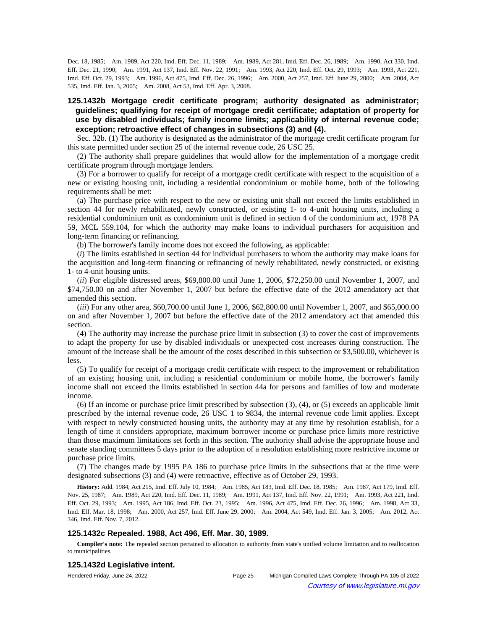Dec. 18, 1985;—Am. 1989, Act 220, Imd. Eff. Dec. 11, 1989;—Am. 1989, Act 281, Imd. Eff. Dec. 26, 1989;—Am. 1990, Act 330, Imd. Eff. Dec. 21, 1990;—Am. 1991, Act 137, Imd. Eff. Nov. 22, 1991;—Am. 1993, Act 220, Imd. Eff. Oct. 29, 1993;—Am. 1993, Act 221, Imd. Eff. Oct. 29, 1993;—Am. 1996, Act 475, Imd. Eff. Dec. 26, 1996;—Am. 2000, Act 257, Imd. Eff. June 29, 2000;—Am. 2004, Act 535, Imd. Eff. Jan. 3, 2005;-- Am. 2008, Act 53, Imd. Eff. Apr. 3, 2008.

# **125.1432b Mortgage credit certificate program; authority designated as administrator; guidelines; qualifying for receipt of mortgage credit certificate; adaptation of property for use by disabled individuals; family income limits; applicability of internal revenue code; exception; retroactive effect of changes in subsections (3) and (4).**

Sec. 32b. (1) The authority is designated as the administrator of the mortgage credit certificate program for this state permitted under section 25 of the internal revenue code, 26 USC 25.

(2) The authority shall prepare guidelines that would allow for the implementation of a mortgage credit certificate program through mortgage lenders.

(3) For a borrower to qualify for receipt of a mortgage credit certificate with respect to the acquisition of a new or existing housing unit, including a residential condominium or mobile home, both of the following requirements shall be met:

(a) The purchase price with respect to the new or existing unit shall not exceed the limits established in section 44 for newly rehabilitated, newly constructed, or existing 1- to 4-unit housing units, including a residential condominium unit as condominium unit is defined in section 4 of the condominium act, 1978 PA 59, MCL 559.104, for which the authority may make loans to individual purchasers for acquisition and long-term financing or refinancing.

(b) The borrower's family income does not exceed the following, as applicable:

(*i*) The limits established in section 44 for individual purchasers to whom the authority may make loans for the acquisition and long-term financing or refinancing of newly rehabilitated, newly constructed, or existing 1- to 4-unit housing units.

(*ii*) For eligible distressed areas, \$69,800.00 until June 1, 2006, \$72,250.00 until November 1, 2007, and \$74,750.00 on and after November 1, 2007 but before the effective date of the 2012 amendatory act that amended this section.

(*iii*) For any other area, \$60,700.00 until June 1, 2006, \$62,800.00 until November 1, 2007, and \$65,000.00 on and after November 1, 2007 but before the effective date of the 2012 amendatory act that amended this section.

(4) The authority may increase the purchase price limit in subsection (3) to cover the cost of improvements to adapt the property for use by disabled individuals or unexpected cost increases during construction. The amount of the increase shall be the amount of the costs described in this subsection or \$3,500.00, whichever is less.

(5) To qualify for receipt of a mortgage credit certificate with respect to the improvement or rehabilitation of an existing housing unit, including a residential condominium or mobile home, the borrower's family income shall not exceed the limits established in section 44a for persons and families of low and moderate income.

(6) If an income or purchase price limit prescribed by subsection (3), (4), or (5) exceeds an applicable limit prescribed by the internal revenue code, 26 USC 1 to 9834, the internal revenue code limit applies. Except with respect to newly constructed housing units, the authority may at any time by resolution establish, for a length of time it considers appropriate, maximum borrower income or purchase price limits more restrictive than those maximum limitations set forth in this section. The authority shall advise the appropriate house and senate standing committees 5 days prior to the adoption of a resolution establishing more restrictive income or purchase price limits.

(7) The changes made by 1995 PA 186 to purchase price limits in the subsections that at the time were designated subsections (3) and (4) were retroactive, effective as of October 29, 1993.

History: Add. 1984, Act 215, Imd. Eff. July 10, 1984;
-- Am. 1985, Act 183, Imd. Eff. Dec. 18, 1985;
-- Am. 1987, Act 179, Imd. Eff. Nov. 25, 1987;—Am. 1989, Act 220, Imd. Eff. Dec. 11, 1989;—Am. 1991, Act 137, Imd. Eff. Nov. 22, 1991;—Am. 1993, Act 221, Imd. Eff. Oct. 29, 1993;—Am. 1995, Act 186, Imd. Eff. Oct. 23, 1995;—Am. 1996, Act 475, Imd. Eff. Dec. 26, 1996;—Am. 1998, Act 33, Imd. Eff. Mar. 18, 1998;-Am. 2000, Act 257, Imd. Eff. June 29, 2000;-Am. 2004, Act 549, Imd. Eff. Jan. 3, 2005;-Am. 2012, Act 346, Imd. Eff. Nov. 7, 2012.

#### **125.1432c Repealed. 1988, Act 496, Eff. Mar. 30, 1989.**

**Compiler's note:** The repealed section pertained to allocation to authority from state's unified volume limitation and to reallocation to municipalities.

#### **125.1432d Legislative intent.**

Rendered Friday, June 24, 2022 Page 25 Michigan Compiled Laws Complete Through PA 105 of 2022 Courtesy of www.legislature.mi.gov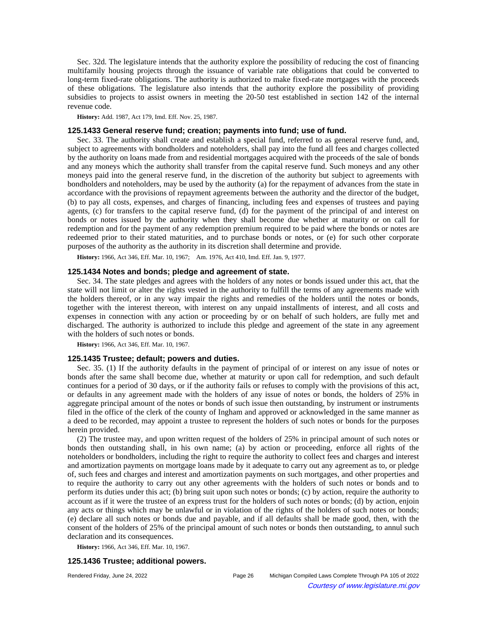Sec. 32d. The legislature intends that the authority explore the possibility of reducing the cost of financing multifamily housing projects through the issuance of variable rate obligations that could be converted to long-term fixed-rate obligations. The authority is authorized to make fixed-rate mortgages with the proceeds of these obligations. The legislature also intends that the authority explore the possibility of providing subsidies to projects to assist owners in meeting the 20-50 test established in section 142 of the internal revenue code.

**History:** Add. 1987, Act 179, Imd. Eff. Nov. 25, 1987.

## **125.1433 General reserve fund; creation; payments into fund; use of fund.**

Sec. 33. The authority shall create and establish a special fund, referred to as general reserve fund, and, subject to agreements with bondholders and noteholders, shall pay into the fund all fees and charges collected by the authority on loans made from and residential mortgages acquired with the proceeds of the sale of bonds and any moneys which the authority shall transfer from the capital reserve fund. Such moneys and any other moneys paid into the general reserve fund, in the discretion of the authority but subject to agreements with bondholders and noteholders, may be used by the authority (a) for the repayment of advances from the state in accordance with the provisions of repayment agreements between the authority and the director of the budget, (b) to pay all costs, expenses, and charges of financing, including fees and expenses of trustees and paying agents, (c) for transfers to the capital reserve fund, (d) for the payment of the principal of and interest on bonds or notes issued by the authority when they shall become due whether at maturity or on call for redemption and for the payment of any redemption premium required to be paid where the bonds or notes are redeemed prior to their stated maturities, and to purchase bonds or notes, or (e) for such other corporate purposes of the authority as the authority in its discretion shall determine and provide.

History: 1966, Act 346, Eff. Mar. 10, 1967;-- Am. 1976, Act 410, Imd. Eff. Jan. 9, 1977.

## **125.1434 Notes and bonds; pledge and agreement of state.**

Sec. 34. The state pledges and agrees with the holders of any notes or bonds issued under this act, that the state will not limit or alter the rights vested in the authority to fulfill the terms of any agreements made with the holders thereof, or in any way impair the rights and remedies of the holders until the notes or bonds, together with the interest thereon, with interest on any unpaid installments of interest, and all costs and expenses in connection with any action or proceeding by or on behalf of such holders, are fully met and discharged. The authority is authorized to include this pledge and agreement of the state in any agreement with the holders of such notes or bonds.

**History:** 1966, Act 346, Eff. Mar. 10, 1967.

### **125.1435 Trustee; default; powers and duties.**

Sec. 35. (1) If the authority defaults in the payment of principal of or interest on any issue of notes or bonds after the same shall become due, whether at maturity or upon call for redemption, and such default continues for a period of 30 days, or if the authority fails or refuses to comply with the provisions of this act, or defaults in any agreement made with the holders of any issue of notes or bonds, the holders of 25% in aggregate principal amount of the notes or bonds of such issue then outstanding, by instrument or instruments filed in the office of the clerk of the county of Ingham and approved or acknowledged in the same manner as a deed to be recorded, may appoint a trustee to represent the holders of such notes or bonds for the purposes herein provided.

(2) The trustee may, and upon written request of the holders of 25% in principal amount of such notes or bonds then outstanding shall, in his own name; (a) by action or proceeding, enforce all rights of the noteholders or bondholders, including the right to require the authority to collect fees and charges and interest and amortization payments on mortgage loans made by it adequate to carry out any agreement as to, or pledge of, such fees and charges and interest and amortization payments on such mortgages, and other properties and to require the authority to carry out any other agreements with the holders of such notes or bonds and to perform its duties under this act; (b) bring suit upon such notes or bonds; (c) by action, require the authority to account as if it were the trustee of an express trust for the holders of such notes or bonds; (d) by action, enjoin any acts or things which may be unlawful or in violation of the rights of the holders of such notes or bonds; (e) declare all such notes or bonds due and payable, and if all defaults shall be made good, then, with the consent of the holders of 25% of the principal amount of such notes or bonds then outstanding, to annul such declaration and its consequences.

**History:** 1966, Act 346, Eff. Mar. 10, 1967.

### **125.1436 Trustee; additional powers.**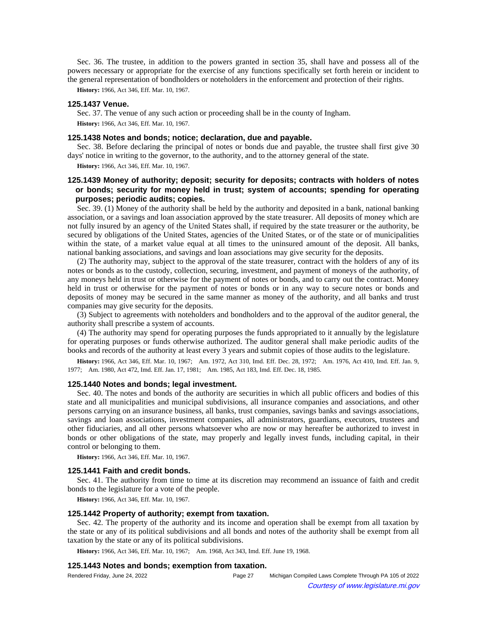Sec. 36. The trustee, in addition to the powers granted in section 35, shall have and possess all of the powers necessary or appropriate for the exercise of any functions specifically set forth herein or incident to the general representation of bondholders or noteholders in the enforcement and protection of their rights.

**History:** 1966, Act 346, Eff. Mar. 10, 1967.

## **125.1437 Venue.**

Sec. 37. The venue of any such action or proceeding shall be in the county of Ingham. **History:** 1966, Act 346, Eff. Mar. 10, 1967.

## **125.1438 Notes and bonds; notice; declaration, due and payable.**

Sec. 38. Before declaring the principal of notes or bonds due and payable, the trustee shall first give 30 days' notice in writing to the governor, to the authority, and to the attorney general of the state.

**History:** 1966, Act 346, Eff. Mar. 10, 1967.

# **125.1439 Money of authority; deposit; security for deposits; contracts with holders of notes or bonds; security for money held in trust; system of accounts; spending for operating purposes; periodic audits; copies.**

Sec. 39. (1) Money of the authority shall be held by the authority and deposited in a bank, national banking association, or a savings and loan association approved by the state treasurer. All deposits of money which are not fully insured by an agency of the United States shall, if required by the state treasurer or the authority, be secured by obligations of the United States, agencies of the United States, or of the state or of municipalities within the state, of a market value equal at all times to the uninsured amount of the deposit. All banks, national banking associations, and savings and loan associations may give security for the deposits.

(2) The authority may, subject to the approval of the state treasurer, contract with the holders of any of its notes or bonds as to the custody, collection, securing, investment, and payment of moneys of the authority, of any moneys held in trust or otherwise for the payment of notes or bonds, and to carry out the contract. Money held in trust or otherwise for the payment of notes or bonds or in any way to secure notes or bonds and deposits of money may be secured in the same manner as money of the authority, and all banks and trust companies may give security for the deposits.

(3) Subject to agreements with noteholders and bondholders and to the approval of the auditor general, the authority shall prescribe a system of accounts.

(4) The authority may spend for operating purposes the funds appropriated to it annually by the legislature for operating purposes or funds otherwise authorized. The auditor general shall make periodic audits of the books and records of the authority at least every 3 years and submit copies of those audits to the legislature.

History: 1966, Act 346, Eff. Mar. 10, 1967;—Am. 1972, Act 310, Imd. Eff. Dec. 28, 1972;—Am. 1976, Act 410, Imd. Eff. Jan. 9, 1977; Am. 1980, Act 472, Imd. Eff. Jan. 17, 1981; Am. 1985, Act 183, Imd. Eff. Dec. 18, 1985.

#### **125.1440 Notes and bonds; legal investment.**

Sec. 40. The notes and bonds of the authority are securities in which all public officers and bodies of this state and all municipalities and municipal subdivisions, all insurance companies and associations, and other persons carrying on an insurance business, all banks, trust companies, savings banks and savings associations, savings and loan associations, investment companies, all administrators, guardians, executors, trustees and other fiduciaries, and all other persons whatsoever who are now or may hereafter be authorized to invest in bonds or other obligations of the state, may properly and legally invest funds, including capital, in their control or belonging to them.

**History:** 1966, Act 346, Eff. Mar. 10, 1967.

## **125.1441 Faith and credit bonds.**

Sec. 41. The authority from time to time at its discretion may recommend an issuance of faith and credit bonds to the legislature for a vote of the people.

**History:** 1966, Act 346, Eff. Mar. 10, 1967.

## **125.1442 Property of authority; exempt from taxation.**

Sec. 42. The property of the authority and its income and operation shall be exempt from all taxation by the state or any of its political subdivisions and all bonds and notes of the authority shall be exempt from all taxation by the state or any of its political subdivisions.

History: 1966, Act 346, Eff. Mar. 10, 1967;-- Am. 1968, Act 343, Imd. Eff. June 19, 1968.

### **125.1443 Notes and bonds; exemption from taxation.**

| Rendered Friday, June 24, 2022 | Page 27 | Michigan Compiled Laws Complete Through PA 105 of 2022 |
|--------------------------------|---------|--------------------------------------------------------|
| $\odot$                        |         | Courtesy of www.legislature.mi.gov                     |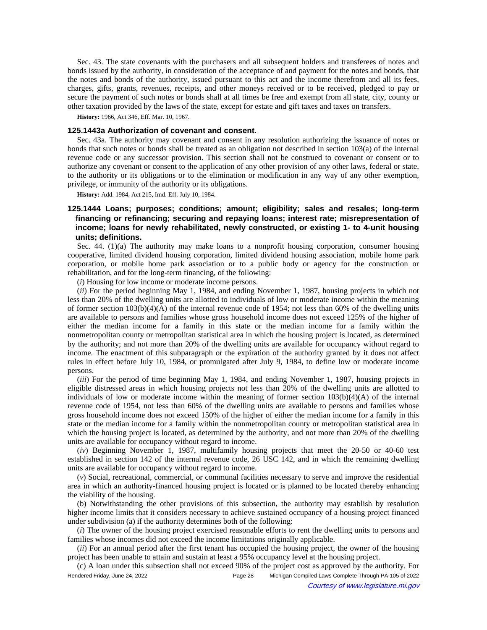Sec. 43. The state covenants with the purchasers and all subsequent holders and transferees of notes and bonds issued by the authority, in consideration of the acceptance of and payment for the notes and bonds, that the notes and bonds of the authority, issued pursuant to this act and the income therefrom and all its fees, charges, gifts, grants, revenues, receipts, and other moneys received or to be received, pledged to pay or secure the payment of such notes or bonds shall at all times be free and exempt from all state, city, county or other taxation provided by the laws of the state, except for estate and gift taxes and taxes on transfers.

**History:** 1966, Act 346, Eff. Mar. 10, 1967.

## **125.1443a Authorization of covenant and consent.**

Sec. 43a. The authority may covenant and consent in any resolution authorizing the issuance of notes or bonds that such notes or bonds shall be treated as an obligation not described in section 103(a) of the internal revenue code or any successor provision. This section shall not be construed to covenant or consent or to authorize any covenant or consent to the application of any other provision of any other laws, federal or state, to the authority or its obligations or to the elimination or modification in any way of any other exemption, privilege, or immunity of the authority or its obligations.

**History:** Add. 1984, Act 215, Imd. Eff. July 10, 1984.

# **125.1444 Loans; purposes; conditions; amount; eligibility; sales and resales; long-term financing or refinancing; securing and repaying loans; interest rate; misrepresentation of income; loans for newly rehabilitated, newly constructed, or existing 1- to 4-unit housing units; definitions.**

Sec.  $44. (1)(a)$  The authority may make loans to a nonprofit housing corporation, consumer housing cooperative, limited dividend housing corporation, limited dividend housing association, mobile home park corporation, or mobile home park association or to a public body or agency for the construction or rehabilitation, and for the long-term financing, of the following:

(*i*) Housing for low income or moderate income persons.

(*ii*) For the period beginning May 1, 1984, and ending November 1, 1987, housing projects in which not less than 20% of the dwelling units are allotted to individuals of low or moderate income within the meaning of former section  $103(b)(4)(A)$  of the internal revenue code of 1954; not less than 60% of the dwelling units are available to persons and families whose gross household income does not exceed 125% of the higher of either the median income for a family in this state or the median income for a family within the nonmetropolitan county or metropolitan statistical area in which the housing project is located, as determined by the authority; and not more than 20% of the dwelling units are available for occupancy without regard to income. The enactment of this subparagraph or the expiration of the authority granted by it does not affect rules in effect before July 10, 1984, or promulgated after July 9, 1984, to define low or moderate income persons.

(*iii*) For the period of time beginning May 1, 1984, and ending November 1, 1987, housing projects in eligible distressed areas in which housing projects not less than 20% of the dwelling units are allotted to individuals of low or moderate income within the meaning of former section  $103(b)(4)(A)$  of the internal revenue code of 1954, not less than 60% of the dwelling units are available to persons and families whose gross household income does not exceed 150% of the higher of either the median income for a family in this state or the median income for a family within the nonmetropolitan county or metropolitan statistical area in which the housing project is located, as determined by the authority, and not more than 20% of the dwelling units are available for occupancy without regard to income.

(*iv*) Beginning November 1, 1987, multifamily housing projects that meet the 20-50 or 40-60 test established in section 142 of the internal revenue code, 26 USC 142, and in which the remaining dwelling units are available for occupancy without regard to income.

(*v*) Social, recreational, commercial, or communal facilities necessary to serve and improve the residential area in which an authority-financed housing project is located or is planned to be located thereby enhancing the viability of the housing.

(b) Notwithstanding the other provisions of this subsection, the authority may establish by resolution higher income limits that it considers necessary to achieve sustained occupancy of a housing project financed under subdivision (a) if the authority determines both of the following:

(*i*) The owner of the housing project exercised reasonable efforts to rent the dwelling units to persons and families whose incomes did not exceed the income limitations originally applicable.

(*ii*) For an annual period after the first tenant has occupied the housing project, the owner of the housing project has been unable to attain and sustain at least a 95% occupancy level at the housing project.

(c) A loan under this subsection shall not exceed 90% of the project cost as approved by the authority. For Rendered Friday, June 24, 2022 Page 28 Michigan Compiled Laws Complete Through PA 105 of 2022 Courtesy of www.legislature.mi.gov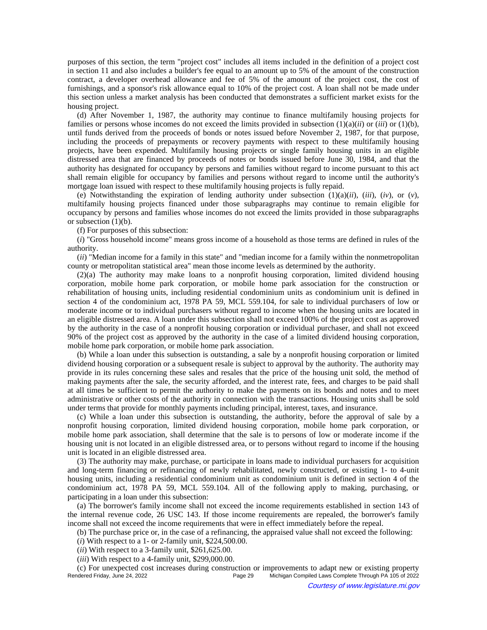purposes of this section, the term "project cost" includes all items included in the definition of a project cost in section 11 and also includes a builder's fee equal to an amount up to 5% of the amount of the construction contract, a developer overhead allowance and fee of 5% of the amount of the project cost, the cost of furnishings, and a sponsor's risk allowance equal to 10% of the project cost. A loan shall not be made under this section unless a market analysis has been conducted that demonstrates a sufficient market exists for the housing project.

(d) After November 1, 1987, the authority may continue to finance multifamily housing projects for families or persons whose incomes do not exceed the limits provided in subsection (1)(a)(*ii*) or (*iii*) or (1)(b), until funds derived from the proceeds of bonds or notes issued before November 2, 1987, for that purpose, including the proceeds of prepayments or recovery payments with respect to these multifamily housing projects, have been expended. Multifamily housing projects or single family housing units in an eligible distressed area that are financed by proceeds of notes or bonds issued before June 30, 1984, and that the authority has designated for occupancy by persons and families without regard to income pursuant to this act shall remain eligible for occupancy by families and persons without regard to income until the authority's mortgage loan issued with respect to these multifamily housing projects is fully repaid.

(e) Notwithstanding the expiration of lending authority under subsection  $(1)(a)(ii)$ ,  $(iii)$ ,  $(iv)$ , or  $(v)$ , multifamily housing projects financed under those subparagraphs may continue to remain eligible for occupancy by persons and families whose incomes do not exceed the limits provided in those subparagraphs or subsection  $(1)(b)$ .

(f) For purposes of this subsection:

(*i*) "Gross household income" means gross income of a household as those terms are defined in rules of the authority.

(*ii*) "Median income for a family in this state" and "median income for a family within the nonmetropolitan county or metropolitan statistical area" mean those income levels as determined by the authority.

(2)(a) The authority may make loans to a nonprofit housing corporation, limited dividend housing corporation, mobile home park corporation, or mobile home park association for the construction or rehabilitation of housing units, including residential condominium units as condominium unit is defined in section 4 of the condominium act, 1978 PA 59, MCL 559.104, for sale to individual purchasers of low or moderate income or to individual purchasers without regard to income when the housing units are located in an eligible distressed area. A loan under this subsection shall not exceed 100% of the project cost as approved by the authority in the case of a nonprofit housing corporation or individual purchaser, and shall not exceed 90% of the project cost as approved by the authority in the case of a limited dividend housing corporation, mobile home park corporation, or mobile home park association.

(b) While a loan under this subsection is outstanding, a sale by a nonprofit housing corporation or limited dividend housing corporation or a subsequent resale is subject to approval by the authority. The authority may provide in its rules concerning these sales and resales that the price of the housing unit sold, the method of making payments after the sale, the security afforded, and the interest rate, fees, and charges to be paid shall at all times be sufficient to permit the authority to make the payments on its bonds and notes and to meet administrative or other costs of the authority in connection with the transactions. Housing units shall be sold under terms that provide for monthly payments including principal, interest, taxes, and insurance.

(c) While a loan under this subsection is outstanding, the authority, before the approval of sale by a nonprofit housing corporation, limited dividend housing corporation, mobile home park corporation, or mobile home park association, shall determine that the sale is to persons of low or moderate income if the housing unit is not located in an eligible distressed area, or to persons without regard to income if the housing unit is located in an eligible distressed area.

(3) The authority may make, purchase, or participate in loans made to individual purchasers for acquisition and long-term financing or refinancing of newly rehabilitated, newly constructed, or existing 1- to 4-unit housing units, including a residential condominium unit as condominium unit is defined in section 4 of the condominium act, 1978 PA 59, MCL 559.104. All of the following apply to making, purchasing, or participating in a loan under this subsection:

(a) The borrower's family income shall not exceed the income requirements established in section 143 of the internal revenue code, 26 USC 143. If those income requirements are repealed, the borrower's family income shall not exceed the income requirements that were in effect immediately before the repeal.

(b) The purchase price or, in the case of a refinancing, the appraised value shall not exceed the following:

- (*i*) With respect to a 1- or 2-family unit, \$224,500.00.
- (*ii*) With respect to a 3-family unit, \$261,625.00.
- (*iii*) With respect to a 4-family unit, \$299,000.00.

(c) For unexpected cost increases during construction or improvements to adapt new or existing property Michigan Compiled Laws Complete Through PA 105 of 2022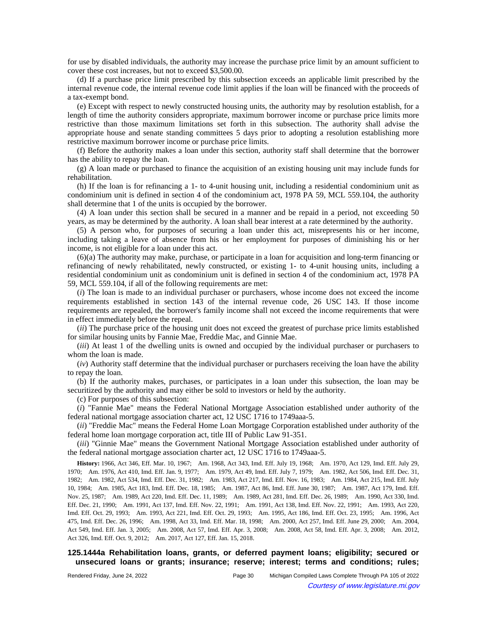for use by disabled individuals, the authority may increase the purchase price limit by an amount sufficient to cover these cost increases, but not to exceed \$3,500.00.

(d) If a purchase price limit prescribed by this subsection exceeds an applicable limit prescribed by the internal revenue code, the internal revenue code limit applies if the loan will be financed with the proceeds of a tax-exempt bond.

(e) Except with respect to newly constructed housing units, the authority may by resolution establish, for a length of time the authority considers appropriate, maximum borrower income or purchase price limits more restrictive than those maximum limitations set forth in this subsection. The authority shall advise the appropriate house and senate standing committees 5 days prior to adopting a resolution establishing more restrictive maximum borrower income or purchase price limits.

(f) Before the authority makes a loan under this section, authority staff shall determine that the borrower has the ability to repay the loan.

(g) A loan made or purchased to finance the acquisition of an existing housing unit may include funds for rehabilitation.

(h) If the loan is for refinancing a 1- to 4-unit housing unit, including a residential condominium unit as condominium unit is defined in section 4 of the condominium act, 1978 PA 59, MCL 559.104, the authority shall determine that 1 of the units is occupied by the borrower.

(4) A loan under this section shall be secured in a manner and be repaid in a period, not exceeding 50 years, as may be determined by the authority. A loan shall bear interest at a rate determined by the authority.

(5) A person who, for purposes of securing a loan under this act, misrepresents his or her income, including taking a leave of absence from his or her employment for purposes of diminishing his or her income, is not eligible for a loan under this act.

(6)(a) The authority may make, purchase, or participate in a loan for acquisition and long-term financing or refinancing of newly rehabilitated, newly constructed, or existing 1- to 4-unit housing units, including a residential condominium unit as condominium unit is defined in section 4 of the condominium act, 1978 PA 59, MCL 559.104, if all of the following requirements are met:

(*i*) The loan is made to an individual purchaser or purchasers, whose income does not exceed the income requirements established in section 143 of the internal revenue code, 26 USC 143. If those income requirements are repealed, the borrower's family income shall not exceed the income requirements that were in effect immediately before the repeal.

(*ii*) The purchase price of the housing unit does not exceed the greatest of purchase price limits established for similar housing units by Fannie Mae, Freddie Mac, and Ginnie Mae.

(*iii*) At least 1 of the dwelling units is owned and occupied by the individual purchaser or purchasers to whom the loan is made.

(*iv*) Authority staff determine that the individual purchaser or purchasers receiving the loan have the ability to repay the loan.

(b) If the authority makes, purchases, or participates in a loan under this subsection, the loan may be securitized by the authority and may either be sold to investors or held by the authority.

(c) For purposes of this subsection:

(*i*) "Fannie Mae" means the Federal National Mortgage Association established under authority of the federal national mortgage association charter act, 12 USC 1716 to 1749aaa-5.

(*ii*) "Freddie Mac" means the Federal Home Loan Mortgage Corporation established under authority of the federal home loan mortgage corporation act, title III of Public Law 91-351.

(*iii*) "Ginnie Mae" means the Government National Mortgage Association established under authority of the federal national mortgage association charter act, 12 USC 1716 to 1749aaa-5.

History: 1966, Act 346, Eff. Mar. 10, 1967;**--**Am. 1968, Act 343, Imd. Eff. July 19, 1968;**--**Am. 1970, Act 129, Imd. Eff. July 29, 1970;--Am. 1976, Act 410, Imd. Eff. Jan. 9, 1977;--Am. 1979, Act 49, Imd. Eff. July 7, 1979;--Am. 1982, Act 506, Imd. Eff. Dec. 31, 1982;—Am. 1982, Act 534, Imd. Eff. Dec. 31, 1982;—Am. 1983, Act 217, Imd. Eff. Nov. 16, 1983;—Am. 1984, Act 215, Imd. Eff. July 10, 1984;—Am. 1985, Act 183, Imd. Eff. Dec. 18, 1985;—Am. 1987, Act 86, Imd. Eff. June 30, 1987;—Am. 1987, Act 179, Imd. Eff. Nov. 25, 1987;—Am. 1989, Act 220, Imd. Eff. Dec. 11, 1989;—Am. 1989, Act 281, Imd. Eff. Dec. 26, 1989;—Am. 1990, Act 330, Imd. Eff. Dec. 21, 1990;-Am. 1991, Act 137, Imd. Eff. Nov. 22, 1991;-Am. 1991, Act 138, Imd. Eff. Nov. 22, 1991;-Am. 1993, Act 220, Imd. Eff. Oct. 29, 1993;—Am. 1993, Act 221, Imd. Eff. Oct. 29, 1993;—Am. 1995, Act 186, Imd. Eff. Oct. 23, 1995;—Am. 1996, Act 475, Imd. Eff. Dec. 26, 1996; Am. 1998, Act 33, Imd. Eff. Mar. 18, 1998; Am. 2000, Act 257, Imd. Eff. June 29, 2000; Am. 2004, Act 549, Imd. Eff. Jan. 3, 2005;-Am. 2008, Act 57, Imd. Eff. Apr. 3, 2008;-Am. 2008, Act 58, Imd. Eff. Apr. 3, 2008;-Am. 2012, Act 326, Imd. Eff. Oct. 9, 2012;--- Am. 2017, Act 127, Eff. Jan. 15, 2018.

# **125.1444a Rehabilitation loans, grants, or deferred payment loans; eligibility; secured or unsecured loans or grants; insurance; reserve; interest; terms and conditions; rules;**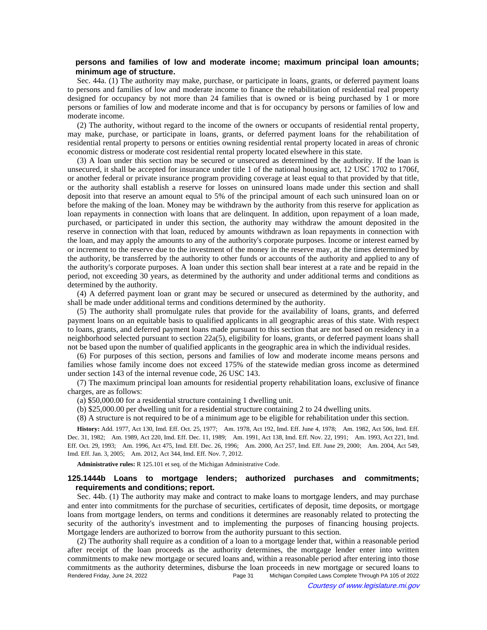# **persons and families of low and moderate income; maximum principal loan amounts; minimum age of structure.**

Sec. 44a. (1) The authority may make, purchase, or participate in loans, grants, or deferred payment loans to persons and families of low and moderate income to finance the rehabilitation of residential real property designed for occupancy by not more than 24 families that is owned or is being purchased by 1 or more persons or families of low and moderate income and that is for occupancy by persons or families of low and moderate income.

(2) The authority, without regard to the income of the owners or occupants of residential rental property, may make, purchase, or participate in loans, grants, or deferred payment loans for the rehabilitation of residential rental property to persons or entities owning residential rental property located in areas of chronic economic distress or moderate cost residential rental property located elsewhere in this state.

(3) A loan under this section may be secured or unsecured as determined by the authority. If the loan is unsecured, it shall be accepted for insurance under title 1 of the national housing act, 12 USC 1702 to 1706f, or another federal or private insurance program providing coverage at least equal to that provided by that title, or the authority shall establish a reserve for losses on uninsured loans made under this section and shall deposit into that reserve an amount equal to 5% of the principal amount of each such uninsured loan on or before the making of the loan. Money may be withdrawn by the authority from this reserve for application as loan repayments in connection with loans that are delinquent. In addition, upon repayment of a loan made, purchased, or participated in under this section, the authority may withdraw the amount deposited in the reserve in connection with that loan, reduced by amounts withdrawn as loan repayments in connection with the loan, and may apply the amounts to any of the authority's corporate purposes. Income or interest earned by or increment to the reserve due to the investment of the money in the reserve may, at the times determined by the authority, be transferred by the authority to other funds or accounts of the authority and applied to any of the authority's corporate purposes. A loan under this section shall bear interest at a rate and be repaid in the period, not exceeding 30 years, as determined by the authority and under additional terms and conditions as determined by the authority.

(4) A deferred payment loan or grant may be secured or unsecured as determined by the authority, and shall be made under additional terms and conditions determined by the authority.

(5) The authority shall promulgate rules that provide for the availability of loans, grants, and deferred payment loans on an equitable basis to qualified applicants in all geographic areas of this state. With respect to loans, grants, and deferred payment loans made pursuant to this section that are not based on residency in a neighborhood selected pursuant to section 22a(5), eligibility for loans, grants, or deferred payment loans shall not be based upon the number of qualified applicants in the geographic area in which the individual resides.

(6) For purposes of this section, persons and families of low and moderate income means persons and families whose family income does not exceed 175% of the statewide median gross income as determined under section 143 of the internal revenue code, 26 USC 143.

(7) The maximum principal loan amounts for residential property rehabilitation loans, exclusive of finance charges, are as follows:

(a) \$50,000.00 for a residential structure containing 1 dwelling unit.

(b) \$25,000.00 per dwelling unit for a residential structure containing 2 to 24 dwelling units.

(8) A structure is not required to be of a minimum age to be eligible for rehabilitation under this section.

History: Add. 1977, Act 130, Imd. Eff. Oct. 25, 1977;—Am. 1978, Act 192, Imd. Eff. June 4, 1978;—Am. 1982, Act 506, Imd. Eff. Dec. 31, 1982;—Am. 1989, Act 220, Imd. Eff. Dec. 11, 1989;—Am. 1991, Act 138, Imd. Eff. Nov. 22, 1991;—Am. 1993, Act 221, Imd. Eff. Oct. 29, 1993;-Am. 1996, Act 475, Imd. Eff. Dec. 26, 1996;-Am. 2000, Act 257, Imd. Eff. June 29, 2000;-Am. 2004, Act 549, Imd. Eff. Jan. 3, 2005;--- Am. 2012, Act 344, Imd. Eff. Nov. 7, 2012.

**Administrative rules:** R 125.101 et seq. of the Michigan Administrative Code.

## **125.1444b Loans to mortgage lenders; authorized purchases and commitments; requirements and conditions; report.**

Sec. 44b. (1) The authority may make and contract to make loans to mortgage lenders, and may purchase and enter into commitments for the purchase of securities, certificates of deposit, time deposits, or mortgage loans from mortgage lenders, on terms and conditions it determines are reasonably related to protecting the security of the authority's investment and to implementing the purposes of financing housing projects. Mortgage lenders are authorized to borrow from the authority pursuant to this section.

(2) The authority shall require as a condition of a loan to a mortgage lender that, within a reasonable period after receipt of the loan proceeds as the authority determines, the mortgage lender enter into written commitments to make new mortgage or secured loans and, within a reasonable period after entering into those commitments as the authority determines, disburse the loan proceeds in new mortgage or secured loans to Rendered Friday, June 24, 2022 Page 31 Michigan Compiled Laws Complete Through PA 105 of 2022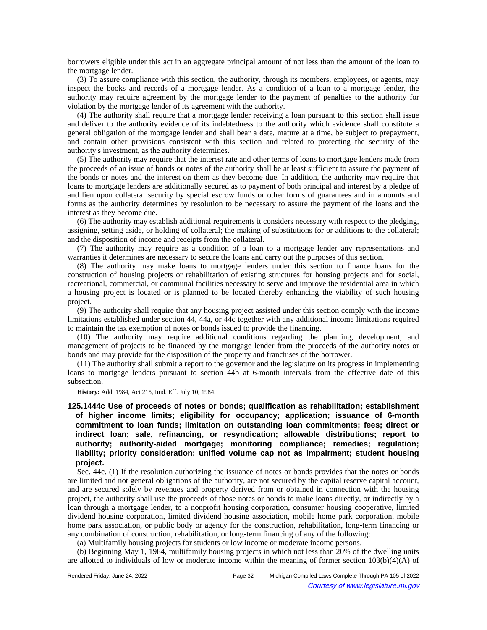borrowers eligible under this act in an aggregate principal amount of not less than the amount of the loan to the mortgage lender.

(3) To assure compliance with this section, the authority, through its members, employees, or agents, may inspect the books and records of a mortgage lender. As a condition of a loan to a mortgage lender, the authority may require agreement by the mortgage lender to the payment of penalties to the authority for violation by the mortgage lender of its agreement with the authority.

(4) The authority shall require that a mortgage lender receiving a loan pursuant to this section shall issue and deliver to the authority evidence of its indebtedness to the authority which evidence shall constitute a general obligation of the mortgage lender and shall bear a date, mature at a time, be subject to prepayment, and contain other provisions consistent with this section and related to protecting the security of the authority's investment, as the authority determines.

(5) The authority may require that the interest rate and other terms of loans to mortgage lenders made from the proceeds of an issue of bonds or notes of the authority shall be at least sufficient to assure the payment of the bonds or notes and the interest on them as they become due. In addition, the authority may require that loans to mortgage lenders are additionally secured as to payment of both principal and interest by a pledge of and lien upon collateral security by special escrow funds or other forms of guarantees and in amounts and forms as the authority determines by resolution to be necessary to assure the payment of the loans and the interest as they become due.

(6) The authority may establish additional requirements it considers necessary with respect to the pledging, assigning, setting aside, or holding of collateral; the making of substitutions for or additions to the collateral; and the disposition of income and receipts from the collateral.

(7) The authority may require as a condition of a loan to a mortgage lender any representations and warranties it determines are necessary to secure the loans and carry out the purposes of this section.

(8) The authority may make loans to mortgage lenders under this section to finance loans for the construction of housing projects or rehabilitation of existing structures for housing projects and for social, recreational, commercial, or communal facilities necessary to serve and improve the residential area in which a housing project is located or is planned to be located thereby enhancing the viability of such housing project.

(9) The authority shall require that any housing project assisted under this section comply with the income limitations established under section 44, 44a, or 44c together with any additional income limitations required to maintain the tax exemption of notes or bonds issued to provide the financing.

(10) The authority may require additional conditions regarding the planning, development, and management of projects to be financed by the mortgage lender from the proceeds of the authority notes or bonds and may provide for the disposition of the property and franchises of the borrower.

(11) The authority shall submit a report to the governor and the legislature on its progress in implementing loans to mortgage lenders pursuant to section 44b at 6-month intervals from the effective date of this subsection.

**History:** Add. 1984, Act 215, Imd. Eff. July 10, 1984.

# **125.1444c Use of proceeds of notes or bonds; qualification as rehabilitation; establishment of higher income limits; eligibility for occupancy; application; issuance of 6-month commitment to loan funds; limitation on outstanding loan commitments; fees; direct or indirect loan; sale, refinancing, or resyndication; allowable distributions; report to authority; authority-aided mortgage; monitoring compliance; remedies; regulation; liability; priority consideration; unified volume cap not as impairment; student housing project.**

Sec. 44c. (1) If the resolution authorizing the issuance of notes or bonds provides that the notes or bonds are limited and not general obligations of the authority, are not secured by the capital reserve capital account, and are secured solely by revenues and property derived from or obtained in connection with the housing project, the authority shall use the proceeds of those notes or bonds to make loans directly, or indirectly by a loan through a mortgage lender, to a nonprofit housing corporation, consumer housing cooperative, limited dividend housing corporation, limited dividend housing association, mobile home park corporation, mobile home park association, or public body or agency for the construction, rehabilitation, long-term financing or any combination of construction, rehabilitation, or long-term financing of any of the following:

(a) Multifamily housing projects for students or low income or moderate income persons.

(b) Beginning May 1, 1984, multifamily housing projects in which not less than 20% of the dwelling units are allotted to individuals of low or moderate income within the meaning of former section 103(b)(4)(A) of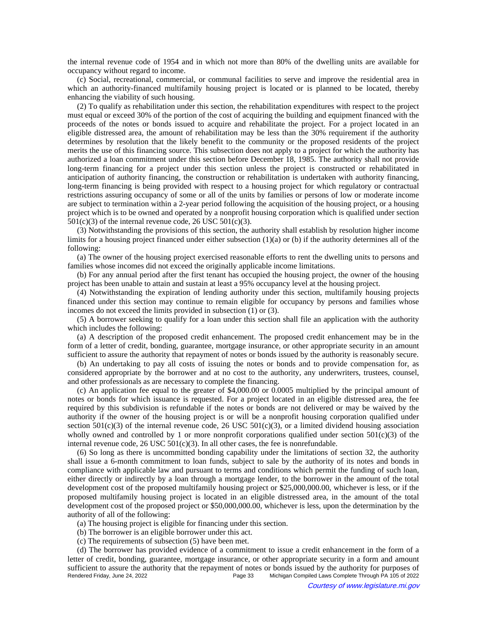the internal revenue code of 1954 and in which not more than 80% of the dwelling units are available for occupancy without regard to income.

(c) Social, recreational, commercial, or communal facilities to serve and improve the residential area in which an authority-financed multifamily housing project is located or is planned to be located, thereby enhancing the viability of such housing.

(2) To qualify as rehabilitation under this section, the rehabilitation expenditures with respect to the project must equal or exceed 30% of the portion of the cost of acquiring the building and equipment financed with the proceeds of the notes or bonds issued to acquire and rehabilitate the project. For a project located in an eligible distressed area, the amount of rehabilitation may be less than the 30% requirement if the authority determines by resolution that the likely benefit to the community or the proposed residents of the project merits the use of this financing source. This subsection does not apply to a project for which the authority has authorized a loan commitment under this section before December 18, 1985. The authority shall not provide long-term financing for a project under this section unless the project is constructed or rehabilitated in anticipation of authority financing, the construction or rehabilitation is undertaken with authority financing, long-term financing is being provided with respect to a housing project for which regulatory or contractual restrictions assuring occupancy of some or all of the units by families or persons of low or moderate income are subject to termination within a 2-year period following the acquisition of the housing project, or a housing project which is to be owned and operated by a nonprofit housing corporation which is qualified under section  $501(c)(3)$  of the internal revenue code, 26 USC  $501(c)(3)$ .

(3) Notwithstanding the provisions of this section, the authority shall establish by resolution higher income limits for a housing project financed under either subsection  $(1)(a)$  or (b) if the authority determines all of the following:

(a) The owner of the housing project exercised reasonable efforts to rent the dwelling units to persons and families whose incomes did not exceed the originally applicable income limitations.

(b) For any annual period after the first tenant has occupied the housing project, the owner of the housing project has been unable to attain and sustain at least a 95% occupancy level at the housing project.

(4) Notwithstanding the expiration of lending authority under this section, multifamily housing projects financed under this section may continue to remain eligible for occupancy by persons and families whose incomes do not exceed the limits provided in subsection (1) or (3).

(5) A borrower seeking to qualify for a loan under this section shall file an application with the authority which includes the following:

(a) A description of the proposed credit enhancement. The proposed credit enhancement may be in the form of a letter of credit, bonding, guarantee, mortgage insurance, or other appropriate security in an amount sufficient to assure the authority that repayment of notes or bonds issued by the authority is reasonably secure.

(b) An undertaking to pay all costs of issuing the notes or bonds and to provide compensation for, as considered appropriate by the borrower and at no cost to the authority, any underwriters, trustees, counsel, and other professionals as are necessary to complete the financing.

(c) An application fee equal to the greater of \$4,000.00 or 0.0005 multiplied by the principal amount of notes or bonds for which issuance is requested. For a project located in an eligible distressed area, the fee required by this subdivision is refundable if the notes or bonds are not delivered or may be waived by the authority if the owner of the housing project is or will be a nonprofit housing corporation qualified under section 501(c)(3) of the internal revenue code, 26 USC 501(c)(3), or a limited dividend housing association wholly owned and controlled by 1 or more nonprofit corporations qualified under section  $501(c)(3)$  of the internal revenue code,  $26$  USC  $501(c)(3)$ . In all other cases, the fee is nonrefundable.

(6) So long as there is uncommitted bonding capability under the limitations of section 32, the authority shall issue a 6-month commitment to loan funds, subject to sale by the authority of its notes and bonds in compliance with applicable law and pursuant to terms and conditions which permit the funding of such loan, either directly or indirectly by a loan through a mortgage lender, to the borrower in the amount of the total development cost of the proposed multifamily housing project or \$25,000,000.00, whichever is less, or if the proposed multifamily housing project is located in an eligible distressed area, in the amount of the total development cost of the proposed project or \$50,000,000.00, whichever is less, upon the determination by the authority of all of the following:

(a) The housing project is eligible for financing under this section.

(b) The borrower is an eligible borrower under this act.

(c) The requirements of subsection (5) have been met.

(d) The borrower has provided evidence of a commitment to issue a credit enhancement in the form of a letter of credit, bonding, guarantee, mortgage insurance, or other appropriate security in a form and amount sufficient to assure the authority that the repayment of notes or bonds issued by the authority for purposes of<br>Page 33 Michigan Compiled Laws Complete Through PA 105 of 2022 Michigan Compiled Laws Complete Through PA 105 of 2022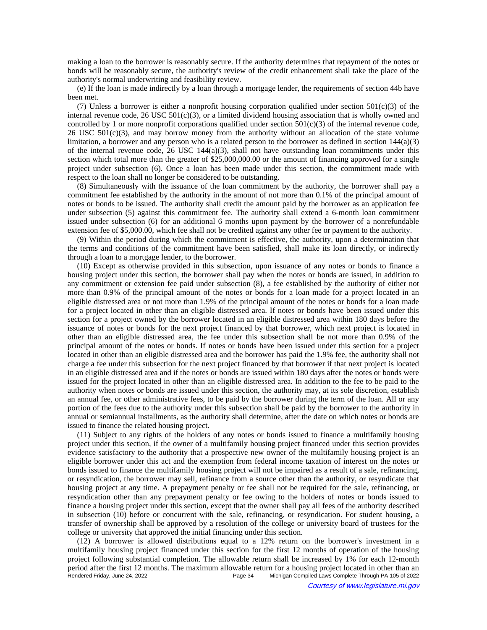making a loan to the borrower is reasonably secure. If the authority determines that repayment of the notes or bonds will be reasonably secure, the authority's review of the credit enhancement shall take the place of the authority's normal underwriting and feasibility review.

(e) If the loan is made indirectly by a loan through a mortgage lender, the requirements of section 44b have been met.

(7) Unless a borrower is either a nonprofit housing corporation qualified under section 501(c)(3) of the internal revenue code,  $26 \text{ USC } 501 \text{ (c)}(3)$ , or a limited dividend housing association that is wholly owned and controlled by 1 or more nonprofit corporations qualified under section  $501(c)(3)$  of the internal revenue code, 26 USC  $501(c)(3)$ , and may borrow money from the authority without an allocation of the state volume limitation, a borrower and any person who is a related person to the borrower as defined in section  $144(a)(3)$ of the internal revenue code,  $26 \text{ USC} 144(a)(3)$ , shall not have outstanding loan commitments under this section which total more than the greater of \$25,000,000.00 or the amount of financing approved for a single project under subsection (6). Once a loan has been made under this section, the commitment made with respect to the loan shall no longer be considered to be outstanding.

(8) Simultaneously with the issuance of the loan commitment by the authority, the borrower shall pay a commitment fee established by the authority in the amount of not more than 0.1% of the principal amount of notes or bonds to be issued. The authority shall credit the amount paid by the borrower as an application fee under subsection (5) against this commitment fee. The authority shall extend a 6-month loan commitment issued under subsection (6) for an additional 6 months upon payment by the borrower of a nonrefundable extension fee of \$5,000.00, which fee shall not be credited against any other fee or payment to the authority.

(9) Within the period during which the commitment is effective, the authority, upon a determination that the terms and conditions of the commitment have been satisfied, shall make its loan directly, or indirectly through a loan to a mortgage lender, to the borrower.

(10) Except as otherwise provided in this subsection, upon issuance of any notes or bonds to finance a housing project under this section, the borrower shall pay when the notes or bonds are issued, in addition to any commitment or extension fee paid under subsection (8), a fee established by the authority of either not more than 0.9% of the principal amount of the notes or bonds for a loan made for a project located in an eligible distressed area or not more than 1.9% of the principal amount of the notes or bonds for a loan made for a project located in other than an eligible distressed area. If notes or bonds have been issued under this section for a project owned by the borrower located in an eligible distressed area within 180 days before the issuance of notes or bonds for the next project financed by that borrower, which next project is located in other than an eligible distressed area, the fee under this subsection shall be not more than 0.9% of the principal amount of the notes or bonds. If notes or bonds have been issued under this section for a project located in other than an eligible distressed area and the borrower has paid the 1.9% fee, the authority shall not charge a fee under this subsection for the next project financed by that borrower if that next project is located in an eligible distressed area and if the notes or bonds are issued within 180 days after the notes or bonds were issued for the project located in other than an eligible distressed area. In addition to the fee to be paid to the authority when notes or bonds are issued under this section, the authority may, at its sole discretion, establish an annual fee, or other administrative fees, to be paid by the borrower during the term of the loan. All or any portion of the fees due to the authority under this subsection shall be paid by the borrower to the authority in annual or semiannual installments, as the authority shall determine, after the date on which notes or bonds are issued to finance the related housing project.

(11) Subject to any rights of the holders of any notes or bonds issued to finance a multifamily housing project under this section, if the owner of a multifamily housing project financed under this section provides evidence satisfactory to the authority that a prospective new owner of the multifamily housing project is an eligible borrower under this act and the exemption from federal income taxation of interest on the notes or bonds issued to finance the multifamily housing project will not be impaired as a result of a sale, refinancing, or resyndication, the borrower may sell, refinance from a source other than the authority, or resyndicate that housing project at any time. A prepayment penalty or fee shall not be required for the sale, refinancing, or resyndication other than any prepayment penalty or fee owing to the holders of notes or bonds issued to finance a housing project under this section, except that the owner shall pay all fees of the authority described in subsection (10) before or concurrent with the sale, refinancing, or resyndication. For student housing, a transfer of ownership shall be approved by a resolution of the college or university board of trustees for the college or university that approved the initial financing under this section.

(12) A borrower is allowed distributions equal to a 12% return on the borrower's investment in a multifamily housing project financed under this section for the first 12 months of operation of the housing project following substantial completion. The allowable return shall be increased by 1% for each 12-month period after the first 12 months. The maximum allowable return for a housing project located in other than an<br>Page 34 Michigan Compiled Laws Complete Through PA 105 of 2022 Michigan Compiled Laws Complete Through PA 105 of 2022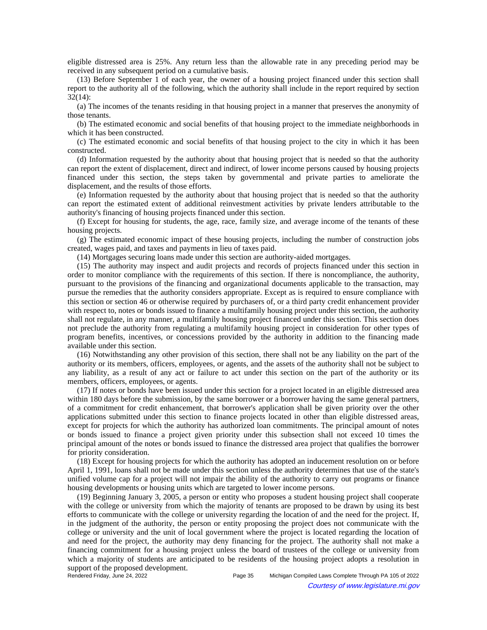eligible distressed area is 25%. Any return less than the allowable rate in any preceding period may be received in any subsequent period on a cumulative basis.

(13) Before September 1 of each year, the owner of a housing project financed under this section shall report to the authority all of the following, which the authority shall include in the report required by section 32(14):

(a) The incomes of the tenants residing in that housing project in a manner that preserves the anonymity of those tenants.

(b) The estimated economic and social benefits of that housing project to the immediate neighborhoods in which it has been constructed.

(c) The estimated economic and social benefits of that housing project to the city in which it has been constructed.

(d) Information requested by the authority about that housing project that is needed so that the authority can report the extent of displacement, direct and indirect, of lower income persons caused by housing projects financed under this section, the steps taken by governmental and private parties to ameliorate the displacement, and the results of those efforts.

(e) Information requested by the authority about that housing project that is needed so that the authority can report the estimated extent of additional reinvestment activities by private lenders attributable to the authority's financing of housing projects financed under this section.

(f) Except for housing for students, the age, race, family size, and average income of the tenants of these housing projects.

(g) The estimated economic impact of these housing projects, including the number of construction jobs created, wages paid, and taxes and payments in lieu of taxes paid.

(14) Mortgages securing loans made under this section are authority-aided mortgages.

(15) The authority may inspect and audit projects and records of projects financed under this section in order to monitor compliance with the requirements of this section. If there is noncompliance, the authority, pursuant to the provisions of the financing and organizational documents applicable to the transaction, may pursue the remedies that the authority considers appropriate. Except as is required to ensure compliance with this section or section 46 or otherwise required by purchasers of, or a third party credit enhancement provider with respect to, notes or bonds issued to finance a multifamily housing project under this section, the authority shall not regulate, in any manner, a multifamily housing project financed under this section. This section does not preclude the authority from regulating a multifamily housing project in consideration for other types of program benefits, incentives, or concessions provided by the authority in addition to the financing made available under this section.

(16) Notwithstanding any other provision of this section, there shall not be any liability on the part of the authority or its members, officers, employees, or agents, and the assets of the authority shall not be subject to any liability, as a result of any act or failure to act under this section on the part of the authority or its members, officers, employees, or agents.

(17) If notes or bonds have been issued under this section for a project located in an eligible distressed area within 180 days before the submission, by the same borrower or a borrower having the same general partners, of a commitment for credit enhancement, that borrower's application shall be given priority over the other applications submitted under this section to finance projects located in other than eligible distressed areas, except for projects for which the authority has authorized loan commitments. The principal amount of notes or bonds issued to finance a project given priority under this subsection shall not exceed 10 times the principal amount of the notes or bonds issued to finance the distressed area project that qualifies the borrower for priority consideration.

(18) Except for housing projects for which the authority has adopted an inducement resolution on or before April 1, 1991, loans shall not be made under this section unless the authority determines that use of the state's unified volume cap for a project will not impair the ability of the authority to carry out programs or finance housing developments or housing units which are targeted to lower income persons.

(19) Beginning January 3, 2005, a person or entity who proposes a student housing project shall cooperate with the college or university from which the majority of tenants are proposed to be drawn by using its best efforts to communicate with the college or university regarding the location of and the need for the project. If, in the judgment of the authority, the person or entity proposing the project does not communicate with the college or university and the unit of local government where the project is located regarding the location of and need for the project, the authority may deny financing for the project. The authority shall not make a financing commitment for a housing project unless the board of trustees of the college or university from which a majority of students are anticipated to be residents of the housing project adopts a resolution in support of the proposed development.<br>Rendered Friday, June 24, 2022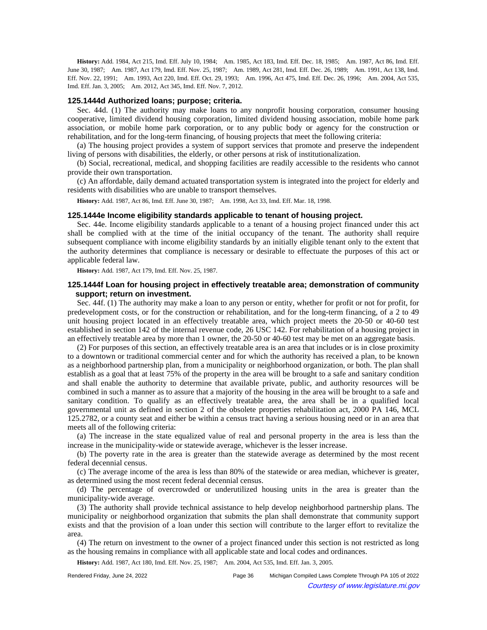History: Add. 1984, Act 215, Imd. Eff. July 10, 1984;—Am. 1985, Act 183, Imd. Eff. Dec. 18, 1985;—Am. 1987, Act 86, Imd. Eff. June 30, 1987;—Am. 1987, Act 179, Imd. Eff. Nov. 25, 1987;—Am. 1989, Act 281, Imd. Eff. Dec. 26, 1989;—Am. 1991, Act 138, Imd. Eff. Nov. 22, 1991;—Am. 1993, Act 220, Imd. Eff. Oct. 29, 1993;—Am. 1996, Act 475, Imd. Eff. Dec. 26, 1996;—Am. 2004, Act 535, Imd. Eff. Jan. 3, 2005;—Am. 2012, Act 345, Imd. Eff. Nov. 7, 2012.

#### **125.1444d Authorized loans; purpose; criteria.**

Sec. 44d. (1) The authority may make loans to any nonprofit housing corporation, consumer housing cooperative, limited dividend housing corporation, limited dividend housing association, mobile home park association, or mobile home park corporation, or to any public body or agency for the construction or rehabilitation, and for the long-term financing, of housing projects that meet the following criteria:

(a) The housing project provides a system of support services that promote and preserve the independent living of persons with disabilities, the elderly, or other persons at risk of institutionalization.

(b) Social, recreational, medical, and shopping facilities are readily accessible to the residents who cannot provide their own transportation.

(c) An affordable, daily demand actuated transportation system is integrated into the project for elderly and residents with disabilities who are unable to transport themselves.

History: Add. 1987, Act 86, Imd. Eff. June 30, 1987;-- Am. 1998, Act 33, Imd. Eff. Mar. 18, 1998.

### **125.1444e Income eligibility standards applicable to tenant of housing project.**

Sec. 44e. Income eligibility standards applicable to a tenant of a housing project financed under this act shall be complied with at the time of the initial occupancy of the tenant. The authority shall require subsequent compliance with income eligibility standards by an initially eligible tenant only to the extent that the authority determines that compliance is necessary or desirable to effectuate the purposes of this act or applicable federal law.

**History:** Add. 1987, Act 179, Imd. Eff. Nov. 25, 1987.

## **125.1444f Loan for housing project in effectively treatable area; demonstration of community support; return on investment.**

Sec. 44f. (1) The authority may make a loan to any person or entity, whether for profit or not for profit, for predevelopment costs, or for the construction or rehabilitation, and for the long-term financing, of a 2 to 49 unit housing project located in an effectively treatable area, which project meets the 20-50 or 40-60 test established in section 142 of the internal revenue code, 26 USC 142. For rehabilitation of a housing project in an effectively treatable area by more than 1 owner, the 20-50 or 40-60 test may be met on an aggregate basis.

(2) For purposes of this section, an effectively treatable area is an area that includes or is in close proximity to a downtown or traditional commercial center and for which the authority has received a plan, to be known as a neighborhood partnership plan, from a municipality or neighborhood organization, or both. The plan shall establish as a goal that at least 75% of the property in the area will be brought to a safe and sanitary condition and shall enable the authority to determine that available private, public, and authority resources will be combined in such a manner as to assure that a majority of the housing in the area will be brought to a safe and sanitary condition. To qualify as an effectively treatable area, the area shall be in a qualified local governmental unit as defined in section 2 of the obsolete properties rehabilitation act, 2000 PA 146, MCL 125.2782, or a county seat and either be within a census tract having a serious housing need or in an area that meets all of the following criteria:

(a) The increase in the state equalized value of real and personal property in the area is less than the increase in the municipality-wide or statewide average, whichever is the lesser increase.

(b) The poverty rate in the area is greater than the statewide average as determined by the most recent federal decennial census.

(c) The average income of the area is less than 80% of the statewide or area median, whichever is greater, as determined using the most recent federal decennial census.

(d) The percentage of overcrowded or underutilized housing units in the area is greater than the municipality-wide average.

(3) The authority shall provide technical assistance to help develop neighborhood partnership plans. The municipality or neighborhood organization that submits the plan shall demonstrate that community support exists and that the provision of a loan under this section will contribute to the larger effort to revitalize the area.

(4) The return on investment to the owner of a project financed under this section is not restricted as long as the housing remains in compliance with all applicable state and local codes and ordinances.

History: Add. 1987, Act 180, Imd. Eff. Nov. 25, 1987;—Am. 2004, Act 535, Imd. Eff. Jan. 3, 2005.

| Rendered Friday, June 24, 2022 | Page 36 | Michigan Compiled Laws Complete Through PA 105 of 2022 |
|--------------------------------|---------|--------------------------------------------------------|
| $\odot$                        |         | Courtesy of www.legislature.mi.gov                     |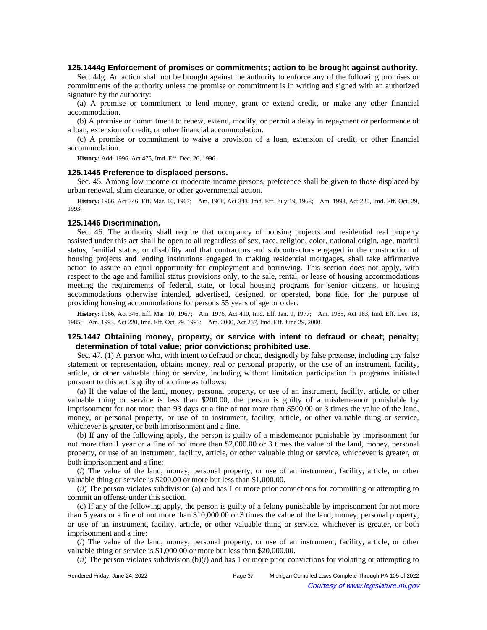### **125.1444g Enforcement of promises or commitments; action to be brought against authority.**

Sec. 44g. An action shall not be brought against the authority to enforce any of the following promises or commitments of the authority unless the promise or commitment is in writing and signed with an authorized signature by the authority:

(a) A promise or commitment to lend money, grant or extend credit, or make any other financial accommodation.

(b) A promise or commitment to renew, extend, modify, or permit a delay in repayment or performance of a loan, extension of credit, or other financial accommodation.

(c) A promise or commitment to waive a provision of a loan, extension of credit, or other financial accommodation.

**History:** Add. 1996, Act 475, Imd. Eff. Dec. 26, 1996.

#### **125.1445 Preference to displaced persons.**

Sec. 45. Among low income or moderate income persons, preference shall be given to those displaced by urban renewal, slum clearance, or other governmental action.

History: 1966, Act 346, Eff. Mar. 10, 1967;**--**Am. 1968, Act 343, Imd. Eff. July 19, 1968;**--**Am. 1993, Act 220, Imd. Eff. Oct. 29, 1993.

## **125.1446 Discrimination.**

Sec. 46. The authority shall require that occupancy of housing projects and residential real property assisted under this act shall be open to all regardless of sex, race, religion, color, national origin, age, marital status, familial status, or disability and that contractors and subcontractors engaged in the construction of housing projects and lending institutions engaged in making residential mortgages, shall take affirmative action to assure an equal opportunity for employment and borrowing. This section does not apply, with respect to the age and familial status provisions only, to the sale, rental, or lease of housing accommodations meeting the requirements of federal, state, or local housing programs for senior citizens, or housing accommodations otherwise intended, advertised, designed, or operated, bona fide, for the purpose of providing housing accommodations for persons 55 years of age or older.

History: 1966, Act 346, Eff. Mar. 10, 1967;--Am. 1976, Act 410, Imd. Eff. Jan. 9, 1977;--Am. 1985, Act 183, Imd. Eff. Dec. 18, 1985; Am. 1993, Act 220, Imd. Eff. Oct. 29, 1993; Am. 2000, Act 257, Imd. Eff. June 29, 2000.

# **125.1447 Obtaining money, property, or service with intent to defraud or cheat; penalty; determination of total value; prior convictions; prohibited use.**

Sec. 47. (1) A person who, with intent to defraud or cheat, designedly by false pretense, including any false statement or representation, obtains money, real or personal property, or the use of an instrument, facility, article, or other valuable thing or service, including without limitation participation in programs initiated pursuant to this act is guilty of a crime as follows:

(a) If the value of the land, money, personal property, or use of an instrument, facility, article, or other valuable thing or service is less than \$200.00, the person is guilty of a misdemeanor punishable by imprisonment for not more than 93 days or a fine of not more than \$500.00 or 3 times the value of the land, money, or personal property, or use of an instrument, facility, article, or other valuable thing or service, whichever is greater, or both imprisonment and a fine.

(b) If any of the following apply, the person is guilty of a misdemeanor punishable by imprisonment for not more than 1 year or a fine of not more than \$2,000.00 or 3 times the value of the land, money, personal property, or use of an instrument, facility, article, or other valuable thing or service, whichever is greater, or both imprisonment and a fine:

(*i*) The value of the land, money, personal property, or use of an instrument, facility, article, or other valuable thing or service is \$200.00 or more but less than \$1,000.00.

(*ii*) The person violates subdivision (a) and has 1 or more prior convictions for committing or attempting to commit an offense under this section.

(c) If any of the following apply, the person is guilty of a felony punishable by imprisonment for not more than 5 years or a fine of not more than \$10,000.00 or 3 times the value of the land, money, personal property, or use of an instrument, facility, article, or other valuable thing or service, whichever is greater, or both imprisonment and a fine:

(*i*) The value of the land, money, personal property, or use of an instrument, facility, article, or other valuable thing or service is \$1,000.00 or more but less than \$20,000.00.

(*ii*) The person violates subdivision (b)(*i*) and has 1 or more prior convictions for violating or attempting to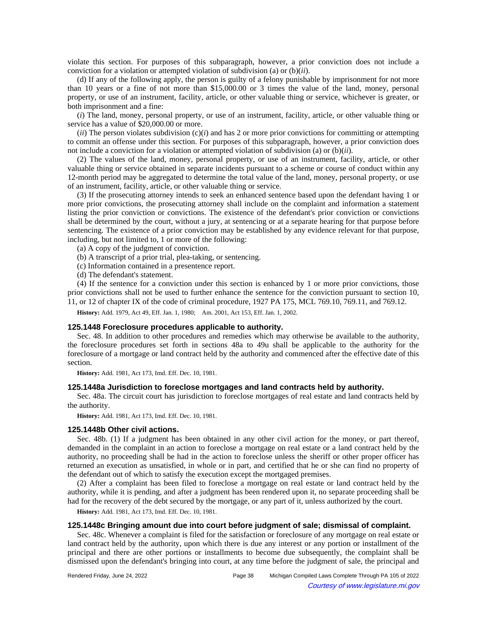violate this section. For purposes of this subparagraph, however, a prior conviction does not include a conviction for a violation or attempted violation of subdivision (a) or (b)(*ii*).

(d) If any of the following apply, the person is guilty of a felony punishable by imprisonment for not more than 10 years or a fine of not more than \$15,000.00 or 3 times the value of the land, money, personal property, or use of an instrument, facility, article, or other valuable thing or service, whichever is greater, or both imprisonment and a fine:

(*i*) The land, money, personal property, or use of an instrument, facility, article, or other valuable thing or service has a value of \$20,000.00 or more.

 $(iii)$  The person violates subdivision  $(c)(i)$  and has 2 or more prior convictions for committing or attempting to commit an offense under this section. For purposes of this subparagraph, however, a prior conviction does not include a conviction for a violation or attempted violation of subdivision (a) or (b)(*ii*).

(2) The values of the land, money, personal property, or use of an instrument, facility, article, or other valuable thing or service obtained in separate incidents pursuant to a scheme or course of conduct within any 12-month period may be aggregated to determine the total value of the land, money, personal property, or use of an instrument, facility, article, or other valuable thing or service.

(3) If the prosecuting attorney intends to seek an enhanced sentence based upon the defendant having 1 or more prior convictions, the prosecuting attorney shall include on the complaint and information a statement listing the prior conviction or convictions. The existence of the defendant's prior conviction or convictions shall be determined by the court, without a jury, at sentencing or at a separate hearing for that purpose before sentencing. The existence of a prior conviction may be established by any evidence relevant for that purpose, including, but not limited to, 1 or more of the following:

(a) A copy of the judgment of conviction.

(b) A transcript of a prior trial, plea-taking, or sentencing.

(c) Information contained in a presentence report.

(d) The defendant's statement.

(4) If the sentence for a conviction under this section is enhanced by 1 or more prior convictions, those prior convictions shall not be used to further enhance the sentence for the conviction pursuant to section 10, 11, or 12 of chapter IX of the code of criminal procedure, 1927 PA 175, MCL 769.10, 769.11, and 769.12.

**History:** Add. 1979, Act 49, Eff. Jan. 1, 1980;-- Am. 2001, Act 153, Eff. Jan. 1, 2002.

#### **125.1448 Foreclosure procedures applicable to authority.**

Sec. 48. In addition to other procedures and remedies which may otherwise be available to the authority, the foreclosure procedures set forth in sections 48a to 49u shall be applicable to the authority for the foreclosure of a mortgage or land contract held by the authority and commenced after the effective date of this section.

**History:** Add. 1981, Act 173, Imd. Eff. Dec. 10, 1981.

### **125.1448a Jurisdiction to foreclose mortgages and land contracts held by authority.**

Sec. 48a. The circuit court has jurisdiction to foreclose mortgages of real estate and land contracts held by the authority.

**History:** Add. 1981, Act 173, Imd. Eff. Dec. 10, 1981.

#### **125.1448b Other civil actions.**

Sec. 48b. (1) If a judgment has been obtained in any other civil action for the money, or part thereof, demanded in the complaint in an action to foreclose a mortgage on real estate or a land contract held by the authority, no proceeding shall be had in the action to foreclose unless the sheriff or other proper officer has returned an execution as unsatisfied, in whole or in part, and certified that he or she can find no property of the defendant out of which to satisfy the execution except the mortgaged premises.

(2) After a complaint has been filed to foreclose a mortgage on real estate or land contract held by the authority, while it is pending, and after a judgment has been rendered upon it, no separate proceeding shall be had for the recovery of the debt secured by the mortgage, or any part of it, unless authorized by the court.

**History:** Add. 1981, Act 173, Imd. Eff. Dec. 10, 1981.

## **125.1448c Bringing amount due into court before judgment of sale; dismissal of complaint.**

Sec. 48c. Whenever a complaint is filed for the satisfaction or foreclosure of any mortgage on real estate or land contract held by the authority, upon which there is due any interest or any portion or installment of the principal and there are other portions or installments to become due subsequently, the complaint shall be dismissed upon the defendant's bringing into court, at any time before the judgment of sale, the principal and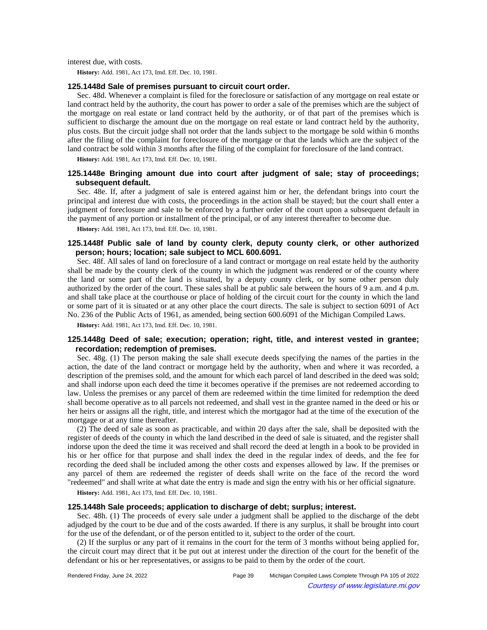interest due, with costs.

**History:** Add. 1981, Act 173, Imd. Eff. Dec. 10, 1981.

### **125.1448d Sale of premises pursuant to circuit court order.**

Sec. 48d. Whenever a complaint is filed for the foreclosure or satisfaction of any mortgage on real estate or land contract held by the authority, the court has power to order a sale of the premises which are the subject of the mortgage on real estate or land contract held by the authority, or of that part of the premises which is sufficient to discharge the amount due on the mortgage on real estate or land contract held by the authority, plus costs. But the circuit judge shall not order that the lands subject to the mortgage be sold within 6 months after the filing of the complaint for foreclosure of the mortgage or that the lands which are the subject of the land contract be sold within 3 months after the filing of the complaint for foreclosure of the land contract.

**History:** Add. 1981, Act 173, Imd. Eff. Dec. 10, 1981.

# **125.1448e Bringing amount due into court after judgment of sale; stay of proceedings; subsequent default.**

Sec. 48e. If, after a judgment of sale is entered against him or her, the defendant brings into court the principal and interest due with costs, the proceedings in the action shall be stayed; but the court shall enter a judgment of foreclosure and sale to be enforced by a further order of the court upon a subsequent default in the payment of any portion or installment of the principal, or of any interest thereafter to become due.

**History:** Add. 1981, Act 173, Imd. Eff. Dec. 10, 1981.

# **125.1448f Public sale of land by county clerk, deputy county clerk, or other authorized person; hours; location; sale subject to MCL 600.6091.**

Sec. 48f. All sales of land on foreclosure of a land contract or mortgage on real estate held by the authority shall be made by the county clerk of the county in which the judgment was rendered or of the county where the land or some part of the land is situated, by a deputy county clerk, or by some other person duly authorized by the order of the court. These sales shall be at public sale between the hours of 9 a.m. and 4 p.m. and shall take place at the courthouse or place of holding of the circuit court for the county in which the land or some part of it is situated or at any other place the court directs. The sale is subject to section 6091 of Act No. 236 of the Public Acts of 1961, as amended, being section 600.6091 of the Michigan Compiled Laws.

**History:** Add. 1981, Act 173, Imd. Eff. Dec. 10, 1981.

## **125.1448g Deed of sale; execution; operation; right, title, and interest vested in grantee; recordation; redemption of premises.**

Sec. 48g. (1) The person making the sale shall execute deeds specifying the names of the parties in the action, the date of the land contract or mortgage held by the authority, when and where it was recorded, a description of the premises sold, and the amount for which each parcel of land described in the deed was sold; and shall indorse upon each deed the time it becomes operative if the premises are not redeemed according to law. Unless the premises or any parcel of them are redeemed within the time limited for redemption the deed shall become operative as to all parcels not redeemed, and shall vest in the grantee named in the deed or his or her heirs or assigns all the right, title, and interest which the mortgagor had at the time of the execution of the mortgage or at any time thereafter.

(2) The deed of sale as soon as practicable, and within 20 days after the sale, shall be deposited with the register of deeds of the county in which the land described in the deed of sale is situated, and the register shall indorse upon the deed the time it was received and shall record the deed at length in a book to be provided in his or her office for that purpose and shall index the deed in the regular index of deeds, and the fee for recording the deed shall be included among the other costs and expenses allowed by law. If the premises or any parcel of them are redeemed the register of deeds shall write on the face of the record the word "redeemed" and shall write at what date the entry is made and sign the entry with his or her official signature.

**History:** Add. 1981, Act 173, Imd. Eff. Dec. 10, 1981.

## **125.1448h Sale proceeds; application to discharge of debt; surplus; interest.**

Sec. 48h. (1) The proceeds of every sale under a judgment shall be applied to the discharge of the debt adjudged by the court to be due and of the costs awarded. If there is any surplus, it shall be brought into court for the use of the defendant, or of the person entitled to it, subject to the order of the court.

(2) If the surplus or any part of it remains in the court for the term of 3 months without being applied for, the circuit court may direct that it be put out at interest under the direction of the court for the benefit of the defendant or his or her representatives, or assigns to be paid to them by the order of the court.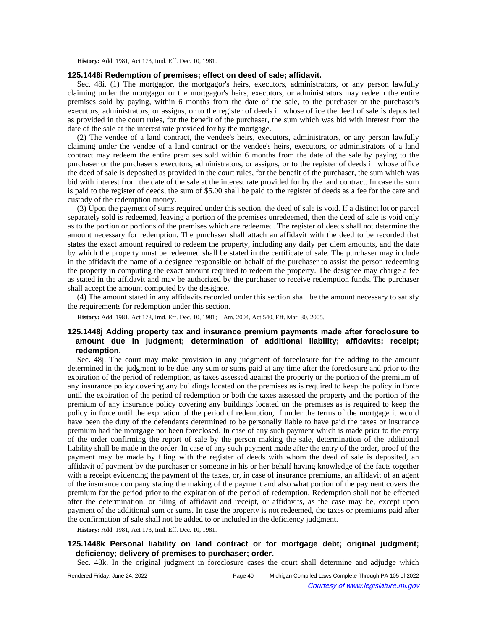**History:** Add. 1981, Act 173, Imd. Eff. Dec. 10, 1981.

## **125.1448i Redemption of premises; effect on deed of sale; affidavit.**

Sec. 48i. (1) The mortgagor, the mortgagor's heirs, executors, administrators, or any person lawfully claiming under the mortgagor or the mortgagor's heirs, executors, or administrators may redeem the entire premises sold by paying, within 6 months from the date of the sale, to the purchaser or the purchaser's executors, administrators, or assigns, or to the register of deeds in whose office the deed of sale is deposited as provided in the court rules, for the benefit of the purchaser, the sum which was bid with interest from the date of the sale at the interest rate provided for by the mortgage.

(2) The vendee of a land contract, the vendee's heirs, executors, administrators, or any person lawfully claiming under the vendee of a land contract or the vendee's heirs, executors, or administrators of a land contract may redeem the entire premises sold within 6 months from the date of the sale by paying to the purchaser or the purchaser's executors, administrators, or assigns, or to the register of deeds in whose office the deed of sale is deposited as provided in the court rules, for the benefit of the purchaser, the sum which was bid with interest from the date of the sale at the interest rate provided for by the land contract. In case the sum is paid to the register of deeds, the sum of \$5.00 shall be paid to the register of deeds as a fee for the care and custody of the redemption money.

(3) Upon the payment of sums required under this section, the deed of sale is void. If a distinct lot or parcel separately sold is redeemed, leaving a portion of the premises unredeemed, then the deed of sale is void only as to the portion or portions of the premises which are redeemed. The register of deeds shall not determine the amount necessary for redemption. The purchaser shall attach an affidavit with the deed to be recorded that states the exact amount required to redeem the property, including any daily per diem amounts, and the date by which the property must be redeemed shall be stated in the certificate of sale. The purchaser may include in the affidavit the name of a designee responsible on behalf of the purchaser to assist the person redeeming the property in computing the exact amount required to redeem the property. The designee may charge a fee as stated in the affidavit and may be authorized by the purchaser to receive redemption funds. The purchaser shall accept the amount computed by the designee.

(4) The amount stated in any affidavits recorded under this section shall be the amount necessary to satisfy the requirements for redemption under this section.

History: Add. 1981, Act 173, Imd. Eff. Dec. 10, 1981;-- Am. 2004, Act 540, Eff. Mar. 30, 2005.

# **125.1448j Adding property tax and insurance premium payments made after foreclosure to amount due in judgment; determination of additional liability; affidavits; receipt; redemption.**

Sec. 48j. The court may make provision in any judgment of foreclosure for the adding to the amount determined in the judgment to be due, any sum or sums paid at any time after the foreclosure and prior to the expiration of the period of redemption, as taxes assessed against the property or the portion of the premium of any insurance policy covering any buildings located on the premises as is required to keep the policy in force until the expiration of the period of redemption or both the taxes assessed the property and the portion of the premium of any insurance policy covering any buildings located on the premises as is required to keep the policy in force until the expiration of the period of redemption, if under the terms of the mortgage it would have been the duty of the defendants determined to be personally liable to have paid the taxes or insurance premium had the mortgage not been foreclosed. In case of any such payment which is made prior to the entry of the order confirming the report of sale by the person making the sale, determination of the additional liability shall be made in the order. In case of any such payment made after the entry of the order, proof of the payment may be made by filing with the register of deeds with whom the deed of sale is deposited, an affidavit of payment by the purchaser or someone in his or her behalf having knowledge of the facts together with a receipt evidencing the payment of the taxes, or, in case of insurance premiums, an affidavit of an agent of the insurance company stating the making of the payment and also what portion of the payment covers the premium for the period prior to the expiration of the period of redemption. Redemption shall not be effected after the determination, or filing of affidavit and receipt, or affidavits, as the case may be, except upon payment of the additional sum or sums. In case the property is not redeemed, the taxes or premiums paid after the confirmation of sale shall not be added to or included in the deficiency judgment.

**History:** Add. 1981, Act 173, Imd. Eff. Dec. 10, 1981.

# **125.1448k Personal liability on land contract or for mortgage debt; original judgment; deficiency; delivery of premises to purchaser; order.**

Sec. 48k. In the original judgment in foreclosure cases the court shall determine and adjudge which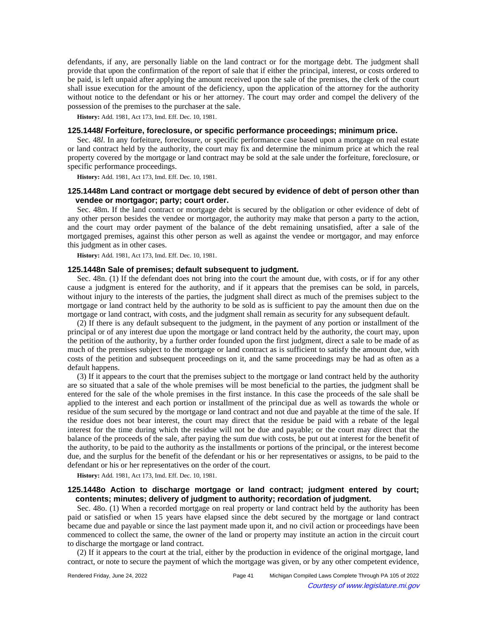defendants, if any, are personally liable on the land contract or for the mortgage debt. The judgment shall provide that upon the confirmation of the report of sale that if either the principal, interest, or costs ordered to be paid, is left unpaid after applying the amount received upon the sale of the premises, the clerk of the court shall issue execution for the amount of the deficiency, upon the application of the attorney for the authority without notice to the defendant or his or her attorney. The court may order and compel the delivery of the possession of the premises to the purchaser at the sale.

**History:** Add. 1981, Act 173, Imd. Eff. Dec. 10, 1981.

## **125.1448l Forfeiture, foreclosure, or specific performance proceedings; minimum price.**

Sec. 48*l*. In any forfeiture, foreclosure, or specific performance case based upon a mortgage on real estate or land contract held by the authority, the court may fix and determine the minimum price at which the real property covered by the mortgage or land contract may be sold at the sale under the forfeiture, foreclosure, or specific performance proceedings.

**History:** Add. 1981, Act 173, Imd. Eff. Dec. 10, 1981.

## **125.1448m Land contract or mortgage debt secured by evidence of debt of person other than vendee or mortgagor; party; court order.**

Sec. 48m. If the land contract or mortgage debt is secured by the obligation or other evidence of debt of any other person besides the vendee or mortgagor, the authority may make that person a party to the action, and the court may order payment of the balance of the debt remaining unsatisfied, after a sale of the mortgaged premises, against this other person as well as against the vendee or mortgagor, and may enforce this judgment as in other cases.

**History:** Add. 1981, Act 173, Imd. Eff. Dec. 10, 1981.

#### **125.1448n Sale of premises; default subsequent to judgment.**

Sec. 48n. (1) If the defendant does not bring into the court the amount due, with costs, or if for any other cause a judgment is entered for the authority, and if it appears that the premises can be sold, in parcels, without injury to the interests of the parties, the judgment shall direct as much of the premises subject to the mortgage or land contract held by the authority to be sold as is sufficient to pay the amount then due on the mortgage or land contract, with costs, and the judgment shall remain as security for any subsequent default.

(2) If there is any default subsequent to the judgment, in the payment of any portion or installment of the principal or of any interest due upon the mortgage or land contract held by the authority, the court may, upon the petition of the authority, by a further order founded upon the first judgment, direct a sale to be made of as much of the premises subject to the mortgage or land contract as is sufficient to satisfy the amount due, with costs of the petition and subsequent proceedings on it, and the same proceedings may be had as often as a default happens.

(3) If it appears to the court that the premises subject to the mortgage or land contract held by the authority are so situated that a sale of the whole premises will be most beneficial to the parties, the judgment shall be entered for the sale of the whole premises in the first instance. In this case the proceeds of the sale shall be applied to the interest and each portion or installment of the principal due as well as towards the whole or residue of the sum secured by the mortgage or land contract and not due and payable at the time of the sale. If the residue does not bear interest, the court may direct that the residue be paid with a rebate of the legal interest for the time during which the residue will not be due and payable; or the court may direct that the balance of the proceeds of the sale, after paying the sum due with costs, be put out at interest for the benefit of the authority, to be paid to the authority as the installments or portions of the principal, or the interest become due, and the surplus for the benefit of the defendant or his or her representatives or assigns, to be paid to the defendant or his or her representatives on the order of the court.

**History:** Add. 1981, Act 173, Imd. Eff. Dec. 10, 1981.

# **125.1448o Action to discharge mortgage or land contract; judgment entered by court; contents; minutes; delivery of judgment to authority; recordation of judgment.**

Sec. 48o. (1) When a recorded mortgage on real property or land contract held by the authority has been paid or satisfied or when 15 years have elapsed since the debt secured by the mortgage or land contract became due and payable or since the last payment made upon it, and no civil action or proceedings have been commenced to collect the same, the owner of the land or property may institute an action in the circuit court to discharge the mortgage or land contract.

(2) If it appears to the court at the trial, either by the production in evidence of the original mortgage, land contract, or note to secure the payment of which the mortgage was given, or by any other competent evidence,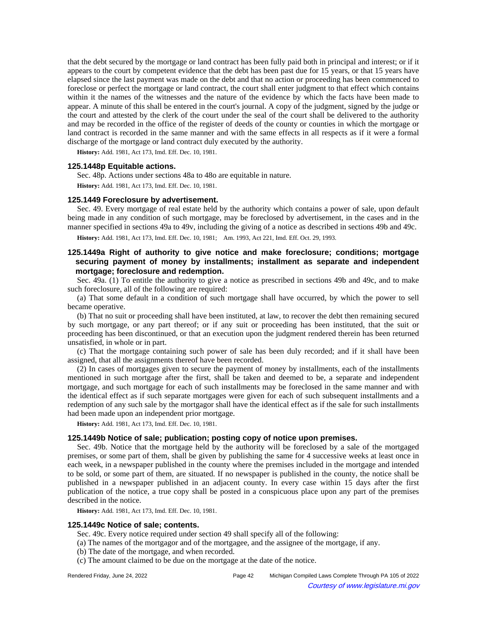that the debt secured by the mortgage or land contract has been fully paid both in principal and interest; or if it appears to the court by competent evidence that the debt has been past due for 15 years, or that 15 years have elapsed since the last payment was made on the debt and that no action or proceeding has been commenced to foreclose or perfect the mortgage or land contract, the court shall enter judgment to that effect which contains within it the names of the witnesses and the nature of the evidence by which the facts have been made to appear. A minute of this shall be entered in the court's journal. A copy of the judgment, signed by the judge or the court and attested by the clerk of the court under the seal of the court shall be delivered to the authority and may be recorded in the office of the register of deeds of the county or counties in which the mortgage or land contract is recorded in the same manner and with the same effects in all respects as if it were a formal discharge of the mortgage or land contract duly executed by the authority.

**History:** Add. 1981, Act 173, Imd. Eff. Dec. 10, 1981.

## **125.1448p Equitable actions.**

Sec. 48p. Actions under sections 48a to 48o are equitable in nature.

**History:** Add. 1981, Act 173, Imd. Eff. Dec. 10, 1981.

#### **125.1449 Foreclosure by advertisement.**

Sec. 49. Every mortgage of real estate held by the authority which contains a power of sale, upon default being made in any condition of such mortgage, may be foreclosed by advertisement, in the cases and in the manner specified in sections 49a to 49v, including the giving of a notice as described in sections 49b and 49c.

History: Add. 1981, Act 173, Imd. Eff. Dec. 10, 1981; —Am. 1993, Act 221, Imd. Eff. Oct. 29, 1993.

# **125.1449a Right of authority to give notice and make foreclosure; conditions; mortgage securing payment of money by installments; installment as separate and independent mortgage; foreclosure and redemption.**

Sec. 49a. (1) To entitle the authority to give a notice as prescribed in sections 49b and 49c, and to make such foreclosure, all of the following are required:

(a) That some default in a condition of such mortgage shall have occurred, by which the power to sell became operative.

(b) That no suit or proceeding shall have been instituted, at law, to recover the debt then remaining secured by such mortgage, or any part thereof; or if any suit or proceeding has been instituted, that the suit or proceeding has been discontinued, or that an execution upon the judgment rendered therein has been returned unsatisfied, in whole or in part.

(c) That the mortgage containing such power of sale has been duly recorded; and if it shall have been assigned, that all the assignments thereof have been recorded.

(2) In cases of mortgages given to secure the payment of money by installments, each of the installments mentioned in such mortgage after the first, shall be taken and deemed to be, a separate and independent mortgage, and such mortgage for each of such installments may be foreclosed in the same manner and with the identical effect as if such separate mortgages were given for each of such subsequent installments and a redemption of any such sale by the mortgagor shall have the identical effect as if the sale for such installments had been made upon an independent prior mortgage.

**History:** Add. 1981, Act 173, Imd. Eff. Dec. 10, 1981.

## **125.1449b Notice of sale; publication; posting copy of notice upon premises.**

Sec. 49b. Notice that the mortgage held by the authority will be foreclosed by a sale of the mortgaged premises, or some part of them, shall be given by publishing the same for 4 successive weeks at least once in each week, in a newspaper published in the county where the premises included in the mortgage and intended to be sold, or some part of them, are situated. If no newspaper is published in the county, the notice shall be published in a newspaper published in an adjacent county. In every case within 15 days after the first publication of the notice, a true copy shall be posted in a conspicuous place upon any part of the premises described in the notice.

**History:** Add. 1981, Act 173, Imd. Eff. Dec. 10, 1981.

#### **125.1449c Notice of sale; contents.**

Sec. 49c. Every notice required under section 49 shall specify all of the following:

- (a) The names of the mortgagor and of the mortgagee, and the assignee of the mortgage, if any.
- (b) The date of the mortgage, and when recorded.
- (c) The amount claimed to be due on the mortgage at the date of the notice.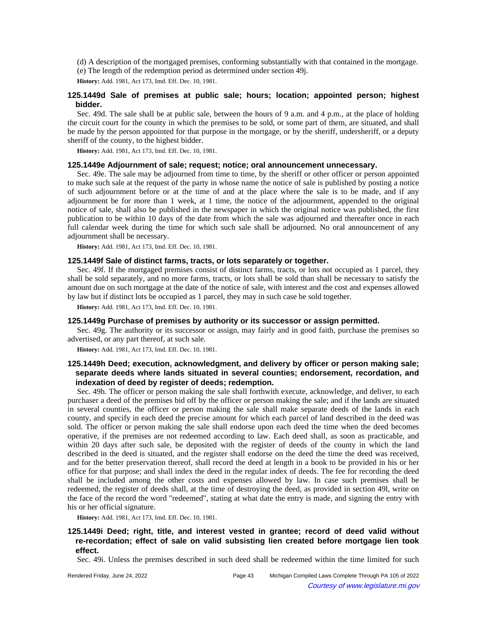(d) A description of the mortgaged premises, conforming substantially with that contained in the mortgage.

(e) The length of the redemption period as determined under section 49j.

**History:** Add. 1981, Act 173, Imd. Eff. Dec. 10, 1981.

# **125.1449d Sale of premises at public sale; hours; location; appointed person; highest bidder.**

Sec. 49d. The sale shall be at public sale, between the hours of 9 a.m. and 4 p.m., at the place of holding the circuit court for the county in which the premises to be sold, or some part of them, are situated, and shall be made by the person appointed for that purpose in the mortgage, or by the sheriff, undersheriff, or a deputy sheriff of the county, to the highest bidder.

**History:** Add. 1981, Act 173, Imd. Eff. Dec. 10, 1981.

## **125.1449e Adjournment of sale; request; notice; oral announcement unnecessary.**

Sec. 49e. The sale may be adjourned from time to time, by the sheriff or other officer or person appointed to make such sale at the request of the party in whose name the notice of sale is published by posting a notice of such adjournment before or at the time of and at the place where the sale is to be made, and if any adjournment be for more than 1 week, at 1 time, the notice of the adjournment, appended to the original notice of sale, shall also be published in the newspaper in which the original notice was published, the first publication to be within 10 days of the date from which the sale was adjourned and thereafter once in each full calendar week during the time for which such sale shall be adjourned. No oral announcement of any adjournment shall be necessary.

**History:** Add. 1981, Act 173, Imd. Eff. Dec. 10, 1981.

## **125.1449f Sale of distinct farms, tracts, or lots separately or together.**

Sec. 49f. If the mortgaged premises consist of distinct farms, tracts, or lots not occupied as 1 parcel, they shall be sold separately, and no more farms, tracts, or lots shall be sold than shall be necessary to satisfy the amount due on such mortgage at the date of the notice of sale, with interest and the cost and expenses allowed by law but if distinct lots be occupied as 1 parcel, they may in such case be sold together.

**History:** Add. 1981, Act 173, Imd. Eff. Dec. 10, 1981.

# **125.1449g Purchase of premises by authority or its successor or assign permitted.**

Sec. 49g. The authority or its successor or assign, may fairly and in good faith, purchase the premises so advertised, or any part thereof, at such sale.

**History:** Add. 1981, Act 173, Imd. Eff. Dec. 10, 1981.

# **125.1449h Deed; execution, acknowledgment, and delivery by officer or person making sale; separate deeds where lands situated in several counties; endorsement, recordation, and indexation of deed by register of deeds; redemption.**

Sec. 49h. The officer or person making the sale shall forthwith execute, acknowledge, and deliver, to each purchaser a deed of the premises bid off by the officer or person making the sale; and if the lands are situated in several counties, the officer or person making the sale shall make separate deeds of the lands in each county, and specify in each deed the precise amount for which each parcel of land described in the deed was sold. The officer or person making the sale shall endorse upon each deed the time when the deed becomes operative, if the premises are not redeemed according to law. Each deed shall, as soon as practicable, and within 20 days after such sale, be deposited with the register of deeds of the county in which the land described in the deed is situated, and the register shall endorse on the deed the time the deed was received, and for the better preservation thereof, shall record the deed at length in a book to be provided in his or her office for that purpose; and shall index the deed in the regular index of deeds. The fee for recording the deed shall be included among the other costs and expenses allowed by law. In case such premises shall be redeemed, the register of deeds shall, at the time of destroying the deed, as provided in section 49l, write on the face of the record the word "redeemed", stating at what date the entry is made, and signing the entry with his or her official signature.

**History:** Add. 1981, Act 173, Imd. Eff. Dec. 10, 1981.

# **125.1449i Deed; right, title, and interest vested in grantee; record of deed valid without re-recordation; effect of sale on valid subsisting lien created before mortgage lien took effect.**

Sec. 49i. Unless the premises described in such deed shall be redeemed within the time limited for such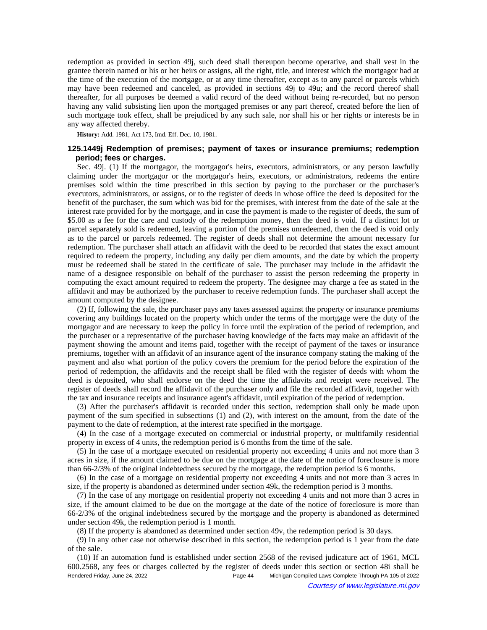redemption as provided in section 49j, such deed shall thereupon become operative, and shall vest in the grantee therein named or his or her heirs or assigns, all the right, title, and interest which the mortgagor had at the time of the execution of the mortgage, or at any time thereafter, except as to any parcel or parcels which may have been redeemed and canceled, as provided in sections 49j to 49u; and the record thereof shall thereafter, for all purposes be deemed a valid record of the deed without being re-recorded, but no person having any valid subsisting lien upon the mortgaged premises or any part thereof, created before the lien of such mortgage took effect, shall be prejudiced by any such sale, nor shall his or her rights or interests be in any way affected thereby.

**History:** Add. 1981, Act 173, Imd. Eff. Dec. 10, 1981.

# **125.1449j Redemption of premises; payment of taxes or insurance premiums; redemption period; fees or charges.**

Sec. 49j. (1) If the mortgagor, the mortgagor's heirs, executors, administrators, or any person lawfully claiming under the mortgagor or the mortgagor's heirs, executors, or administrators, redeems the entire premises sold within the time prescribed in this section by paying to the purchaser or the purchaser's executors, administrators, or assigns, or to the register of deeds in whose office the deed is deposited for the benefit of the purchaser, the sum which was bid for the premises, with interest from the date of the sale at the interest rate provided for by the mortgage, and in case the payment is made to the register of deeds, the sum of \$5.00 as a fee for the care and custody of the redemption money, then the deed is void. If a distinct lot or parcel separately sold is redeemed, leaving a portion of the premises unredeemed, then the deed is void only as to the parcel or parcels redeemed. The register of deeds shall not determine the amount necessary for redemption. The purchaser shall attach an affidavit with the deed to be recorded that states the exact amount required to redeem the property, including any daily per diem amounts, and the date by which the property must be redeemed shall be stated in the certificate of sale. The purchaser may include in the affidavit the name of a designee responsible on behalf of the purchaser to assist the person redeeming the property in computing the exact amount required to redeem the property. The designee may charge a fee as stated in the affidavit and may be authorized by the purchaser to receive redemption funds. The purchaser shall accept the amount computed by the designee.

(2) If, following the sale, the purchaser pays any taxes assessed against the property or insurance premiums covering any buildings located on the property which under the terms of the mortgage were the duty of the mortgagor and are necessary to keep the policy in force until the expiration of the period of redemption, and the purchaser or a representative of the purchaser having knowledge of the facts may make an affidavit of the payment showing the amount and items paid, together with the receipt of payment of the taxes or insurance premiums, together with an affidavit of an insurance agent of the insurance company stating the making of the payment and also what portion of the policy covers the premium for the period before the expiration of the period of redemption, the affidavits and the receipt shall be filed with the register of deeds with whom the deed is deposited, who shall endorse on the deed the time the affidavits and receipt were received. The register of deeds shall record the affidavit of the purchaser only and file the recorded affidavit, together with the tax and insurance receipts and insurance agent's affidavit, until expiration of the period of redemption.

(3) After the purchaser's affidavit is recorded under this section, redemption shall only be made upon payment of the sum specified in subsections (1) and (2), with interest on the amount, from the date of the payment to the date of redemption, at the interest rate specified in the mortgage.

(4) In the case of a mortgage executed on commercial or industrial property, or multifamily residential property in excess of 4 units, the redemption period is 6 months from the time of the sale.

(5) In the case of a mortgage executed on residential property not exceeding 4 units and not more than 3 acres in size, if the amount claimed to be due on the mortgage at the date of the notice of foreclosure is more than 66-2/3% of the original indebtedness secured by the mortgage, the redemption period is 6 months.

(6) In the case of a mortgage on residential property not exceeding 4 units and not more than 3 acres in size, if the property is abandoned as determined under section 49k, the redemption period is 3 months.

(7) In the case of any mortgage on residential property not exceeding 4 units and not more than 3 acres in size, if the amount claimed to be due on the mortgage at the date of the notice of foreclosure is more than 66-2/3% of the original indebtedness secured by the mortgage and the property is abandoned as determined under section 49k, the redemption period is 1 month.

(8) If the property is abandoned as determined under section 49v, the redemption period is 30 days.

(9) In any other case not otherwise described in this section, the redemption period is 1 year from the date of the sale.

(10) If an automation fund is established under section 2568 of the revised judicature act of 1961, MCL 600.2568, any fees or charges collected by the register of deeds under this section or section 48i shall be Rendered Friday, June 24, 2022 Page 44 Michigan Compiled Laws Complete Through PA 105 of 2022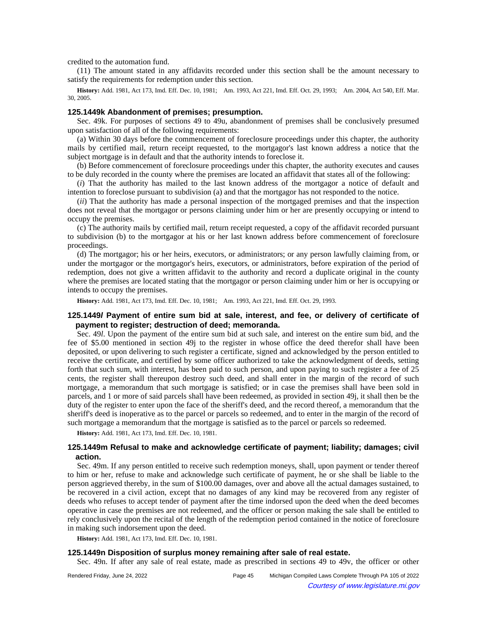credited to the automation fund.

(11) The amount stated in any affidavits recorded under this section shall be the amount necessary to satisfy the requirements for redemption under this section.

History: Add. 1981, Act 173, Imd. Eff. Dec. 10, 1981;-Am. 1993, Act 221, Imd. Eff. Oct. 29, 1993;--Am. 2004, Act 540, Eff. Mar. 30, 2005.

#### **125.1449k Abandonment of premises; presumption.**

Sec. 49k. For purposes of sections 49 to 49u, abandonment of premises shall be conclusively presumed upon satisfaction of all of the following requirements:

(a) Within 30 days before the commencement of foreclosure proceedings under this chapter, the authority mails by certified mail, return receipt requested, to the mortgagor's last known address a notice that the subject mortgage is in default and that the authority intends to foreclose it.

(b) Before commencement of foreclosure proceedings under this chapter, the authority executes and causes to be duly recorded in the county where the premises are located an affidavit that states all of the following:

(*i*) That the authority has mailed to the last known address of the mortgagor a notice of default and intention to foreclose pursuant to subdivision (a) and that the mortgagor has not responded to the notice.

(*ii*) That the authority has made a personal inspection of the mortgaged premises and that the inspection does not reveal that the mortgagor or persons claiming under him or her are presently occupying or intend to occupy the premises.

(c) The authority mails by certified mail, return receipt requested, a copy of the affidavit recorded pursuant to subdivision (b) to the mortgagor at his or her last known address before commencement of foreclosure proceedings.

(d) The mortgagor; his or her heirs, executors, or administrators; or any person lawfully claiming from, or under the mortgagor or the mortgagor's heirs, executors, or administrators, before expiration of the period of redemption, does not give a written affidavit to the authority and record a duplicate original in the county where the premises are located stating that the mortgagor or person claiming under him or her is occupying or intends to occupy the premises.

History: Add. 1981, Act 173, Imd. Eff. Dec. 10, 1981;-- Am. 1993, Act 221, Imd. Eff. Oct. 29, 1993.

## **125.1449l Payment of entire sum bid at sale, interest, and fee, or delivery of certificate of payment to register; destruction of deed; memoranda.**

Sec. 49*l*. Upon the payment of the entire sum bid at such sale, and interest on the entire sum bid, and the fee of \$5.00 mentioned in section 49j to the register in whose office the deed therefor shall have been deposited, or upon delivering to such register a certificate, signed and acknowledged by the person entitled to receive the certificate, and certified by some officer authorized to take the acknowledgment of deeds, setting forth that such sum, with interest, has been paid to such person, and upon paying to such register a fee of 25 cents, the register shall thereupon destroy such deed, and shall enter in the margin of the record of such mortgage, a memorandum that such mortgage is satisfied; or in case the premises shall have been sold in parcels, and 1 or more of said parcels shall have been redeemed, as provided in section 49j, it shall then be the duty of the register to enter upon the face of the sheriff's deed, and the record thereof, a memorandum that the sheriff's deed is inoperative as to the parcel or parcels so redeemed, and to enter in the margin of the record of such mortgage a memorandum that the mortgage is satisfied as to the parcel or parcels so redeemed.

**History:** Add. 1981, Act 173, Imd. Eff. Dec. 10, 1981.

## **125.1449m Refusal to make and acknowledge certificate of payment; liability; damages; civil action.**

Sec. 49m. If any person entitled to receive such redemption moneys, shall, upon payment or tender thereof to him or her, refuse to make and acknowledge such certificate of payment, he or she shall be liable to the person aggrieved thereby, in the sum of \$100.00 damages, over and above all the actual damages sustained, to be recovered in a civil action, except that no damages of any kind may be recovered from any register of deeds who refuses to accept tender of payment after the time indorsed upon the deed when the deed becomes operative in case the premises are not redeemed, and the officer or person making the sale shall be entitled to rely conclusively upon the recital of the length of the redemption period contained in the notice of foreclosure in making such indorsement upon the deed.

**History:** Add. 1981, Act 173, Imd. Eff. Dec. 10, 1981.

## **125.1449n Disposition of surplus money remaining after sale of real estate.**

Sec. 49n. If after any sale of real estate, made as prescribed in sections 49 to 49v, the officer or other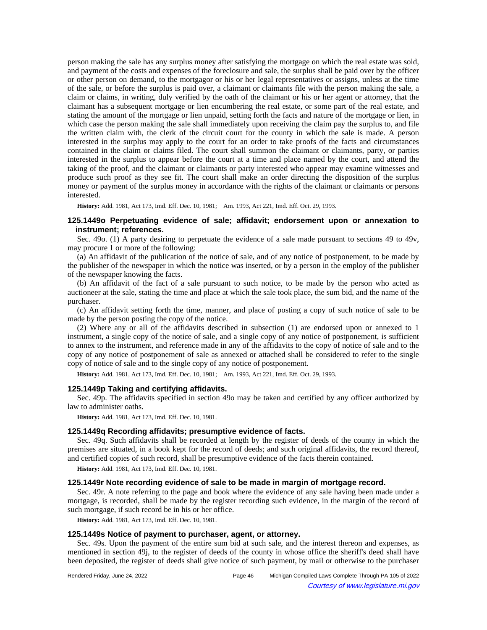person making the sale has any surplus money after satisfying the mortgage on which the real estate was sold, and payment of the costs and expenses of the foreclosure and sale, the surplus shall be paid over by the officer or other person on demand, to the mortgagor or his or her legal representatives or assigns, unless at the time of the sale, or before the surplus is paid over, a claimant or claimants file with the person making the sale, a claim or claims, in writing, duly verified by the oath of the claimant or his or her agent or attorney, that the claimant has a subsequent mortgage or lien encumbering the real estate, or some part of the real estate, and stating the amount of the mortgage or lien unpaid, setting forth the facts and nature of the mortgage or lien, in which case the person making the sale shall immediately upon receiving the claim pay the surplus to, and file the written claim with, the clerk of the circuit court for the county in which the sale is made. A person interested in the surplus may apply to the court for an order to take proofs of the facts and circumstances contained in the claim or claims filed. The court shall summon the claimant or claimants, party, or parties interested in the surplus to appear before the court at a time and place named by the court, and attend the taking of the proof, and the claimant or claimants or party interested who appear may examine witnesses and produce such proof as they see fit. The court shall make an order directing the disposition of the surplus money or payment of the surplus money in accordance with the rights of the claimant or claimants or persons interested.

History: Add. 1981, Act 173, Imd. Eff. Dec. 10, 1981; —Am. 1993, Act 221, Imd. Eff. Oct. 29, 1993.

## **125.1449o Perpetuating evidence of sale; affidavit; endorsement upon or annexation to instrument; references.**

Sec. 49o. (1) A party desiring to perpetuate the evidence of a sale made pursuant to sections 49 to 49v, may procure 1 or more of the following:

(a) An affidavit of the publication of the notice of sale, and of any notice of postponement, to be made by the publisher of the newspaper in which the notice was inserted, or by a person in the employ of the publisher of the newspaper knowing the facts.

(b) An affidavit of the fact of a sale pursuant to such notice, to be made by the person who acted as auctioneer at the sale, stating the time and place at which the sale took place, the sum bid, and the name of the purchaser.

(c) An affidavit setting forth the time, manner, and place of posting a copy of such notice of sale to be made by the person posting the copy of the notice.

(2) Where any or all of the affidavits described in subsection (1) are endorsed upon or annexed to 1 instrument, a single copy of the notice of sale, and a single copy of any notice of postponement, is sufficient to annex to the instrument, and reference made in any of the affidavits to the copy of notice of sale and to the copy of any notice of postponement of sale as annexed or attached shall be considered to refer to the single copy of notice of sale and to the single copy of any notice of postponement.

History: Add. 1981, Act 173, Imd. Eff. Dec. 10, 1981;**--**Am. 1993, Act 221, Imd. Eff. Oct. 29, 1993.

### **125.1449p Taking and certifying affidavits.**

Sec. 49p. The affidavits specified in section 49o may be taken and certified by any officer authorized by law to administer oaths.

**History:** Add. 1981, Act 173, Imd. Eff. Dec. 10, 1981.

### **125.1449q Recording affidavits; presumptive evidence of facts.**

Sec. 49q. Such affidavits shall be recorded at length by the register of deeds of the county in which the premises are situated, in a book kept for the record of deeds; and such original affidavits, the record thereof, and certified copies of such record, shall be presumptive evidence of the facts therein contained.

**History:** Add. 1981, Act 173, Imd. Eff. Dec. 10, 1981.

### **125.1449r Note recording evidence of sale to be made in margin of mortgage record.**

Sec. 49r. A note referring to the page and book where the evidence of any sale having been made under a mortgage, is recorded, shall be made by the register recording such evidence, in the margin of the record of such mortgage, if such record be in his or her office.

**History:** Add. 1981, Act 173, Imd. Eff. Dec. 10, 1981.

# **125.1449s Notice of payment to purchaser, agent, or attorney.**

Sec. 49s. Upon the payment of the entire sum bid at such sale, and the interest thereon and expenses, as mentioned in section 49j, to the register of deeds of the county in whose office the sheriff's deed shall have been deposited, the register of deeds shall give notice of such payment, by mail or otherwise to the purchaser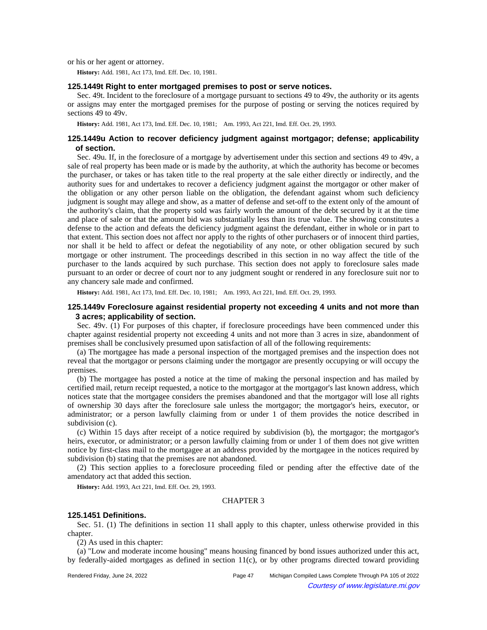or his or her agent or attorney.

**History:** Add. 1981, Act 173, Imd. Eff. Dec. 10, 1981.

### **125.1449t Right to enter mortgaged premises to post or serve notices.**

Sec. 49t. Incident to the foreclosure of a mortgage pursuant to sections 49 to 49v, the authority or its agents or assigns may enter the mortgaged premises for the purpose of posting or serving the notices required by sections 49 to 49v.

**History:** Add. 1981, Act 173, Imd. Eff. Dec. 10, 1981;—Am. 1993, Act 221, Imd. Eff. Oct. 29, 1993.

## **125.1449u Action to recover deficiency judgment against mortgagor; defense; applicability of section.**

Sec. 49u. If, in the foreclosure of a mortgage by advertisement under this section and sections 49 to 49v, a sale of real property has been made or is made by the authority, at which the authority has become or becomes the purchaser, or takes or has taken title to the real property at the sale either directly or indirectly, and the authority sues for and undertakes to recover a deficiency judgment against the mortgagor or other maker of the obligation or any other person liable on the obligation, the defendant against whom such deficiency judgment is sought may allege and show, as a matter of defense and set-off to the extent only of the amount of the authority's claim, that the property sold was fairly worth the amount of the debt secured by it at the time and place of sale or that the amount bid was substantially less than its true value. The showing constitutes a defense to the action and defeats the deficiency judgment against the defendant, either in whole or in part to that extent. This section does not affect nor apply to the rights of other purchasers or of innocent third parties, nor shall it be held to affect or defeat the negotiability of any note, or other obligation secured by such mortgage or other instrument. The proceedings described in this section in no way affect the title of the purchaser to the lands acquired by such purchase. This section does not apply to foreclosure sales made pursuant to an order or decree of court nor to any judgment sought or rendered in any foreclosure suit nor to any chancery sale made and confirmed.

History: Add. 1981, Act 173, Imd. Eff. Dec. 10, 1981;-Am. 1993, Act 221, Imd. Eff. Oct. 29, 1993.

# **125.1449v Foreclosure against residential property not exceeding 4 units and not more than 3 acres; applicability of section.**

Sec. 49v. (1) For purposes of this chapter, if foreclosure proceedings have been commenced under this chapter against residential property not exceeding 4 units and not more than 3 acres in size, abandonment of premises shall be conclusively presumed upon satisfaction of all of the following requirements:

(a) The mortgagee has made a personal inspection of the mortgaged premises and the inspection does not reveal that the mortgagor or persons claiming under the mortgagor are presently occupying or will occupy the premises.

(b) The mortgagee has posted a notice at the time of making the personal inspection and has mailed by certified mail, return receipt requested, a notice to the mortgagor at the mortgagor's last known address, which notices state that the mortgagee considers the premises abandoned and that the mortgagor will lose all rights of ownership 30 days after the foreclosure sale unless the mortgagor; the mortgagor's heirs, executor, or administrator; or a person lawfully claiming from or under 1 of them provides the notice described in subdivision (c).

(c) Within 15 days after receipt of a notice required by subdivision (b), the mortgagor; the mortgagor's heirs, executor, or administrator; or a person lawfully claiming from or under 1 of them does not give written notice by first-class mail to the mortgagee at an address provided by the mortgagee in the notices required by subdivision (b) stating that the premises are not abandoned.

(2) This section applies to a foreclosure proceeding filed or pending after the effective date of the amendatory act that added this section.

**History:** Add. 1993, Act 221, Imd. Eff. Oct. 29, 1993.

### CHAPTER 3

## **125.1451 Definitions.**

Sec. 51. (1) The definitions in section 11 shall apply to this chapter, unless otherwise provided in this chapter.

(2) As used in this chapter:

(a) "Low and moderate income housing" means housing financed by bond issues authorized under this act, by federally-aided mortgages as defined in section 11(c), or by other programs directed toward providing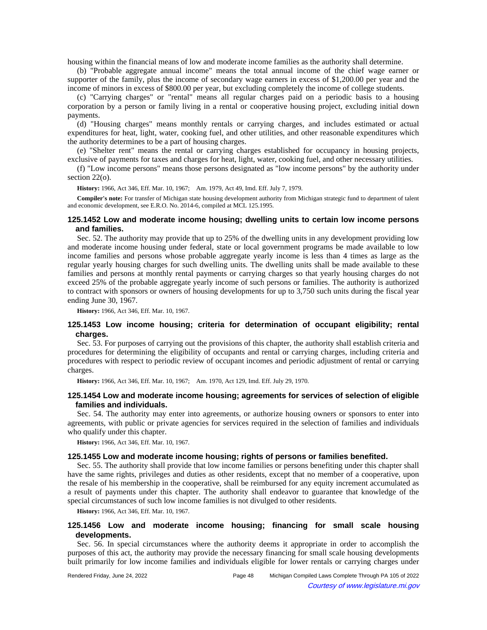housing within the financial means of low and moderate income families as the authority shall determine.

(b) "Probable aggregate annual income" means the total annual income of the chief wage earner or supporter of the family, plus the income of secondary wage earners in excess of \$1,200.00 per year and the income of minors in excess of \$800.00 per year, but excluding completely the income of college students.

(c) "Carrying charges" or "rental" means all regular charges paid on a periodic basis to a housing corporation by a person or family living in a rental or cooperative housing project, excluding initial down payments.

(d) "Housing charges" means monthly rentals or carrying charges, and includes estimated or actual expenditures for heat, light, water, cooking fuel, and other utilities, and other reasonable expenditures which the authority determines to be a part of housing charges.

(e) "Shelter rent" means the rental or carrying charges established for occupancy in housing projects, exclusive of payments for taxes and charges for heat, light, water, cooking fuel, and other necessary utilities.

(f) "Low income persons" means those persons designated as "low income persons" by the authority under section 22(o).

History: 1966, Act 346, Eff. Mar. 10, 1967;-Am. 1979, Act 49, Imd. Eff. July 7, 1979.

**Compiler's note:** For transfer of Michigan state housing development authority from Michigan strategic fund to department of talent and economic development, see E.R.O. No. 2014-6, compiled at MCL 125.1995.

## **125.1452 Low and moderate income housing; dwelling units to certain low income persons and families.**

Sec. 52. The authority may provide that up to 25% of the dwelling units in any development providing low and moderate income housing under federal, state or local government programs be made available to low income families and persons whose probable aggregate yearly income is less than 4 times as large as the regular yearly housing charges for such dwelling units. The dwelling units shall be made available to these families and persons at monthly rental payments or carrying charges so that yearly housing charges do not exceed 25% of the probable aggregate yearly income of such persons or families. The authority is authorized to contract with sponsors or owners of housing developments for up to 3,750 such units during the fiscal year ending June 30, 1967.

**History:** 1966, Act 346, Eff. Mar. 10, 1967.

# **125.1453 Low income housing; criteria for determination of occupant eligibility; rental charges.**

Sec. 53. For purposes of carrying out the provisions of this chapter, the authority shall establish criteria and procedures for determining the eligibility of occupants and rental or carrying charges, including criteria and procedures with respect to periodic review of occupant incomes and periodic adjustment of rental or carrying charges.

History: 1966, Act 346, Eff. Mar. 10, 1967;-Am. 1970, Act 129, Imd. Eff. July 29, 1970.

## **125.1454 Low and moderate income housing; agreements for services of selection of eligible families and individuals.**

Sec. 54. The authority may enter into agreements, or authorize housing owners or sponsors to enter into agreements, with public or private agencies for services required in the selection of families and individuals who qualify under this chapter.

**History:** 1966, Act 346, Eff. Mar. 10, 1967.

#### **125.1455 Low and moderate income housing; rights of persons or families benefited.**

Sec. 55. The authority shall provide that low income families or persons benefiting under this chapter shall have the same rights, privileges and duties as other residents, except that no member of a cooperative, upon the resale of his membership in the cooperative, shall be reimbursed for any equity increment accumulated as a result of payments under this chapter. The authority shall endeavor to guarantee that knowledge of the special circumstances of such low income families is not divulged to other residents.

**History:** 1966, Act 346, Eff. Mar. 10, 1967.

# **125.1456 Low and moderate income housing; financing for small scale housing developments.**

Sec. 56. In special circumstances where the authority deems it appropriate in order to accomplish the purposes of this act, the authority may provide the necessary financing for small scale housing developments built primarily for low income families and individuals eligible for lower rentals or carrying charges under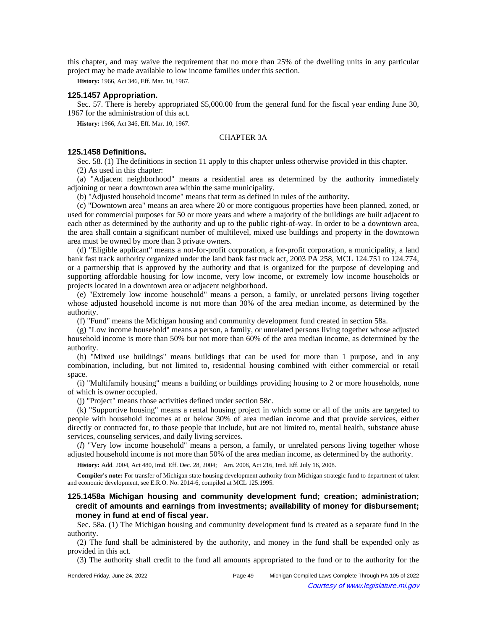this chapter, and may waive the requirement that no more than 25% of the dwelling units in any particular project may be made available to low income families under this section.

**History:** 1966, Act 346, Eff. Mar. 10, 1967.

#### **125.1457 Appropriation.**

Sec. 57. There is hereby appropriated \$5,000.00 from the general fund for the fiscal year ending June 30, 1967 for the administration of this act.

**History:** 1966, Act 346, Eff. Mar. 10, 1967.

### CHAPTER 3A

## **125.1458 Definitions.**

Sec. 58. (1) The definitions in section 11 apply to this chapter unless otherwise provided in this chapter.

(2) As used in this chapter:

(a) "Adjacent neighborhood" means a residential area as determined by the authority immediately adjoining or near a downtown area within the same municipality.

(b) "Adjusted household income" means that term as defined in rules of the authority.

(c) "Downtown area" means an area where 20 or more contiguous properties have been planned, zoned, or used for commercial purposes for 50 or more years and where a majority of the buildings are built adjacent to each other as determined by the authority and up to the public right-of-way. In order to be a downtown area, the area shall contain a significant number of multilevel, mixed use buildings and property in the downtown area must be owned by more than 3 private owners.

(d) "Eligible applicant" means a not-for-profit corporation, a for-profit corporation, a municipality, a land bank fast track authority organized under the land bank fast track act, 2003 PA 258, MCL 124.751 to 124.774, or a partnership that is approved by the authority and that is organized for the purpose of developing and supporting affordable housing for low income, very low income, or extremely low income households or projects located in a downtown area or adjacent neighborhood.

(e) "Extremely low income household" means a person, a family, or unrelated persons living together whose adjusted household income is not more than 30% of the area median income, as determined by the authority.

(f) "Fund" means the Michigan housing and community development fund created in section 58a.

(g) "Low income household" means a person, a family, or unrelated persons living together whose adjusted household income is more than 50% but not more than 60% of the area median income, as determined by the authority.

(h) "Mixed use buildings" means buildings that can be used for more than 1 purpose, and in any combination, including, but not limited to, residential housing combined with either commercial or retail space.

(i) "Multifamily housing" means a building or buildings providing housing to 2 or more households, none of which is owner occupied.

(j) "Project" means those activities defined under section 58c.

(k) "Supportive housing" means a rental housing project in which some or all of the units are targeted to people with household incomes at or below 30% of area median income and that provide services, either directly or contracted for, to those people that include, but are not limited to, mental health, substance abuse services, counseling services, and daily living services.

(*l*) "Very low income household" means a person, a family, or unrelated persons living together whose adjusted household income is not more than 50% of the area median income, as determined by the authority.

**History:** Add. 2004, Act 480, Imd. Eff. Dec. 28, 2004;—Am. 2008, Act 216, Imd. Eff. July 16, 2008.

**Compiler's note:** For transfer of Michigan state housing development authority from Michigan strategic fund to department of talent and economic development, see E.R.O. No. 2014-6, compiled at MCL 125.1995.

# **125.1458a Michigan housing and community development fund; creation; administration; credit of amounts and earnings from investments; availability of money for disbursement; money in fund at end of fiscal year.**

Sec. 58a. (1) The Michigan housing and community development fund is created as a separate fund in the authority.

(2) The fund shall be administered by the authority, and money in the fund shall be expended only as provided in this act.

(3) The authority shall credit to the fund all amounts appropriated to the fund or to the authority for the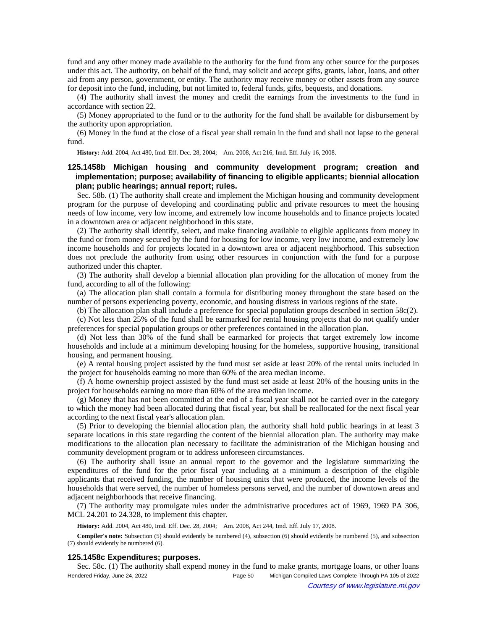fund and any other money made available to the authority for the fund from any other source for the purposes under this act. The authority, on behalf of the fund, may solicit and accept gifts, grants, labor, loans, and other aid from any person, government, or entity. The authority may receive money or other assets from any source for deposit into the fund, including, but not limited to, federal funds, gifts, bequests, and donations.

(4) The authority shall invest the money and credit the earnings from the investments to the fund in accordance with section 22.

(5) Money appropriated to the fund or to the authority for the fund shall be available for disbursement by the authority upon appropriation.

(6) Money in the fund at the close of a fiscal year shall remain in the fund and shall not lapse to the general fund.

History: Add. 2004, Act 480, Imd. Eff. Dec. 28, 2004;- Am. 2008, Act 216, Imd. Eff. July 16, 2008.

# **125.1458b Michigan housing and community development program; creation and implementation; purpose; availability of financing to eligible applicants; biennial allocation plan; public hearings; annual report; rules.**

Sec. 58b. (1) The authority shall create and implement the Michigan housing and community development program for the purpose of developing and coordinating public and private resources to meet the housing needs of low income, very low income, and extremely low income households and to finance projects located in a downtown area or adjacent neighborhood in this state.

(2) The authority shall identify, select, and make financing available to eligible applicants from money in the fund or from money secured by the fund for housing for low income, very low income, and extremely low income households and for projects located in a downtown area or adjacent neighborhood. This subsection does not preclude the authority from using other resources in conjunction with the fund for a purpose authorized under this chapter.

(3) The authority shall develop a biennial allocation plan providing for the allocation of money from the fund, according to all of the following:

(a) The allocation plan shall contain a formula for distributing money throughout the state based on the number of persons experiencing poverty, economic, and housing distress in various regions of the state.

(b) The allocation plan shall include a preference for special population groups described in section 58c(2).

(c) Not less than 25% of the fund shall be earmarked for rental housing projects that do not qualify under preferences for special population groups or other preferences contained in the allocation plan.

(d) Not less than 30% of the fund shall be earmarked for projects that target extremely low income households and include at a minimum developing housing for the homeless, supportive housing, transitional housing, and permanent housing.

(e) A rental housing project assisted by the fund must set aside at least 20% of the rental units included in the project for households earning no more than 60% of the area median income.

(f) A home ownership project assisted by the fund must set aside at least 20% of the housing units in the project for households earning no more than 60% of the area median income.

(g) Money that has not been committed at the end of a fiscal year shall not be carried over in the category to which the money had been allocated during that fiscal year, but shall be reallocated for the next fiscal year according to the next fiscal year's allocation plan.

(5) Prior to developing the biennial allocation plan, the authority shall hold public hearings in at least 3 separate locations in this state regarding the content of the biennial allocation plan. The authority may make modifications to the allocation plan necessary to facilitate the administration of the Michigan housing and community development program or to address unforeseen circumstances.

(6) The authority shall issue an annual report to the governor and the legislature summarizing the expenditures of the fund for the prior fiscal year including at a minimum a description of the eligible applicants that received funding, the number of housing units that were produced, the income levels of the households that were served, the number of homeless persons served, and the number of downtown areas and adjacent neighborhoods that receive financing.

(7) The authority may promulgate rules under the administrative procedures act of 1969, 1969 PA 306, MCL 24.201 to 24.328, to implement this chapter.

History: Add. 2004, Act 480, Imd. Eff. Dec. 28, 2004;—Am. 2008, Act 244, Imd. Eff. July 17, 2008.

**Compiler's note:** Subsection (5) should evidently be numbered (4), subsection (6) should evidently be numbered (5), and subsection (7) should evidently be numbered (6).

### **125.1458c Expenditures; purposes.**

Sec. 58c. (1) The authority shall expend money in the fund to make grants, mortgage loans, or other loans Rendered Friday, June 24, 2022 Page 50 Michigan Compiled Laws Complete Through PA 105 of 2022 Courtesy of www.legislature.mi.gov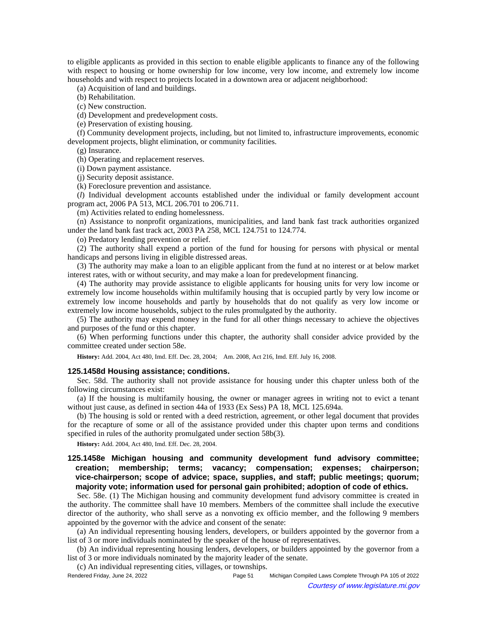to eligible applicants as provided in this section to enable eligible applicants to finance any of the following with respect to housing or home ownership for low income, very low income, and extremely low income households and with respect to projects located in a downtown area or adjacent neighborhood:

(a) Acquisition of land and buildings.

(b) Rehabilitation.

(c) New construction.

(d) Development and predevelopment costs.

(e) Preservation of existing housing.

(f) Community development projects, including, but not limited to, infrastructure improvements, economic development projects, blight elimination, or community facilities.

(g) Insurance.

(h) Operating and replacement reserves.

(i) Down payment assistance.

(j) Security deposit assistance.

(k) Foreclosure prevention and assistance.

(*l*) Individual development accounts established under the individual or family development account program act, 2006 PA 513, MCL 206.701 to 206.711.

(m) Activities related to ending homelessness.

(n) Assistance to nonprofit organizations, municipalities, and land bank fast track authorities organized under the land bank fast track act, 2003 PA 258, MCL 124.751 to 124.774.

(o) Predatory lending prevention or relief.

(2) The authority shall expend a portion of the fund for housing for persons with physical or mental handicaps and persons living in eligible distressed areas.

(3) The authority may make a loan to an eligible applicant from the fund at no interest or at below market interest rates, with or without security, and may make a loan for predevelopment financing.

(4) The authority may provide assistance to eligible applicants for housing units for very low income or extremely low income households within multifamily housing that is occupied partly by very low income or extremely low income households and partly by households that do not qualify as very low income or extremely low income households, subject to the rules promulgated by the authority.

(5) The authority may expend money in the fund for all other things necessary to achieve the objectives and purposes of the fund or this chapter.

(6) When performing functions under this chapter, the authority shall consider advice provided by the committee created under section 58e.

History: Add. 2004, Act 480, Imd. Eff. Dec. 28, 2004;—Am. 2008, Act 216, Imd. Eff. July 16, 2008.

## **125.1458d Housing assistance; conditions.**

Sec. 58d. The authority shall not provide assistance for housing under this chapter unless both of the following circumstances exist:

(a) If the housing is multifamily housing, the owner or manager agrees in writing not to evict a tenant without just cause, as defined in section 44a of 1933 (Ex Sess) PA 18, MCL 125.694a.

(b) The housing is sold or rented with a deed restriction, agreement, or other legal document that provides for the recapture of some or all of the assistance provided under this chapter upon terms and conditions specified in rules of the authority promulgated under section 58b(3).

**History:** Add. 2004, Act 480, Imd. Eff. Dec. 28, 2004.

# **125.1458e Michigan housing and community development fund advisory committee; creation; membership; terms; vacancy; compensation; expenses; chairperson; vice-chairperson; scope of advice; space, supplies, and staff; public meetings; quorum; majority vote; information used for personal gain prohibited; adoption of code of ethics.**

Sec. 58e. (1) The Michigan housing and community development fund advisory committee is created in the authority. The committee shall have 10 members. Members of the committee shall include the executive director of the authority, who shall serve as a nonvoting ex officio member, and the following 9 members appointed by the governor with the advice and consent of the senate:

(a) An individual representing housing lenders, developers, or builders appointed by the governor from a list of 3 or more individuals nominated by the speaker of the house of representatives.

(b) An individual representing housing lenders, developers, or builders appointed by the governor from a list of 3 or more individuals nominated by the majority leader of the senate.

(c) An individual representing cities, villages, or townships.

Rendered Friday, June 24, 2022 Page 51 Michigan Compiled Laws Complete Through PA 105 of 2022 Courtesy of www.legislature.mi.gov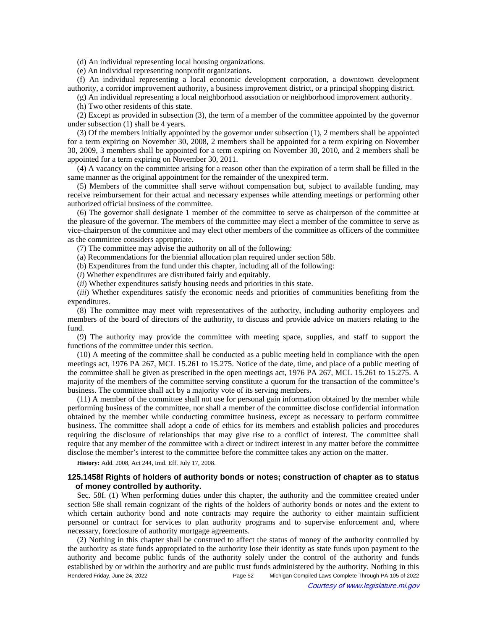(d) An individual representing local housing organizations.

(e) An individual representing nonprofit organizations.

(f) An individual representing a local economic development corporation, a downtown development authority, a corridor improvement authority, a business improvement district, or a principal shopping district.

(g) An individual representing a local neighborhood association or neighborhood improvement authority.

(h) Two other residents of this state.

(2) Except as provided in subsection (3), the term of a member of the committee appointed by the governor under subsection (1) shall be 4 years.

(3) Of the members initially appointed by the governor under subsection (1), 2 members shall be appointed for a term expiring on November 30, 2008, 2 members shall be appointed for a term expiring on November 30, 2009, 3 members shall be appointed for a term expiring on November 30, 2010, and 2 members shall be appointed for a term expiring on November 30, 2011.

(4) A vacancy on the committee arising for a reason other than the expiration of a term shall be filled in the same manner as the original appointment for the remainder of the unexpired term.

(5) Members of the committee shall serve without compensation but, subject to available funding, may receive reimbursement for their actual and necessary expenses while attending meetings or performing other authorized official business of the committee.

(6) The governor shall designate 1 member of the committee to serve as chairperson of the committee at the pleasure of the governor. The members of the committee may elect a member of the committee to serve as vice-chairperson of the committee and may elect other members of the committee as officers of the committee as the committee considers appropriate.

(7) The committee may advise the authority on all of the following:

(a) Recommendations for the biennial allocation plan required under section 58b.

(b) Expenditures from the fund under this chapter, including all of the following:

(*i*) Whether expenditures are distributed fairly and equitably.

(*ii*) Whether expenditures satisfy housing needs and priorities in this state.

(*iii*) Whether expenditures satisfy the economic needs and priorities of communities benefiting from the expenditures.

(8) The committee may meet with representatives of the authority, including authority employees and members of the board of directors of the authority, to discuss and provide advice on matters relating to the fund.

(9) The authority may provide the committee with meeting space, supplies, and staff to support the functions of the committee under this section.

(10) A meeting of the committee shall be conducted as a public meeting held in compliance with the open meetings act, 1976 PA 267, MCL 15.261 to 15.275. Notice of the date, time, and place of a public meeting of the committee shall be given as prescribed in the open meetings act, 1976 PA 267, MCL 15.261 to 15.275. A majority of the members of the committee serving constitute a quorum for the transaction of the committee's business. The committee shall act by a majority vote of its serving members.

(11) A member of the committee shall not use for personal gain information obtained by the member while performing business of the committee, nor shall a member of the committee disclose confidential information obtained by the member while conducting committee business, except as necessary to perform committee business. The committee shall adopt a code of ethics for its members and establish policies and procedures requiring the disclosure of relationships that may give rise to a conflict of interest. The committee shall require that any member of the committee with a direct or indirect interest in any matter before the committee disclose the member's interest to the committee before the committee takes any action on the matter.

**History:** Add. 2008, Act 244, Imd. Eff. July 17, 2008.

## **125.1458f Rights of holders of authority bonds or notes; construction of chapter as to status of money controlled by authority.**

Sec. 58f. (1) When performing duties under this chapter, the authority and the committee created under section 58e shall remain cognizant of the rights of the holders of authority bonds or notes and the extent to which certain authority bond and note contracts may require the authority to either maintain sufficient personnel or contract for services to plan authority programs and to supervise enforcement and, where necessary, foreclosure of authority mortgage agreements.

(2) Nothing in this chapter shall be construed to affect the status of money of the authority controlled by the authority as state funds appropriated to the authority lose their identity as state funds upon payment to the authority and become public funds of the authority solely under the control of the authority and funds established by or within the authority and are public trust funds administered by the authority. Nothing in this Rendered Friday, June 24, 2022 Page 52 Michigan Compiled Laws Complete Through PA 105 of 2022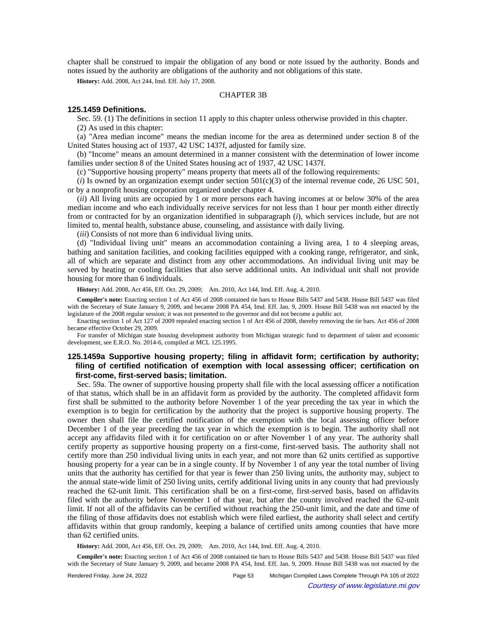chapter shall be construed to impair the obligation of any bond or note issued by the authority. Bonds and notes issued by the authority are obligations of the authority and not obligations of this state.

**History:** Add. 2008, Act 244, Imd. Eff. July 17, 2008.

### CHAPTER 3B

## **125.1459 Definitions.**

Sec. 59. (1) The definitions in section 11 apply to this chapter unless otherwise provided in this chapter. (2) As used in this chapter:

(a) "Area median income" means the median income for the area as determined under section 8 of the United States housing act of 1937, 42 USC 1437f, adjusted for family size.

(b) "Income" means an amount determined in a manner consistent with the determination of lower income families under section 8 of the United States housing act of 1937, 42 USC 1437f.

(c) "Supportive housing property" means property that meets all of the following requirements:

 $(i)$  Is owned by an organization exempt under section  $501(c)(3)$  of the internal revenue code, 26 USC 501, or by a nonprofit housing corporation organized under chapter 4.

(*ii*) All living units are occupied by 1 or more persons each having incomes at or below 30% of the area median income and who each individually receive services for not less than 1 hour per month either directly from or contracted for by an organization identified in subparagraph (*i*), which services include, but are not limited to, mental health, substance abuse, counseling, and assistance with daily living.

(*iii*) Consists of not more than 6 individual living units.

(d) "Individual living unit" means an accommodation containing a living area, 1 to 4 sleeping areas, bathing and sanitation facilities, and cooking facilities equipped with a cooking range, refrigerator, and sink, all of which are separate and distinct from any other accommodations. An individual living unit may be served by heating or cooling facilities that also serve additional units. An individual unit shall not provide housing for more than 6 individuals.

History: Add. 2008, Act 456, Eff. Oct. 29, 2009;-- Am. 2010, Act 144, Imd. Eff. Aug. 4, 2010.

**Compiler's note:** Enacting section 1 of Act 456 of 2008 contained tie bars to House Bills 5437 and 5438. House Bill 5437 was filed with the Secretary of State January 9, 2009, and became 2008 PA 454, Imd. Eff. Jan. 9, 2009. House Bill 5438 was not enacted by the legislature of the 2008 regular session; it was not presented to the governor and did not become a public act.

Enacting section 1 of Act 127 of 2009 repealed enacting section 1 of Act 456 of 2008, thereby removing the tie bars. Act 456 of 2008 became effective October 29, 2009.

For transfer of Michigan state housing development authority from Michigan strategic fund to department of talent and economic development, see E.R.O. No. 2014-6, compiled at MCL 125.1995.

# **125.1459a Supportive housing property; filing in affidavit form; certification by authority; filing of certified notification of exemption with local assessing officer; certification on first-come, first-served basis; limitation.**

Sec. 59a. The owner of supportive housing property shall file with the local assessing officer a notification of that status, which shall be in an affidavit form as provided by the authority. The completed affidavit form first shall be submitted to the authority before November 1 of the year preceding the tax year in which the exemption is to begin for certification by the authority that the project is supportive housing property. The owner then shall file the certified notification of the exemption with the local assessing officer before December 1 of the year preceding the tax year in which the exemption is to begin. The authority shall not accept any affidavits filed with it for certification on or after November 1 of any year. The authority shall certify property as supportive housing property on a first-come, first-served basis. The authority shall not certify more than 250 individual living units in each year, and not more than 62 units certified as supportive housing property for a year can be in a single county. If by November 1 of any year the total number of living units that the authority has certified for that year is fewer than 250 living units, the authority may, subject to the annual state-wide limit of 250 living units, certify additional living units in any county that had previously reached the 62-unit limit. This certification shall be on a first-come, first-served basis, based on affidavits filed with the authority before November 1 of that year, but after the county involved reached the 62-unit limit. If not all of the affidavits can be certified without reaching the 250-unit limit, and the date and time of the filing of those affidavits does not establish which were filed earliest, the authority shall select and certify affidavits within that group randomly, keeping a balance of certified units among counties that have more than 62 certified units.

History: Add. 2008, Act 456, Eff. Oct. 29, 2009;—Am. 2010, Act 144, Imd. Eff. Aug. 4, 2010.

**Compiler's note:** Enacting section 1 of Act 456 of 2008 contained tie bars to House Bills 5437 and 5438. House Bill 5437 was filed with the Secretary of State January 9, 2009, and became 2008 PA 454, Imd. Eff. Jan. 9, 2009. House Bill 5438 was not enacted by the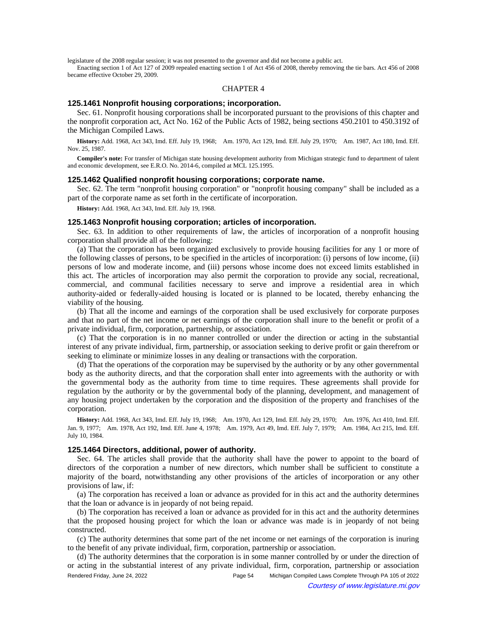legislature of the 2008 regular session; it was not presented to the governor and did not become a public act.

Enacting section 1 of Act 127 of 2009 repealed enacting section 1 of Act 456 of 2008, thereby removing the tie bars. Act 456 of 2008 became effective October 29, 2009.

#### CHAPTER 4

#### **125.1461 Nonprofit housing corporations; incorporation.**

Sec. 61. Nonprofit housing corporations shall be incorporated pursuant to the provisions of this chapter and the nonprofit corporation act, Act No. 162 of the Public Acts of 1982, being sections 450.2101 to 450.3192 of the Michigan Compiled Laws.

History: Add. 1968, Act 343, Imd. Eff. July 19, 1968;-- Am. 1970, Act 129, Imd. Eff. July 29, 1970;-- Am. 1987, Act 180, Imd. Eff. Nov. 25, 1987.

**Compiler's note:** For transfer of Michigan state housing development authority from Michigan strategic fund to department of talent and economic development, see E.R.O. No. 2014-6, compiled at MCL 125.1995.

#### **125.1462 Qualified nonprofit housing corporations; corporate name.**

Sec. 62. The term "nonprofit housing corporation" or "nonprofit housing company" shall be included as a part of the corporate name as set forth in the certificate of incorporation.

**History:** Add. 1968, Act 343, Imd. Eff. July 19, 1968.

## **125.1463 Nonprofit housing corporation; articles of incorporation.**

Sec. 63. In addition to other requirements of law, the articles of incorporation of a nonprofit housing corporation shall provide all of the following:

(a) That the corporation has been organized exclusively to provide housing facilities for any 1 or more of the following classes of persons, to be specified in the articles of incorporation: (i) persons of low income, (ii) persons of low and moderate income, and (iii) persons whose income does not exceed limits established in this act. The articles of incorporation may also permit the corporation to provide any social, recreational, commercial, and communal facilities necessary to serve and improve a residential area in which authority-aided or federally-aided housing is located or is planned to be located, thereby enhancing the viability of the housing.

(b) That all the income and earnings of the corporation shall be used exclusively for corporate purposes and that no part of the net income or net earnings of the corporation shall inure to the benefit or profit of a private individual, firm, corporation, partnership, or association.

(c) That the corporation is in no manner controlled or under the direction or acting in the substantial interest of any private individual, firm, partnership, or association seeking to derive profit or gain therefrom or seeking to eliminate or minimize losses in any dealing or transactions with the corporation.

(d) That the operations of the corporation may be supervised by the authority or by any other governmental body as the authority directs, and that the corporation shall enter into agreements with the authority or with the governmental body as the authority from time to time requires. These agreements shall provide for regulation by the authority or by the governmental body of the planning, development, and management of any housing project undertaken by the corporation and the disposition of the property and franchises of the corporation.

History: Add. 1968, Act 343, Imd. Eff. July 19, 1968;--Am. 1970, Act 129, Imd. Eff. July 29, 1970;--Am. 1976, Act 410, Imd. Eff. Jan. 9, 1977;--Am. 1978, Act 192, Imd. Eff. June 4, 1978;--Am. 1979, Act 49, Imd. Eff. July 7, 1979;--Am. 1984, Act 215, Imd. Eff. July 10, 1984.

## **125.1464 Directors, additional, power of authority.**

Sec. 64. The articles shall provide that the authority shall have the power to appoint to the board of directors of the corporation a number of new directors, which number shall be sufficient to constitute a majority of the board, notwithstanding any other provisions of the articles of incorporation or any other provisions of law, if:

(a) The corporation has received a loan or advance as provided for in this act and the authority determines that the loan or advance is in jeopardy of not being repaid.

(b) The corporation has received a loan or advance as provided for in this act and the authority determines that the proposed housing project for which the loan or advance was made is in jeopardy of not being constructed.

(c) The authority determines that some part of the net income or net earnings of the corporation is inuring to the benefit of any private individual, firm, corporation, partnership or association.

(d) The authority determines that the corporation is in some manner controlled by or under the direction of or acting in the substantial interest of any private individual, firm, corporation, partnership or association Rendered Friday, June 24, 2022 Page 54 Michigan Compiled Laws Complete Through PA 105 of 2022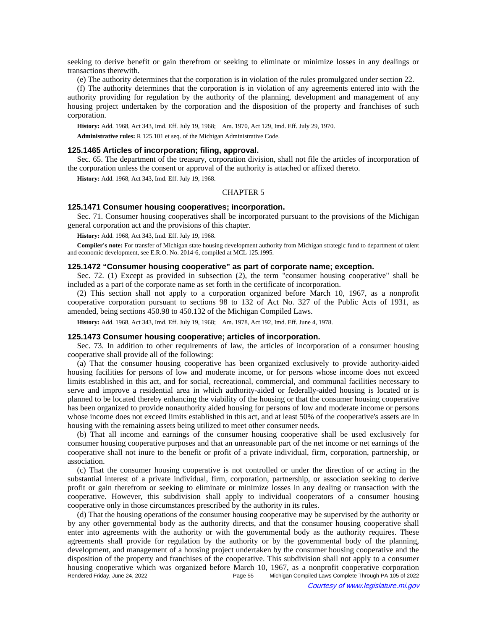seeking to derive benefit or gain therefrom or seeking to eliminate or minimize losses in any dealings or transactions therewith.

(e) The authority determines that the corporation is in violation of the rules promulgated under section 22.

(f) The authority determines that the corporation is in violation of any agreements entered into with the authority providing for regulation by the authority of the planning, development and management of any housing project undertaken by the corporation and the disposition of the property and franchises of such corporation.

History: Add. 1968, Act 343, Imd. Eff. July 19, 1968;—Am. 1970, Act 129, Imd. Eff. July 29, 1970.

**Administrative rules:** R 125.101 et seq. of the Michigan Administrative Code.

#### **125.1465 Articles of incorporation; filing, approval.**

Sec. 65. The department of the treasury, corporation division, shall not file the articles of incorporation of the corporation unless the consent or approval of the authority is attached or affixed thereto.

**History:** Add. 1968, Act 343, Imd. Eff. July 19, 1968.

### CHAPTER 5

### **125.1471 Consumer housing cooperatives; incorporation.**

Sec. 71. Consumer housing cooperatives shall be incorporated pursuant to the provisions of the Michigan general corporation act and the provisions of this chapter.

**History:** Add. 1968, Act 343, Imd. Eff. July 19, 1968.

**Compiler's note:** For transfer of Michigan state housing development authority from Michigan strategic fund to department of talent and economic development, see E.R.O. No. 2014-6, compiled at MCL 125.1995.

## **125.1472 "Consumer housing cooperative" as part of corporate name; exception.**

Sec. 72. (1) Except as provided in subsection (2), the term "consumer housing cooperative" shall be included as a part of the corporate name as set forth in the certificate of incorporation.

(2) This section shall not apply to a corporation organized before March 10, 1967, as a nonprofit cooperative corporation pursuant to sections 98 to 132 of Act No. 327 of the Public Acts of 1931, as amended, being sections 450.98 to 450.132 of the Michigan Compiled Laws.

History: Add. 1968, Act 343, Imd. Eff. July 19, 1968;**--**Am. 1978, Act 192, Imd. Eff. June 4, 1978.

## **125.1473 Consumer housing cooperative; articles of incorporation.**

Sec. 73. In addition to other requirements of law, the articles of incorporation of a consumer housing cooperative shall provide all of the following:

(a) That the consumer housing cooperative has been organized exclusively to provide authority-aided housing facilities for persons of low and moderate income, or for persons whose income does not exceed limits established in this act, and for social, recreational, commercial, and communal facilities necessary to serve and improve a residential area in which authority-aided or federally-aided housing is located or is planned to be located thereby enhancing the viability of the housing or that the consumer housing cooperative has been organized to provide nonauthority aided housing for persons of low and moderate income or persons whose income does not exceed limits established in this act, and at least 50% of the cooperative's assets are in housing with the remaining assets being utilized to meet other consumer needs.

(b) That all income and earnings of the consumer housing cooperative shall be used exclusively for consumer housing cooperative purposes and that an unreasonable part of the net income or net earnings of the cooperative shall not inure to the benefit or profit of a private individual, firm, corporation, partnership, or association.

(c) That the consumer housing cooperative is not controlled or under the direction of or acting in the substantial interest of a private individual, firm, corporation, partnership, or association seeking to derive profit or gain therefrom or seeking to eliminate or minimize losses in any dealing or transaction with the cooperative. However, this subdivision shall apply to individual cooperators of a consumer housing cooperative only in those circumstances prescribed by the authority in its rules.

(d) That the housing operations of the consumer housing cooperative may be supervised by the authority or by any other governmental body as the authority directs, and that the consumer housing cooperative shall enter into agreements with the authority or with the governmental body as the authority requires. These agreements shall provide for regulation by the authority or by the governmental body of the planning, development, and management of a housing project undertaken by the consumer housing cooperative and the disposition of the property and franchises of the cooperative. This subdivision shall not apply to a consumer housing cooperative which was organized before March 10, 1967, as a nonprofit cooperative corporation Rendered Friday, June 24, 2022 Page 55 Michigan Compiled Laws Complete Through PA 105 of 2022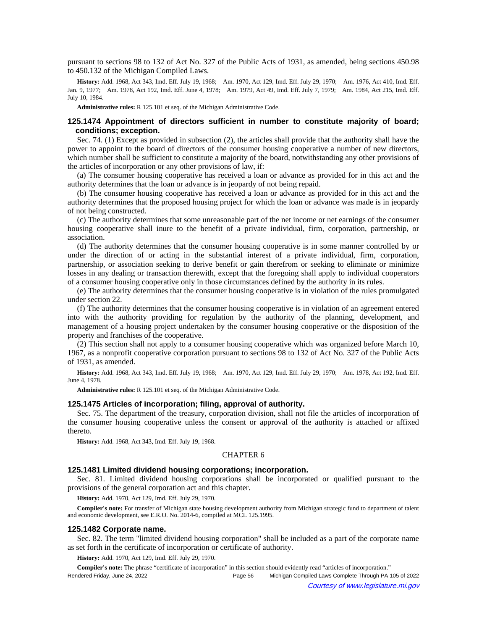pursuant to sections 98 to 132 of Act No. 327 of the Public Acts of 1931, as amended, being sections 450.98 to 450.132 of the Michigan Compiled Laws.

History: Add. 1968, Act 343, Imd. Eff. July 19, 1968;—Am. 1970, Act 129, Imd. Eff. July 29, 1970;—Am. 1976, Act 410, Imd. Eff. Jan. 9, 1977; Am. 1978, Act 192, Imd. Eff. June 4, 1978; Am. 1979, Act 49, Imd. Eff. July 7, 1979; Am. 1984, Act 215, Imd. Eff. July 10, 1984.

**Administrative rules:** R 125.101 et seq. of the Michigan Administrative Code.

## **125.1474 Appointment of directors sufficient in number to constitute majority of board; conditions; exception.**

Sec. 74. (1) Except as provided in subsection (2), the articles shall provide that the authority shall have the power to appoint to the board of directors of the consumer housing cooperative a number of new directors, which number shall be sufficient to constitute a majority of the board, notwithstanding any other provisions of the articles of incorporation or any other provisions of law, if:

(a) The consumer housing cooperative has received a loan or advance as provided for in this act and the authority determines that the loan or advance is in jeopardy of not being repaid.

(b) The consumer housing cooperative has received a loan or advance as provided for in this act and the authority determines that the proposed housing project for which the loan or advance was made is in jeopardy of not being constructed.

(c) The authority determines that some unreasonable part of the net income or net earnings of the consumer housing cooperative shall inure to the benefit of a private individual, firm, corporation, partnership, or association.

(d) The authority determines that the consumer housing cooperative is in some manner controlled by or under the direction of or acting in the substantial interest of a private individual, firm, corporation, partnership, or association seeking to derive benefit or gain therefrom or seeking to eliminate or minimize losses in any dealing or transaction therewith, except that the foregoing shall apply to individual cooperators of a consumer housing cooperative only in those circumstances defined by the authority in its rules.

(e) The authority determines that the consumer housing cooperative is in violation of the rules promulgated under section 22.

(f) The authority determines that the consumer housing cooperative is in violation of an agreement entered into with the authority providing for regulation by the authority of the planning, development, and management of a housing project undertaken by the consumer housing cooperative or the disposition of the property and franchises of the cooperative.

(2) This section shall not apply to a consumer housing cooperative which was organized before March 10, 1967, as a nonprofit cooperative corporation pursuant to sections 98 to 132 of Act No. 327 of the Public Acts of 1931, as amended.

History: Add. 1968, Act 343, Imd. Eff. July 19, 1968;-Am. 1970, Act 129, Imd. Eff. July 29, 1970;-Am. 1978, Act 192, Imd. Eff. June 4, 1978.

**Administrative rules:** R 125.101 et seq. of the Michigan Administrative Code.

#### **125.1475 Articles of incorporation; filing, approval of authority.**

Sec. 75. The department of the treasury, corporation division, shall not file the articles of incorporation of the consumer housing cooperative unless the consent or approval of the authority is attached or affixed thereto.

**History:** Add. 1968, Act 343, Imd. Eff. July 19, 1968.

#### CHAPTER 6

### **125.1481 Limited dividend housing corporations; incorporation.**

Sec. 81. Limited dividend housing corporations shall be incorporated or qualified pursuant to the provisions of the general corporation act and this chapter.

**History:** Add. 1970, Act 129, Imd. Eff. July 29, 1970.

**Compiler's note:** For transfer of Michigan state housing development authority from Michigan strategic fund to department of talent and economic development, see E.R.O. No. 2014-6, compiled at MCL 125.1995.

#### **125.1482 Corporate name.**

Sec. 82. The term "limited dividend housing corporation" shall be included as a part of the corporate name as set forth in the certificate of incorporation or certificate of authority.

**History:** Add. 1970, Act 129, Imd. Eff. July 29, 1970.

**Compiler's note:** The phrase "certificate of incorporation" in this section should evidently read "articles of incorporation." Rendered Friday, June 24, 2022 Page 56 Michigan Compiled Laws Complete Through PA 105 of 2022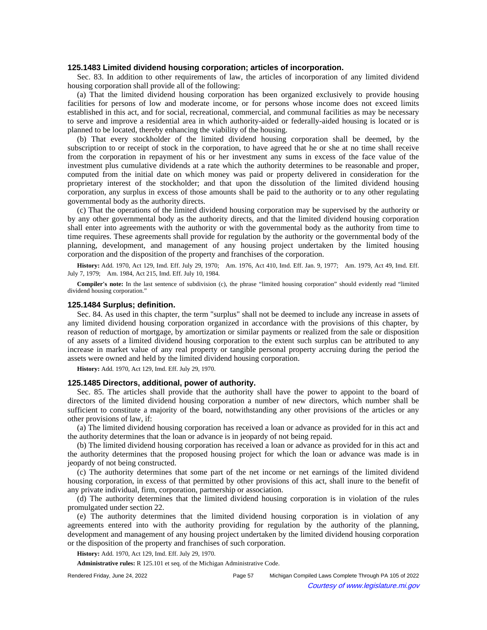### **125.1483 Limited dividend housing corporation; articles of incorporation.**

Sec. 83. In addition to other requirements of law, the articles of incorporation of any limited dividend housing corporation shall provide all of the following:

(a) That the limited dividend housing corporation has been organized exclusively to provide housing facilities for persons of low and moderate income, or for persons whose income does not exceed limits established in this act, and for social, recreational, commercial, and communal facilities as may be necessary to serve and improve a residential area in which authority-aided or federally-aided housing is located or is planned to be located, thereby enhancing the viability of the housing.

(b) That every stockholder of the limited dividend housing corporation shall be deemed, by the subscription to or receipt of stock in the corporation, to have agreed that he or she at no time shall receive from the corporation in repayment of his or her investment any sums in excess of the face value of the investment plus cumulative dividends at a rate which the authority determines to be reasonable and proper, computed from the initial date on which money was paid or property delivered in consideration for the proprietary interest of the stockholder; and that upon the dissolution of the limited dividend housing corporation, any surplus in excess of those amounts shall be paid to the authority or to any other regulating governmental body as the authority directs.

(c) That the operations of the limited dividend housing corporation may be supervised by the authority or by any other governmental body as the authority directs, and that the limited dividend housing corporation shall enter into agreements with the authority or with the governmental body as the authority from time to time requires. These agreements shall provide for regulation by the authority or the governmental body of the planning, development, and management of any housing project undertaken by the limited housing corporation and the disposition of the property and franchises of the corporation.

History: Add. 1970, Act 129, Imd. Eff. July 29, 1970;-- Am. 1976, Act 410, Imd. Eff. Jan. 9, 1977;-- Am. 1979, Act 49, Imd. Eff. July 7, 1979; - Am. 1984, Act 215, Imd. Eff. July 10, 1984.

**Compiler's note:** In the last sentence of subdivision (c), the phrase "limited housing corporation" should evidently read "limited dividend housing corporation."

#### **125.1484 Surplus; definition.**

Sec. 84. As used in this chapter, the term "surplus" shall not be deemed to include any increase in assets of any limited dividend housing corporation organized in accordance with the provisions of this chapter, by reason of reduction of mortgage, by amortization or similar payments or realized from the sale or disposition of any assets of a limited dividend housing corporation to the extent such surplus can be attributed to any increase in market value of any real property or tangible personal property accruing during the period the assets were owned and held by the limited dividend housing corporation.

**History:** Add. 1970, Act 129, Imd. Eff. July 29, 1970.

### **125.1485 Directors, additional, power of authority.**

Sec. 85. The articles shall provide that the authority shall have the power to appoint to the board of directors of the limited dividend housing corporation a number of new directors, which number shall be sufficient to constitute a majority of the board, notwithstanding any other provisions of the articles or any other provisions of law, if:

(a) The limited dividend housing corporation has received a loan or advance as provided for in this act and the authority determines that the loan or advance is in jeopardy of not being repaid.

(b) The limited dividend housing corporation has received a loan or advance as provided for in this act and the authority determines that the proposed housing project for which the loan or advance was made is in jeopardy of not being constructed.

(c) The authority determines that some part of the net income or net earnings of the limited dividend housing corporation, in excess of that permitted by other provisions of this act, shall inure to the benefit of any private individual, firm, corporation, partnership or association.

(d) The authority determines that the limited dividend housing corporation is in violation of the rules promulgated under section 22.

(e) The authority determines that the limited dividend housing corporation is in violation of any agreements entered into with the authority providing for regulation by the authority of the planning, development and management of any housing project undertaken by the limited dividend housing corporation or the disposition of the property and franchises of such corporation.

**History:** Add. 1970, Act 129, Imd. Eff. July 29, 1970.

**Administrative rules:** R 125.101 et seq. of the Michigan Administrative Code.

Rendered Friday, June 24, 2022 Page 57 Michigan Compiled Laws Complete Through PA 105 of 2022 Courtesy of www.legislature.mi.gov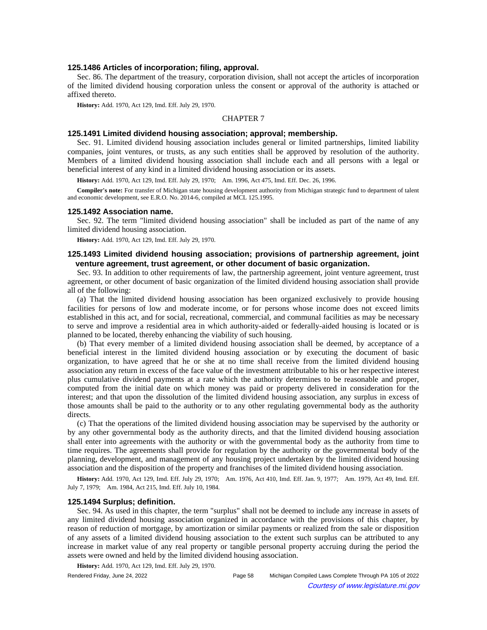### **125.1486 Articles of incorporation; filing, approval.**

Sec. 86. The department of the treasury, corporation division, shall not accept the articles of incorporation of the limited dividend housing corporation unless the consent or approval of the authority is attached or affixed thereto.

**History:** Add. 1970, Act 129, Imd. Eff. July 29, 1970.

## CHAPTER 7

### **125.1491 Limited dividend housing association; approval; membership.**

Sec. 91. Limited dividend housing association includes general or limited partnerships, limited liability companies, joint ventures, or trusts, as any such entities shall be approved by resolution of the authority. Members of a limited dividend housing association shall include each and all persons with a legal or beneficial interest of any kind in a limited dividend housing association or its assets.

History: Add. 1970, Act 129, Imd. Eff. July 29, 1970;-- Am. 1996, Act 475, Imd. Eff. Dec. 26, 1996.

**Compiler's note:** For transfer of Michigan state housing development authority from Michigan strategic fund to department of talent and economic development, see E.R.O. No. 2014-6, compiled at MCL 125.1995.

#### **125.1492 Association name.**

Sec. 92. The term "limited dividend housing association" shall be included as part of the name of any limited dividend housing association.

**History:** Add. 1970, Act 129, Imd. Eff. July 29, 1970.

# **125.1493 Limited dividend housing association; provisions of partnership agreement, joint venture agreement, trust agreement, or other document of basic organization.**

Sec. 93. In addition to other requirements of law, the partnership agreement, joint venture agreement, trust agreement, or other document of basic organization of the limited dividend housing association shall provide all of the following:

(a) That the limited dividend housing association has been organized exclusively to provide housing facilities for persons of low and moderate income, or for persons whose income does not exceed limits established in this act, and for social, recreational, commercial, and communal facilities as may be necessary to serve and improve a residential area in which authority-aided or federally-aided housing is located or is planned to be located, thereby enhancing the viability of such housing.

(b) That every member of a limited dividend housing association shall be deemed, by acceptance of a beneficial interest in the limited dividend housing association or by executing the document of basic organization, to have agreed that he or she at no time shall receive from the limited dividend housing association any return in excess of the face value of the investment attributable to his or her respective interest plus cumulative dividend payments at a rate which the authority determines to be reasonable and proper, computed from the initial date on which money was paid or property delivered in consideration for the interest; and that upon the dissolution of the limited dividend housing association, any surplus in excess of those amounts shall be paid to the authority or to any other regulating governmental body as the authority directs.

(c) That the operations of the limited dividend housing association may be supervised by the authority or by any other governmental body as the authority directs, and that the limited dividend housing association shall enter into agreements with the authority or with the governmental body as the authority from time to time requires. The agreements shall provide for regulation by the authority or the governmental body of the planning, development, and management of any housing project undertaken by the limited dividend housing association and the disposition of the property and franchises of the limited dividend housing association.

History: Add. 1970, Act 129, Imd. Eff. July 29, 1970;--Am. 1976, Act 410, Imd. Eff. Jan. 9, 1977;--Am. 1979, Act 49, Imd. Eff. July 7, 1979;—Am. 1984, Act 215, Imd. Eff. July 10, 1984.

#### **125.1494 Surplus; definition.**

Sec. 94. As used in this chapter, the term "surplus" shall not be deemed to include any increase in assets of any limited dividend housing association organized in accordance with the provisions of this chapter, by reason of reduction of mortgage, by amortization or similar payments or realized from the sale or disposition of any assets of a limited dividend housing association to the extent such surplus can be attributed to any increase in market value of any real property or tangible personal property accruing during the period the assets were owned and held by the limited dividend housing association.

**History:** Add. 1970, Act 129, Imd. Eff. July 29, 1970.

Rendered Friday, June 24, 2022 Page 58 Michigan Compiled Laws Complete Through PA 105 of 2022 Courtesy of www.legislature.mi.gov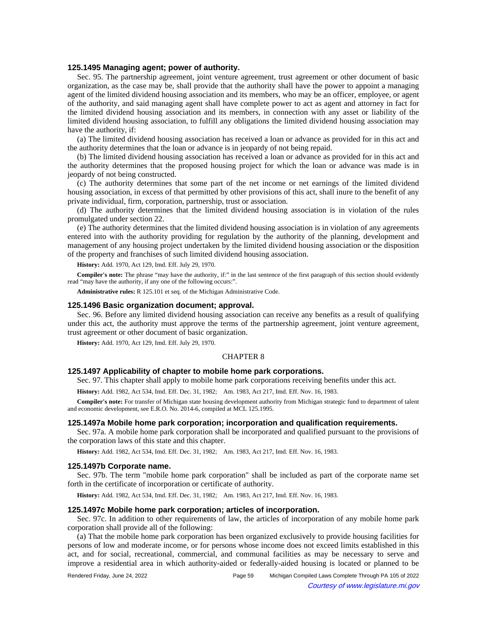### **125.1495 Managing agent; power of authority.**

Sec. 95. The partnership agreement, joint venture agreement, trust agreement or other document of basic organization, as the case may be, shall provide that the authority shall have the power to appoint a managing agent of the limited dividend housing association and its members, who may be an officer, employee, or agent of the authority, and said managing agent shall have complete power to act as agent and attorney in fact for the limited dividend housing association and its members, in connection with any asset or liability of the limited dividend housing association, to fulfill any obligations the limited dividend housing association may have the authority, if:

(a) The limited dividend housing association has received a loan or advance as provided for in this act and the authority determines that the loan or advance is in jeopardy of not being repaid.

(b) The limited dividend housing association has received a loan or advance as provided for in this act and the authority determines that the proposed housing project for which the loan or advance was made is in jeopardy of not being constructed.

(c) The authority determines that some part of the net income or net earnings of the limited dividend housing association, in excess of that permitted by other provisions of this act, shall inure to the benefit of any private individual, firm, corporation, partnership, trust or association.

(d) The authority determines that the limited dividend housing association is in violation of the rules promulgated under section 22.

(e) The authority determines that the limited dividend housing association is in violation of any agreements entered into with the authority providing for regulation by the authority of the planning, development and management of any housing project undertaken by the limited dividend housing association or the disposition of the property and franchises of such limited dividend housing association.

**History:** Add. 1970, Act 129, Imd. Eff. July 29, 1970.

**Compiler's note:** The phrase "may have the authority, if:" in the last sentence of the first paragraph of this section should evidently read "may have the authority, if any one of the following occurs:".

**Administrative rules:** R 125.101 et seq. of the Michigan Administrative Code.

#### **125.1496 Basic organization document; approval.**

Sec. 96. Before any limited dividend housing association can receive any benefits as a result of qualifying under this act, the authority must approve the terms of the partnership agreement, joint venture agreement, trust agreement or other document of basic organization.

**History:** Add. 1970, Act 129, Imd. Eff. July 29, 1970.

#### CHAPTER 8

### **125.1497 Applicability of chapter to mobile home park corporations.**

Sec. 97. This chapter shall apply to mobile home park corporations receiving benefits under this act.

History: Add. 1982, Act 534, Imd. Eff. Dec. 31, 1982;—Am. 1983, Act 217, Imd. Eff. Nov. 16, 1983.

**Compiler's note:** For transfer of Michigan state housing development authority from Michigan strategic fund to department of talent and economic development, see E.R.O. No. 2014-6, compiled at MCL 125.1995.

#### **125.1497a Mobile home park corporation; incorporation and qualification requirements.**

Sec. 97a. A mobile home park corporation shall be incorporated and qualified pursuant to the provisions of the corporation laws of this state and this chapter.

History: Add. 1982, Act 534, Imd. Eff. Dec. 31, 1982;—Am. 1983, Act 217, Imd. Eff. Nov. 16, 1983.

#### **125.1497b Corporate name.**

Sec. 97b. The term "mobile home park corporation" shall be included as part of the corporate name set forth in the certificate of incorporation or certificate of authority.

History: Add. 1982, Act 534, Imd. Eff. Dec. 31, 1982;- Am. 1983, Act 217, Imd. Eff. Nov. 16, 1983.

#### **125.1497c Mobile home park corporation; articles of incorporation.**

Sec. 97c. In addition to other requirements of law, the articles of incorporation of any mobile home park corporation shall provide all of the following:

(a) That the mobile home park corporation has been organized exclusively to provide housing facilities for persons of low and moderate income, or for persons whose income does not exceed limits established in this act, and for social, recreational, commercial, and communal facilities as may be necessary to serve and improve a residential area in which authority-aided or federally-aided housing is located or planned to be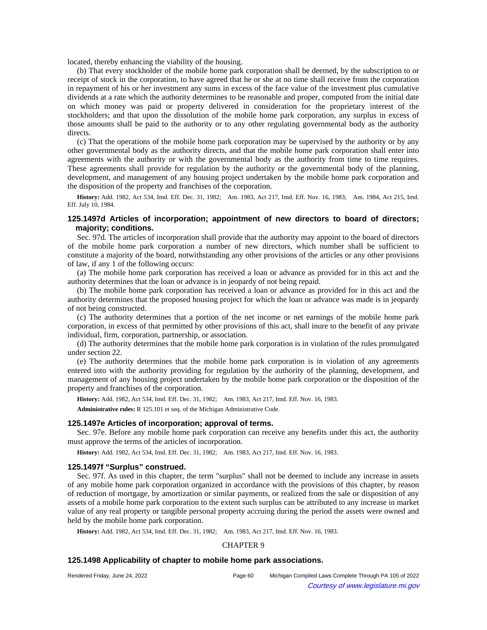located, thereby enhancing the viability of the housing.

(b) That every stockholder of the mobile home park corporation shall be deemed, by the subscription to or receipt of stock in the corporation, to have agreed that he or she at no time shall receive from the corporation in repayment of his or her investment any sums in excess of the face value of the investment plus cumulative dividends at a rate which the authority determines to be reasonable and proper, computed from the initial date on which money was paid or property delivered in consideration for the proprietary interest of the stockholders; and that upon the dissolution of the mobile home park corporation, any surplus in excess of those amounts shall be paid to the authority or to any other regulating governmental body as the authority directs.

(c) That the operations of the mobile home park corporation may be supervised by the authority or by any other governmental body as the authority directs, and that the mobile home park corporation shall enter into agreements with the authority or with the governmental body as the authority from time to time requires. These agreements shall provide for regulation by the authority or the governmental body of the planning, development, and management of any housing project undertaken by the mobile home park corporation and the disposition of the property and franchises of the corporation.

History: Add. 1982, Act 534, Imd. Eff. Dec. 31, 1982;-Am. 1983, Act 217, Imd. Eff. Nov. 16, 1983;-Am. 1984, Act 215, Imd. Eff. July 10, 1984.

# **125.1497d Articles of incorporation; appointment of new directors to board of directors; majority; conditions.**

Sec. 97d. The articles of incorporation shall provide that the authority may appoint to the board of directors of the mobile home park corporation a number of new directors, which number shall be sufficient to constitute a majority of the board, notwithstanding any other provisions of the articles or any other provisions of law, if any 1 of the following occurs:

(a) The mobile home park corporation has received a loan or advance as provided for in this act and the authority determines that the loan or advance is in jeopardy of not being repaid.

(b) The mobile home park corporation has received a loan or advance as provided for in this act and the authority determines that the proposed housing project for which the loan or advance was made is in jeopardy of not being constructed.

(c) The authority determines that a portion of the net income or net earnings of the mobile home park corporation, in excess of that permitted by other provisions of this act, shall inure to the benefit of any private individual, firm, corporation, partnership, or association.

(d) The authority determines that the mobile home park corporation is in violation of the rules promulgated under section 22.

(e) The authority determines that the mobile home park corporation is in violation of any agreements entered into with the authority providing for regulation by the authority of the planning, development, and management of any housing project undertaken by the mobile home park corporation or the disposition of the property and franchises of the corporation.

History: Add. 1982, Act 534, Imd. Eff. Dec. 31, 1982;—Am. 1983, Act 217, Imd. Eff. Nov. 16, 1983.

**Administrative rules:** R 125.101 et seq. of the Michigan Administrative Code.

### **125.1497e Articles of incorporation; approval of terms.**

Sec. 97e. Before any mobile home park corporation can receive any benefits under this act, the authority must approve the terms of the articles of incorporation.

History: Add. 1982, Act 534, Imd. Eff. Dec. 31, 1982;- Am. 1983, Act 217, Imd. Eff. Nov. 16, 1983.

### **125.1497f "Surplus" construed.**

Sec. 97f. As used in this chapter, the term "surplus" shall not be deemed to include any increase in assets of any mobile home park corporation organized in accordance with the provisions of this chapter, by reason of reduction of mortgage, by amortization or similar payments, or realized from the sale or disposition of any assets of a mobile home park corporation to the extent such surplus can be attributed to any increase in market value of any real property or tangible personal property accruing during the period the assets were owned and held by the mobile home park corporation.

History: Add. 1982, Act 534, Imd. Eff. Dec. 31, 1982;—Am. 1983, Act 217, Imd. Eff. Nov. 16, 1983.

## CHAPTER 9

#### **125.1498 Applicability of chapter to mobile home park associations.**

| Rendered Friday, June 24, 2022 |  |  |  |
|--------------------------------|--|--|--|
|--------------------------------|--|--|--|

Page 60 Michigan Compiled Laws Complete Through PA 105 of 2022 Courtesy of www.legislature.mi.gov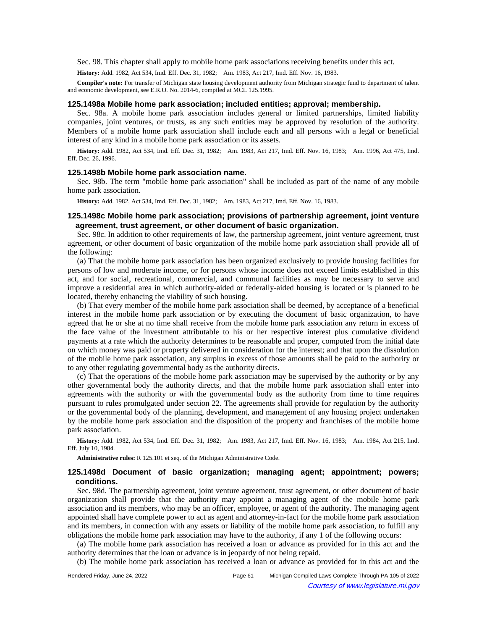Sec. 98. This chapter shall apply to mobile home park associations receiving benefits under this act.

History: Add. 1982, Act 534, Imd. Eff. Dec. 31, 1982;—Am. 1983, Act 217, Imd. Eff. Nov. 16, 1983.

**Compiler's note:** For transfer of Michigan state housing development authority from Michigan strategic fund to department of talent and economic development, see E.R.O. No. 2014-6, compiled at MCL 125.1995.

# **125.1498a Mobile home park association; included entities; approval; membership.**

Sec. 98a. A mobile home park association includes general or limited partnerships, limited liability companies, joint ventures, or trusts, as any such entities may be approved by resolution of the authority. Members of a mobile home park association shall include each and all persons with a legal or beneficial interest of any kind in a mobile home park association or its assets.

History: Add. 1982, Act 534, Imd. Eff. Dec. 31, 1982;—Am. 1983, Act 217, Imd. Eff. Nov. 16, 1983;—Am. 1996, Act 475, Imd. Eff. Dec. 26, 1996.

#### **125.1498b Mobile home park association name.**

Sec. 98b. The term "mobile home park association" shall be included as part of the name of any mobile home park association.

History: Add. 1982, Act 534, Imd. Eff. Dec. 31, 1982;- Am. 1983, Act 217, Imd. Eff. Nov. 16, 1983.

## **125.1498c Mobile home park association; provisions of partnership agreement, joint venture agreement, trust agreement, or other document of basic organization.**

Sec. 98c. In addition to other requirements of law, the partnership agreement, joint venture agreement, trust agreement, or other document of basic organization of the mobile home park association shall provide all of the following:

(a) That the mobile home park association has been organized exclusively to provide housing facilities for persons of low and moderate income, or for persons whose income does not exceed limits established in this act, and for social, recreational, commercial, and communal facilities as may be necessary to serve and improve a residential area in which authority-aided or federally-aided housing is located or is planned to be located, thereby enhancing the viability of such housing.

(b) That every member of the mobile home park association shall be deemed, by acceptance of a beneficial interest in the mobile home park association or by executing the document of basic organization, to have agreed that he or she at no time shall receive from the mobile home park association any return in excess of the face value of the investment attributable to his or her respective interest plus cumulative dividend payments at a rate which the authority determines to be reasonable and proper, computed from the initial date on which money was paid or property delivered in consideration for the interest; and that upon the dissolution of the mobile home park association, any surplus in excess of those amounts shall be paid to the authority or to any other regulating governmental body as the authority directs.

(c) That the operations of the mobile home park association may be supervised by the authority or by any other governmental body the authority directs, and that the mobile home park association shall enter into agreements with the authority or with the governmental body as the authority from time to time requires pursuant to rules promulgated under section 22. The agreements shall provide for regulation by the authority or the governmental body of the planning, development, and management of any housing project undertaken by the mobile home park association and the disposition of the property and franchises of the mobile home park association.

History: Add. 1982, Act 534, Imd. Eff. Dec. 31, 1982;—Am. 1983, Act 217, Imd. Eff. Nov. 16, 1983;—Am. 1984, Act 215, Imd. Eff. July 10, 1984.

**Administrative rules:** R 125.101 et seq. of the Michigan Administrative Code.

## **125.1498d Document of basic organization; managing agent; appointment; powers; conditions.**

Sec. 98d. The partnership agreement, joint venture agreement, trust agreement, or other document of basic organization shall provide that the authority may appoint a managing agent of the mobile home park association and its members, who may be an officer, employee, or agent of the authority. The managing agent appointed shall have complete power to act as agent and attorney-in-fact for the mobile home park association and its members, in connection with any assets or liability of the mobile home park association, to fulfill any obligations the mobile home park association may have to the authority, if any 1 of the following occurs:

(a) The mobile home park association has received a loan or advance as provided for in this act and the authority determines that the loan or advance is in jeopardy of not being repaid.

(b) The mobile home park association has received a loan or advance as provided for in this act and the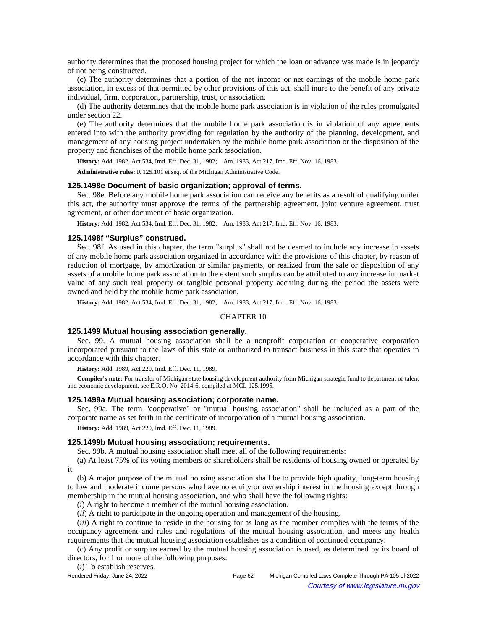authority determines that the proposed housing project for which the loan or advance was made is in jeopardy of not being constructed.

(c) The authority determines that a portion of the net income or net earnings of the mobile home park association, in excess of that permitted by other provisions of this act, shall inure to the benefit of any private individual, firm, corporation, partnership, trust, or association.

(d) The authority determines that the mobile home park association is in violation of the rules promulgated under section 22.

(e) The authority determines that the mobile home park association is in violation of any agreements entered into with the authority providing for regulation by the authority of the planning, development, and management of any housing project undertaken by the mobile home park association or the disposition of the property and franchises of the mobile home park association.

History: Add. 1982, Act 534, Imd. Eff. Dec. 31, 1982;- Am. 1983, Act 217, Imd. Eff. Nov. 16, 1983.

**Administrative rules:** R 125.101 et seq. of the Michigan Administrative Code.

### **125.1498e Document of basic organization; approval of terms.**

Sec. 98e. Before any mobile home park association can receive any benefits as a result of qualifying under this act, the authority must approve the terms of the partnership agreement, joint venture agreement, trust agreement, or other document of basic organization.

History: Add. 1982, Act 534, Imd. Eff. Dec. 31, 1982;- Am. 1983, Act 217, Imd. Eff. Nov. 16, 1983.

## **125.1498f "Surplus" construed.**

Sec. 98f. As used in this chapter, the term "surplus" shall not be deemed to include any increase in assets of any mobile home park association organized in accordance with the provisions of this chapter, by reason of reduction of mortgage, by amortization or similar payments, or realized from the sale or disposition of any assets of a mobile home park association to the extent such surplus can be attributed to any increase in market value of any such real property or tangible personal property accruing during the period the assets were owned and held by the mobile home park association.

History: Add. 1982, Act 534, Imd. Eff. Dec. 31, 1982;—Am. 1983, Act 217, Imd. Eff. Nov. 16, 1983.

## CHAPTER 10

#### **125.1499 Mutual housing association generally.**

Sec. 99. A mutual housing association shall be a nonprofit corporation or cooperative corporation incorporated pursuant to the laws of this state or authorized to transact business in this state that operates in accordance with this chapter.

**History:** Add. 1989, Act 220, Imd. Eff. Dec. 11, 1989.

**Compiler's note:** For transfer of Michigan state housing development authority from Michigan strategic fund to department of talent and economic development, see E.R.O. No. 2014-6, compiled at MCL 125.1995.

### **125.1499a Mutual housing association; corporate name.**

Sec. 99a. The term "cooperative" or "mutual housing association" shall be included as a part of the corporate name as set forth in the certificate of incorporation of a mutual housing association.

**History:** Add. 1989, Act 220, Imd. Eff. Dec. 11, 1989.

### **125.1499b Mutual housing association; requirements.**

Sec. 99b. A mutual housing association shall meet all of the following requirements:

(a) At least 75% of its voting members or shareholders shall be residents of housing owned or operated by it.

(b) A major purpose of the mutual housing association shall be to provide high quality, long-term housing to low and moderate income persons who have no equity or ownership interest in the housing except through membership in the mutual housing association, and who shall have the following rights:

(*i*) A right to become a member of the mutual housing association.

(*ii*) A right to participate in the ongoing operation and management of the housing.

(*iii*) A right to continue to reside in the housing for as long as the member complies with the terms of the occupancy agreement and rules and regulations of the mutual housing association, and meets any health requirements that the mutual housing association establishes as a condition of continued occupancy.

(c) Any profit or surplus earned by the mutual housing association is used, as determined by its board of directors, for 1 or more of the following purposes:

(*i*) To establish reserves.

Rendered Friday, June 24, 2022 Page 62 Michigan Compiled Laws Complete Through PA 105 of 2022 Courtesy of www.legislature.mi.gov